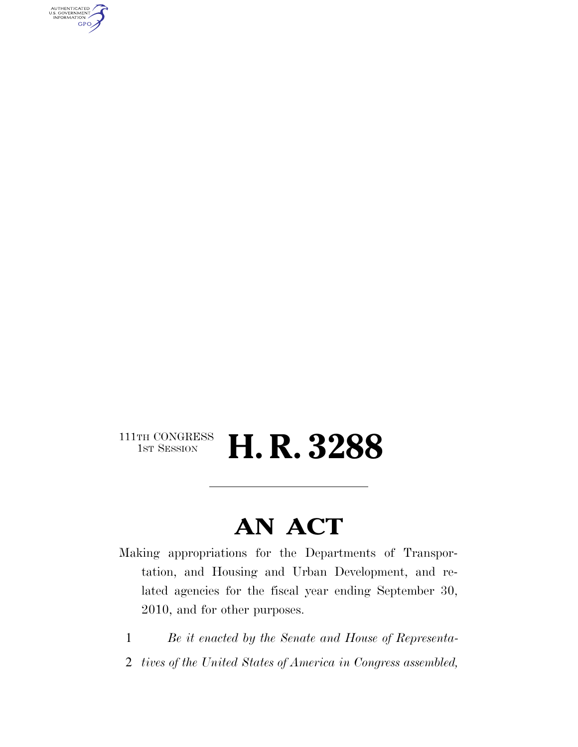AUTHENTICATED<br>U.S. GOVERNMENT<br>INFORMATION GPO

### $\begin{array}{c} \textbf{111TH CONGRESS} \\ \textbf{1ST SESION} \end{array}$ H. R. 3288

# **AN ACT**

Making appropriations for the Departments of Transportation, and Housing and Urban Development, and related agencies for the fiscal year ending September 30, 2010, and for other purposes.

- 1 *Be it enacted by the Senate and House of Representa-*
- 2 *tives of the United States of America in Congress assembled,*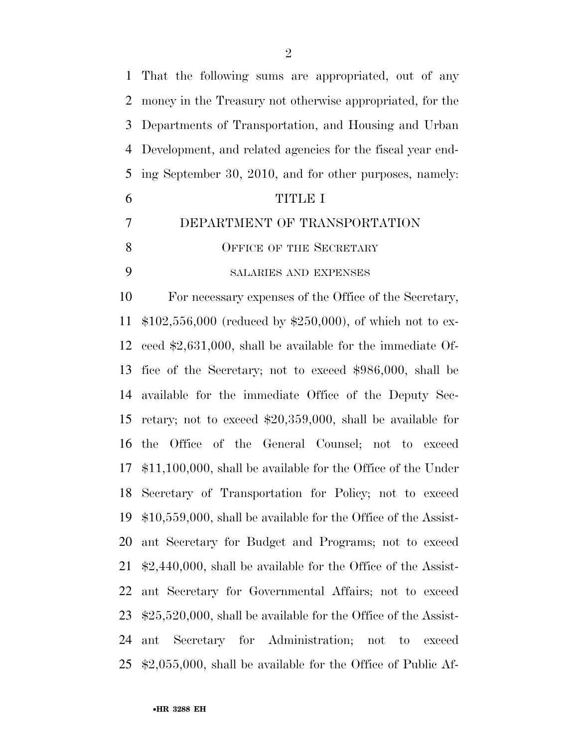That the following sums are appropriated, out of any money in the Treasury not otherwise appropriated, for the Departments of Transportation, and Housing and Urban Development, and related agencies for the fiscal year end- ing September 30, 2010, and for other purposes, namely: TITLE I DEPARTMENT OF TRANSPORTATION 8 OFFICE OF THE SECRETARY SALARIES AND EXPENSES For necessary expenses of the Office of the Secretary, \$102,556,000 (reduced by \$250,000), of which not to ex- ceed \$2,631,000, shall be available for the immediate Of- fice of the Secretary; not to exceed \$986,000, shall be available for the immediate Office of the Deputy Sec- retary; not to exceed \$20,359,000, shall be available for the Office of the General Counsel; not to exceed \$11,100,000, shall be available for the Office of the Under Secretary of Transportation for Policy; not to exceed \$10,559,000, shall be available for the Office of the Assist- ant Secretary for Budget and Programs; not to exceed \$2,440,000, shall be available for the Office of the Assist- ant Secretary for Governmental Affairs; not to exceed \$25,520,000, shall be available for the Office of the Assist- ant Secretary for Administration; not to exceed \$2,055,000, shall be available for the Office of Public Af-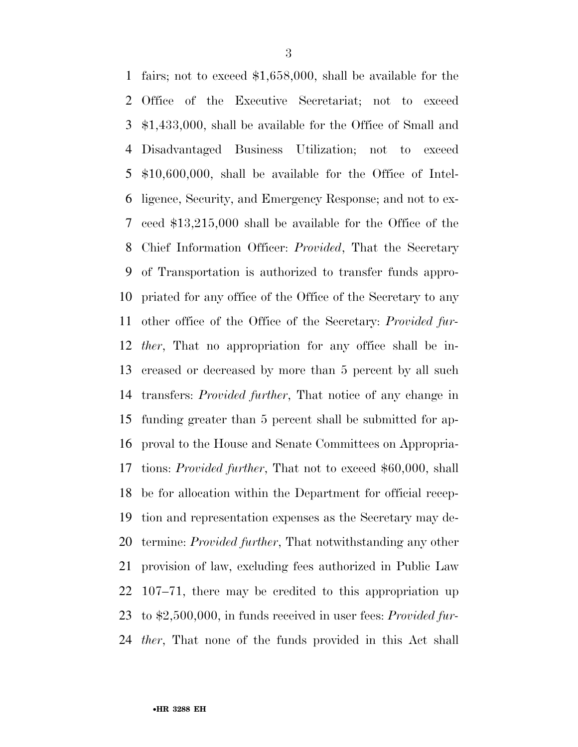fairs; not to exceed \$1,658,000, shall be available for the Office of the Executive Secretariat; not to exceed \$1,433,000, shall be available for the Office of Small and Disadvantaged Business Utilization; not to exceed \$10,600,000, shall be available for the Office of Intel- ligence, Security, and Emergency Response; and not to ex- ceed \$13,215,000 shall be available for the Office of the Chief Information Officer: *Provided*, That the Secretary of Transportation is authorized to transfer funds appro- priated for any office of the Office of the Secretary to any other office of the Office of the Secretary: *Provided fur- ther*, That no appropriation for any office shall be in- creased or decreased by more than 5 percent by all such transfers: *Provided further*, That notice of any change in funding greater than 5 percent shall be submitted for ap- proval to the House and Senate Committees on Appropria- tions: *Provided further*, That not to exceed \$60,000, shall be for allocation within the Department for official recep- tion and representation expenses as the Secretary may de- termine: *Provided further*, That notwithstanding any other provision of law, excluding fees authorized in Public Law 107–71, there may be credited to this appropriation up to \$2,500,000, in funds received in user fees: *Provided fur-ther*, That none of the funds provided in this Act shall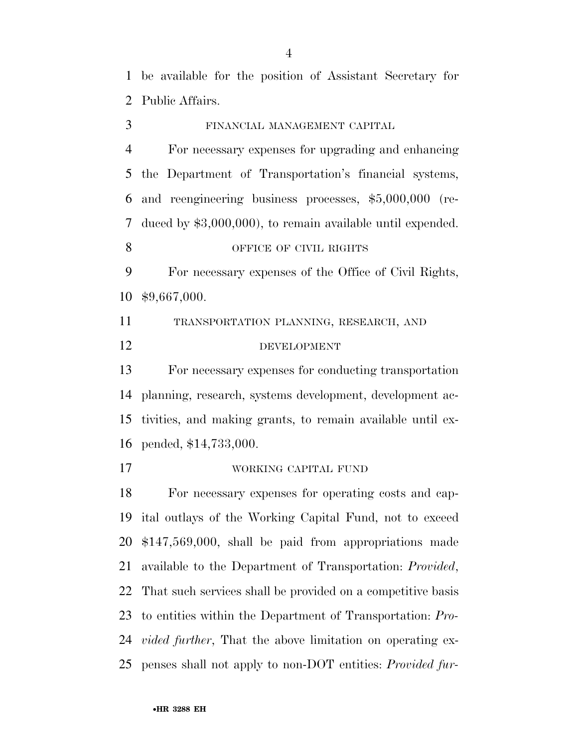be available for the position of Assistant Secretary for Public Affairs.

 FINANCIAL MANAGEMENT CAPITAL For necessary expenses for upgrading and enhancing the Department of Transportation's financial systems,

 and reengineering business processes, \$5,000,000 (re- duced by \$3,000,000), to remain available until expended. 8 OFFICE OF CIVIL RIGHTS

 For necessary expenses of the Office of Civil Rights, \$9,667,000.

 TRANSPORTATION PLANNING, RESEARCH, AND DEVELOPMENT

 For necessary expenses for conducting transportation planning, research, systems development, development ac- tivities, and making grants, to remain available until ex-pended, \$14,733,000.

WORKING CAPITAL FUND

 For necessary expenses for operating costs and cap- ital outlays of the Working Capital Fund, not to exceed \$147,569,000, shall be paid from appropriations made available to the Department of Transportation: *Provided*, That such services shall be provided on a competitive basis to entities within the Department of Transportation: *Pro- vided further*, That the above limitation on operating ex-penses shall not apply to non-DOT entities: *Provided fur-*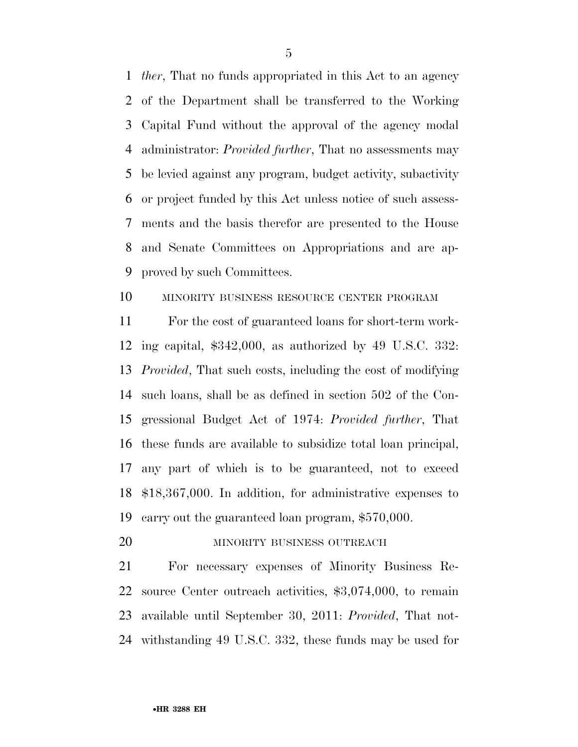*ther*, That no funds appropriated in this Act to an agency of the Department shall be transferred to the Working Capital Fund without the approval of the agency modal administrator: *Provided further*, That no assessments may be levied against any program, budget activity, subactivity or project funded by this Act unless notice of such assess- ments and the basis therefor are presented to the House and Senate Committees on Appropriations and are ap-proved by such Committees.

### MINORITY BUSINESS RESOURCE CENTER PROGRAM

 For the cost of guaranteed loans for short-term work- ing capital, \$342,000, as authorized by 49 U.S.C. 332: *Provided*, That such costs, including the cost of modifying such loans, shall be as defined in section 502 of the Con- gressional Budget Act of 1974: *Provided further*, That these funds are available to subsidize total loan principal, any part of which is to be guaranteed, not to exceed \$18,367,000. In addition, for administrative expenses to carry out the guaranteed loan program, \$570,000.

20 MINORITY BUSINESS OUTREACH

 For necessary expenses of Minority Business Re- source Center outreach activities, \$3,074,000, to remain available until September 30, 2011: *Provided*, That not-withstanding 49 U.S.C. 332, these funds may be used for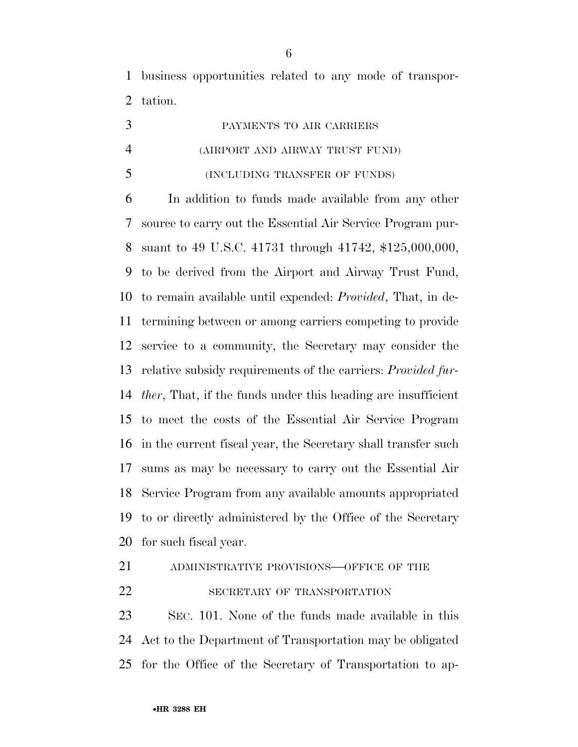business opportunities related to any mode of transpor-tation.

|                | PAYMENTS TO AIR CARRIERS        |
|----------------|---------------------------------|
| $\overline{4}$ | (AIRPORT AND AIRWAY TRUST FUND) |
| 5              | (INCLUDING TRANSFER OF FUNDS)   |

 In addition to funds made available from any other source to carry out the Essential Air Service Program pur- suant to 49 U.S.C. 41731 through 41742, \$125,000,000, to be derived from the Airport and Airway Trust Fund, to remain available until expended: *Provided*, That, in de- termining between or among carriers competing to provide service to a community, the Secretary may consider the relative subsidy requirements of the carriers: *Provided fur- ther*, That, if the funds under this heading are insufficient to meet the costs of the Essential Air Service Program in the current fiscal year, the Secretary shall transfer such sums as may be necessary to carry out the Essential Air Service Program from any available amounts appropriated to or directly administered by the Office of the Secretary for such fiscal year.

ADMINISTRATIVE PROVISIONS—OFFICE OF THE

22 SECRETARY OF TRANSPORTATION

 SEC. 101. None of the funds made available in this Act to the Department of Transportation may be obligated for the Office of the Secretary of Transportation to ap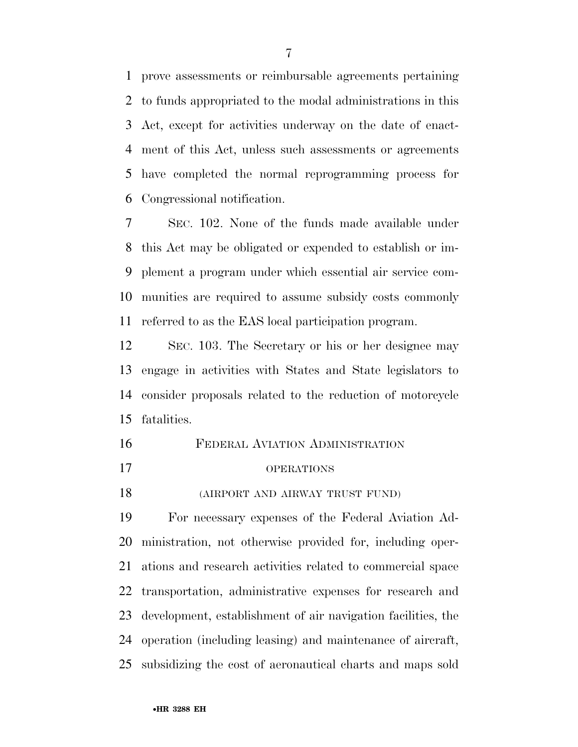prove assessments or reimbursable agreements pertaining to funds appropriated to the modal administrations in this Act, except for activities underway on the date of enact- ment of this Act, unless such assessments or agreements have completed the normal reprogramming process for Congressional notification.

 SEC. 102. None of the funds made available under this Act may be obligated or expended to establish or im- plement a program under which essential air service com- munities are required to assume subsidy costs commonly referred to as the EAS local participation program.

 SEC. 103. The Secretary or his or her designee may engage in activities with States and State legislators to consider proposals related to the reduction of motorcycle fatalities.

- FEDERAL AVIATION ADMINISTRATION OPERATIONS
- (AIRPORT AND AIRWAY TRUST FUND)

 For necessary expenses of the Federal Aviation Ad- ministration, not otherwise provided for, including oper- ations and research activities related to commercial space transportation, administrative expenses for research and development, establishment of air navigation facilities, the operation (including leasing) and maintenance of aircraft, subsidizing the cost of aeronautical charts and maps sold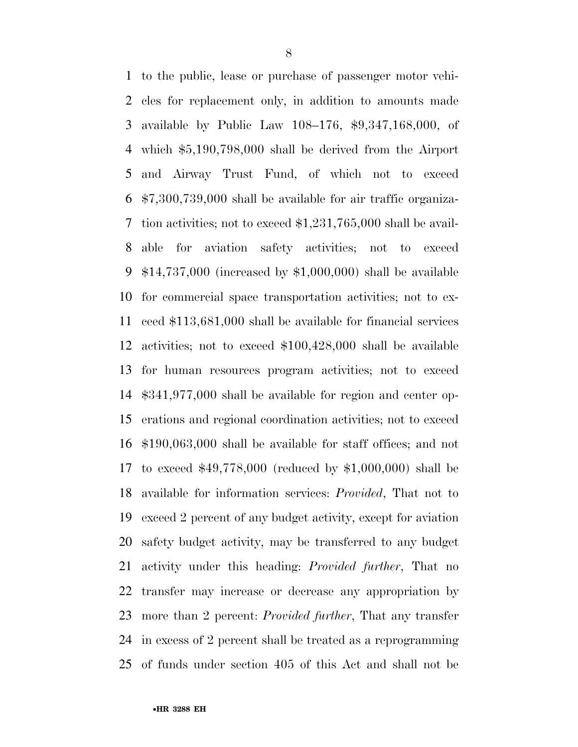to the public, lease or purchase of passenger motor vehi- cles for replacement only, in addition to amounts made available by Public Law 108–176, \$9,347,168,000, of which \$5,190,798,000 shall be derived from the Airport and Airway Trust Fund, of which not to exceed \$7,300,739,000 shall be available for air traffic organiza- tion activities; not to exceed \$1,231,765,000 shall be avail- able for aviation safety activities; not to exceed \$14,737,000 (increased by \$1,000,000) shall be available for commercial space transportation activities; not to ex- ceed \$113,681,000 shall be available for financial services activities; not to exceed \$100,428,000 shall be available for human resources program activities; not to exceed \$341,977,000 shall be available for region and center op- erations and regional coordination activities; not to exceed \$190,063,000 shall be available for staff offices; and not to exceed \$49,778,000 (reduced by \$1,000,000) shall be available for information services: *Provided*, That not to exceed 2 percent of any budget activity, except for aviation safety budget activity, may be transferred to any budget activity under this heading: *Provided further*, That no transfer may increase or decrease any appropriation by more than 2 percent: *Provided further*, That any transfer in excess of 2 percent shall be treated as a reprogramming of funds under section 405 of this Act and shall not be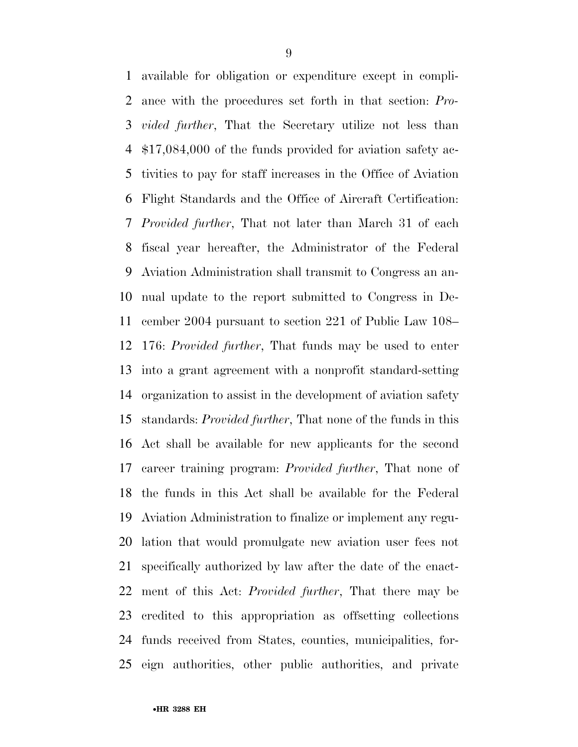available for obligation or expenditure except in compli- ance with the procedures set forth in that section: *Pro- vided further*, That the Secretary utilize not less than \$17,084,000 of the funds provided for aviation safety ac- tivities to pay for staff increases in the Office of Aviation Flight Standards and the Office of Aircraft Certification: *Provided further*, That not later than March 31 of each fiscal year hereafter, the Administrator of the Federal Aviation Administration shall transmit to Congress an an- nual update to the report submitted to Congress in De- cember 2004 pursuant to section 221 of Public Law 108– 176: *Provided further*, That funds may be used to enter into a grant agreement with a nonprofit standard-setting organization to assist in the development of aviation safety standards: *Provided further*, That none of the funds in this Act shall be available for new applicants for the second career training program: *Provided further*, That none of the funds in this Act shall be available for the Federal Aviation Administration to finalize or implement any regu- lation that would promulgate new aviation user fees not specifically authorized by law after the date of the enact- ment of this Act: *Provided further*, That there may be credited to this appropriation as offsetting collections funds received from States, counties, municipalities, for-eign authorities, other public authorities, and private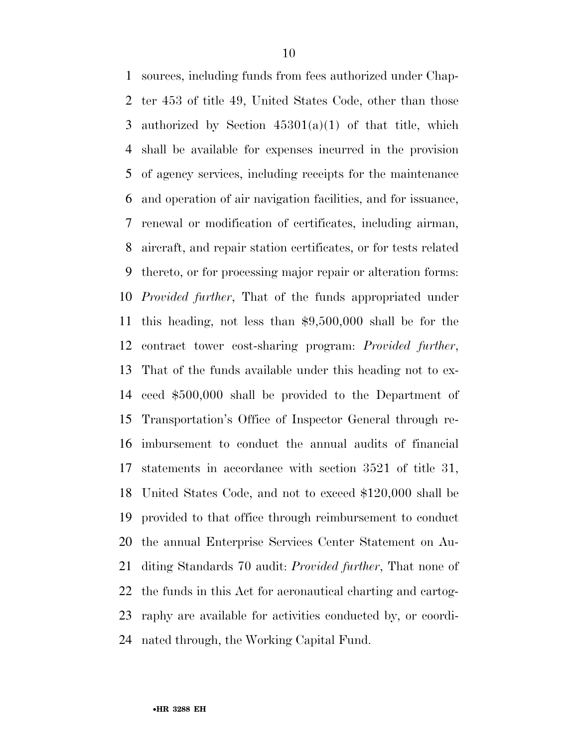sources, including funds from fees authorized under Chap- ter 453 of title 49, United States Code, other than those 3 authorized by Section  $45301(a)(1)$  of that title, which shall be available for expenses incurred in the provision of agency services, including receipts for the maintenance and operation of air navigation facilities, and for issuance, renewal or modification of certificates, including airman, aircraft, and repair station certificates, or for tests related thereto, or for processing major repair or alteration forms: *Provided further*, That of the funds appropriated under this heading, not less than \$9,500,000 shall be for the contract tower cost-sharing program: *Provided further*, That of the funds available under this heading not to ex- ceed \$500,000 shall be provided to the Department of Transportation's Office of Inspector General through re- imbursement to conduct the annual audits of financial statements in accordance with section 3521 of title 31, United States Code, and not to exceed \$120,000 shall be provided to that office through reimbursement to conduct the annual Enterprise Services Center Statement on Au- diting Standards 70 audit: *Provided further*, That none of the funds in this Act for aeronautical charting and cartog- raphy are available for activities conducted by, or coordi-nated through, the Working Capital Fund.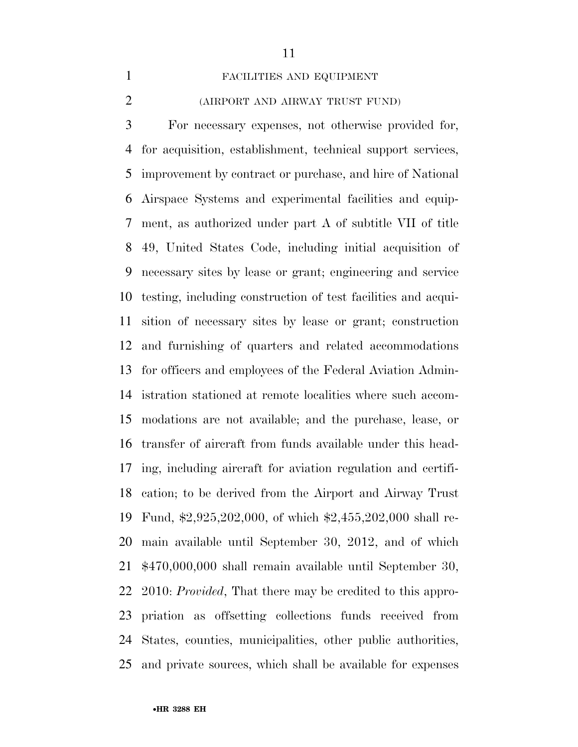#### FACILITIES AND EQUIPMENT

### (AIRPORT AND AIRWAY TRUST FUND)

 For necessary expenses, not otherwise provided for, for acquisition, establishment, technical support services, improvement by contract or purchase, and hire of National Airspace Systems and experimental facilities and equip- ment, as authorized under part A of subtitle VII of title 49, United States Code, including initial acquisition of necessary sites by lease or grant; engineering and service testing, including construction of test facilities and acqui- sition of necessary sites by lease or grant; construction and furnishing of quarters and related accommodations for officers and employees of the Federal Aviation Admin- istration stationed at remote localities where such accom- modations are not available; and the purchase, lease, or transfer of aircraft from funds available under this head- ing, including aircraft for aviation regulation and certifi- cation; to be derived from the Airport and Airway Trust Fund, \$2,925,202,000, of which \$2,455,202,000 shall re- main available until September 30, 2012, and of which \$470,000,000 shall remain available until September 30, 2010: *Provided*, That there may be credited to this appro- priation as offsetting collections funds received from States, counties, municipalities, other public authorities, and private sources, which shall be available for expenses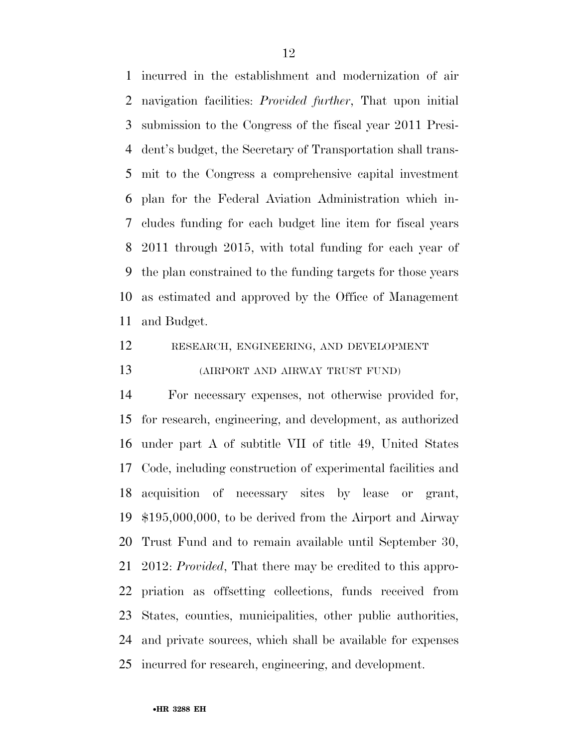incurred in the establishment and modernization of air navigation facilities: *Provided further*, That upon initial submission to the Congress of the fiscal year 2011 Presi- dent's budget, the Secretary of Transportation shall trans- mit to the Congress a comprehensive capital investment plan for the Federal Aviation Administration which in- cludes funding for each budget line item for fiscal years 2011 through 2015, with total funding for each year of the plan constrained to the funding targets for those years as estimated and approved by the Office of Management and Budget.

### RESEARCH, ENGINEERING, AND DEVELOPMENT (AIRPORT AND AIRWAY TRUST FUND)

 For necessary expenses, not otherwise provided for, for research, engineering, and development, as authorized under part A of subtitle VII of title 49, United States Code, including construction of experimental facilities and acquisition of necessary sites by lease or grant, \$195,000,000, to be derived from the Airport and Airway Trust Fund and to remain available until September 30, 2012: *Provided*, That there may be credited to this appro- priation as offsetting collections, funds received from States, counties, municipalities, other public authorities, and private sources, which shall be available for expenses incurred for research, engineering, and development.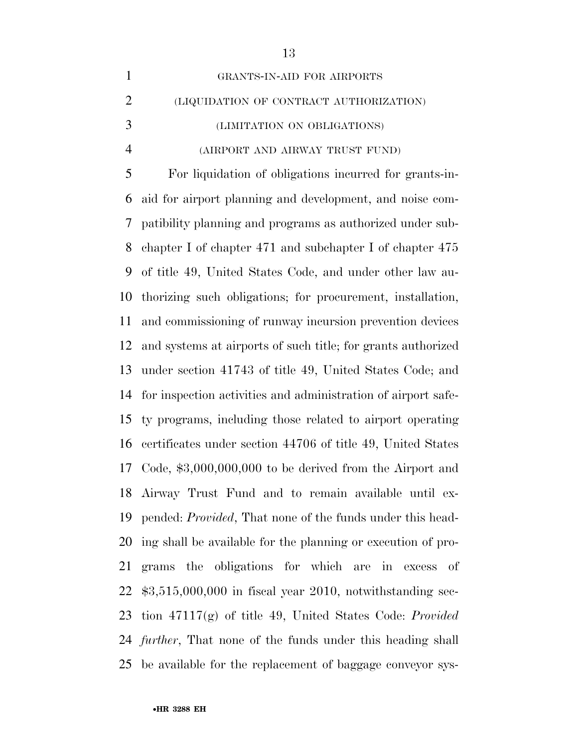| $\mathbf{1}$   | GRANTS-IN-AID FOR AIRPORTS                                          |
|----------------|---------------------------------------------------------------------|
| $\overline{2}$ | (LIQUIDATION OF CONTRACT AUTHORIZATION)                             |
| 3              | (LIMITATION ON OBLIGATIONS)                                         |
| $\overline{4}$ | (AIRPORT AND AIRWAY TRUST FUND)                                     |
| 5              | For liquidation of obligations incurred for grants-in-              |
| 6              | aid for airport planning and development, and noise com-            |
| 7              | patibility planning and programs as authorized under sub-           |
| 8              | chapter I of chapter $471$ and subchapter I of chapter $475$        |
| 9              | of title 49, United States Code, and under other law au-            |
| 10             | thorizing such obligations; for procurement, installation,          |
| 11             | and commissioning of runway incursion prevention devices            |
| 12             | and systems at airports of such title; for grants authorized        |
| 13             | under section 41743 of title 49, United States Code; and            |
| 14             | for inspection activities and administration of airport safe-       |
| 15             | ty programs, including those related to airport operating           |
| 16             | certificates under section 44706 of title 49, United States         |
|                | 17 Code, \$3,000,000,000 to be derived from the Airport and         |
|                | 18 Airway Trust Fund and to remain available until ex-              |
| 19             | pended: <i>Provided</i> , That none of the funds under this head-   |
| 20             | ing shall be available for the planning or execution of pro-        |
| 21             | grams the obligations for which are in excess of                    |
| 22             | $$3,515,000,000$ in fiscal year 2010, notwithstanding sec-          |
| 23             | tion $47117(g)$ of title 49, United States Code: <i>Provided</i>    |
|                | 24 <i>further</i> , That none of the funds under this heading shall |
| 25             | be available for the replacement of baggage conveyor sys-           |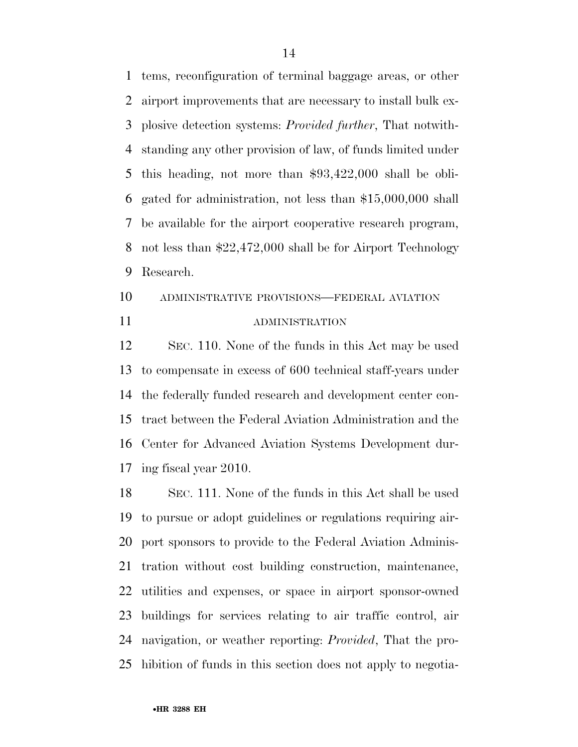tems, reconfiguration of terminal baggage areas, or other airport improvements that are necessary to install bulk ex- plosive detection systems: *Provided further*, That notwith- standing any other provision of law, of funds limited under this heading, not more than \$93,422,000 shall be obli- gated for administration, not less than \$15,000,000 shall be available for the airport cooperative research program, not less than \$22,472,000 shall be for Airport Technology Research.

## ADMINISTRATIVE PROVISIONS—FEDERAL AVIATION ADMINISTRATION

 SEC. 110. None of the funds in this Act may be used to compensate in excess of 600 technical staff-years under the federally funded research and development center con- tract between the Federal Aviation Administration and the Center for Advanced Aviation Systems Development dur-ing fiscal year 2010.

 SEC. 111. None of the funds in this Act shall be used to pursue or adopt guidelines or regulations requiring air- port sponsors to provide to the Federal Aviation Adminis- tration without cost building construction, maintenance, utilities and expenses, or space in airport sponsor-owned buildings for services relating to air traffic control, air navigation, or weather reporting: *Provided*, That the pro-hibition of funds in this section does not apply to negotia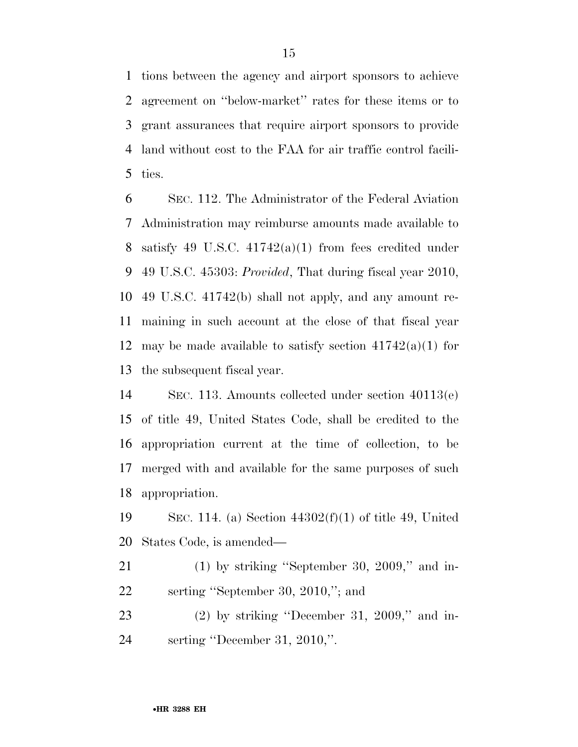tions between the agency and airport sponsors to achieve agreement on ''below-market'' rates for these items or to grant assurances that require airport sponsors to provide land without cost to the FAA for air traffic control facili-ties.

 SEC. 112. The Administrator of the Federal Aviation Administration may reimburse amounts made available to 8 satisfy 49 U.S.C.  $41742(a)(1)$  from fees credited under 49 U.S.C. 45303: *Provided*, That during fiscal year 2010, 49 U.S.C. 41742(b) shall not apply, and any amount re- maining in such account at the close of that fiscal year 12 may be made available to satisfy section  $41742(a)(1)$  for the subsequent fiscal year.

 SEC. 113. Amounts collected under section 40113(e) of title 49, United States Code, shall be credited to the appropriation current at the time of collection, to be merged with and available for the same purposes of such appropriation.

 SEC. 114. (a) Section 44302(f)(1) of title 49, United States Code, is amended—

21 (1) by striking "September 30, 2009," and in-serting ''September 30, 2010,''; and

 (2) by striking ''December 31, 2009,'' and in-serting ''December 31, 2010,''.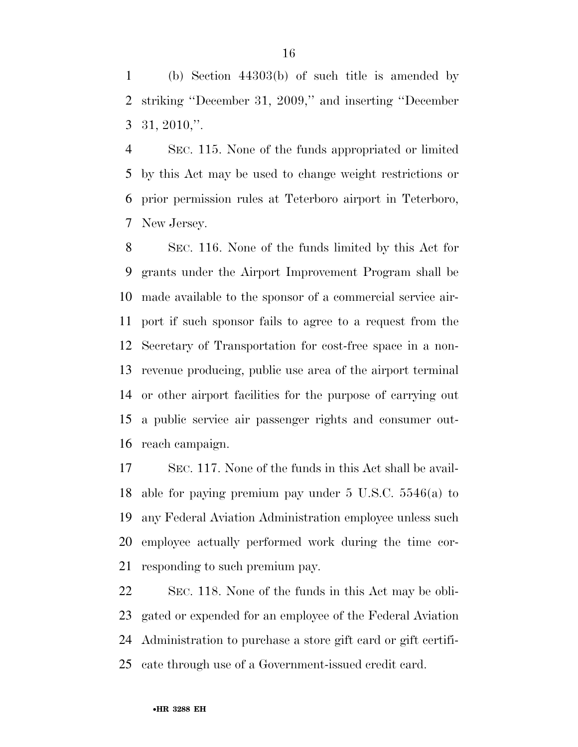(b) Section 44303(b) of such title is amended by striking ''December 31, 2009,'' and inserting ''December 31, 2010,''.

 SEC. 115. None of the funds appropriated or limited by this Act may be used to change weight restrictions or prior permission rules at Teterboro airport in Teterboro, New Jersey.

 SEC. 116. None of the funds limited by this Act for grants under the Airport Improvement Program shall be made available to the sponsor of a commercial service air- port if such sponsor fails to agree to a request from the Secretary of Transportation for cost-free space in a non- revenue producing, public use area of the airport terminal or other airport facilities for the purpose of carrying out a public service air passenger rights and consumer out-reach campaign.

 SEC. 117. None of the funds in this Act shall be avail- able for paying premium pay under 5 U.S.C. 5546(a) to any Federal Aviation Administration employee unless such employee actually performed work during the time cor-responding to such premium pay.

 SEC. 118. None of the funds in this Act may be obli- gated or expended for an employee of the Federal Aviation Administration to purchase a store gift card or gift certifi-cate through use of a Government-issued credit card.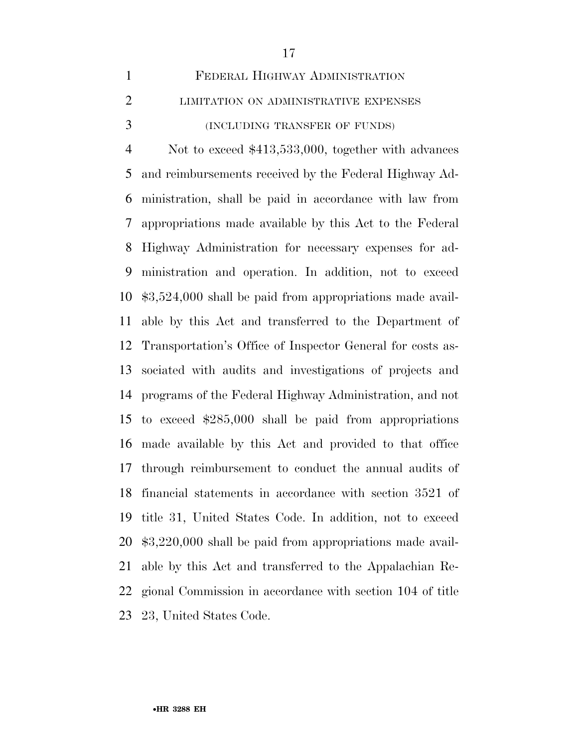| $\mathbf{1}$   | FEDERAL HIGHWAY ADMINISTRATION                             |
|----------------|------------------------------------------------------------|
| $\overline{2}$ | LIMITATION ON ADMINISTRATIVE EXPENSES                      |
| 3              | (INCLUDING TRANSFER OF FUNDS)                              |
| $\overline{4}$ | Not to exceed $$413,533,000$ , together with advances      |
| 5              | and reimbursements received by the Federal Highway Ad-     |
| 6              | ministration, shall be paid in accordance with law from    |
| 7              | appropriations made available by this Act to the Federal   |
| 8              | Highway Administration for necessary expenses for ad-      |
| 9              | ministration and operation. In addition, not to exceed     |
| 10             | $$3,524,000$ shall be paid from appropriations made avail- |
| 11             | able by this Act and transferred to the Department of      |
| 12             | Transportation's Office of Inspector General for costs as- |
| 13             | sociated with audits and investigations of projects and    |
| 14             | programs of the Federal Highway Administration, and not    |
| 15             | to exceed $$285,000$ shall be paid from appropriations     |
| 16             | made available by this Act and provided to that office     |
| 17             | through reimbursement to conduct the annual audits of      |
| 18             | financial statements in accordance with section 3521 of    |
| 19             | title 31, United States Code. In addition, not to exceed   |
| 20             | $$3,220,000$ shall be paid from appropriations made avail- |
| 21             | able by this Act and transferred to the Appalachian Re-    |
| 22             | gional Commission in accordance with section 104 of title  |
| 23             | 23, United States Code.                                    |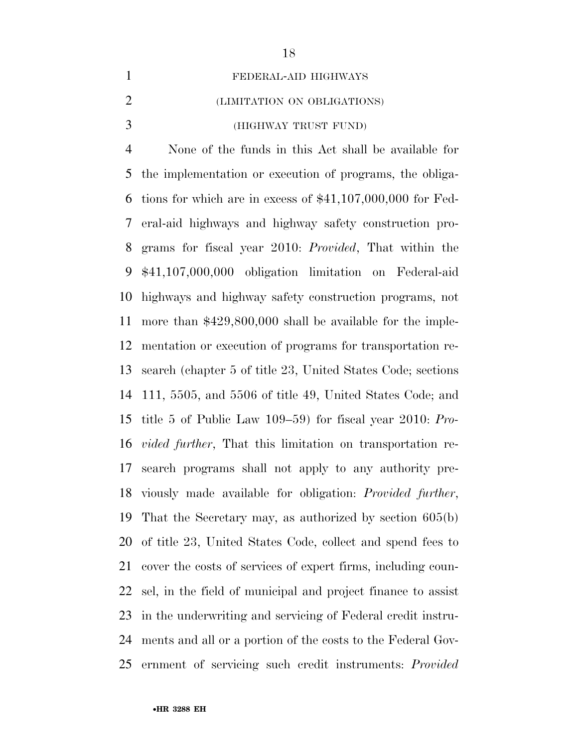FEDERAL-AID HIGHWAYS

### (LIMITATION ON OBLIGATIONS)

(HIGHWAY TRUST FUND)

 None of the funds in this Act shall be available for the implementation or execution of programs, the obliga- tions for which are in excess of \$41,107,000,000 for Fed- eral-aid highways and highway safety construction pro- grams for fiscal year 2010: *Provided*, That within the \$41,107,000,000 obligation limitation on Federal-aid highways and highway safety construction programs, not more than \$429,800,000 shall be available for the imple- mentation or execution of programs for transportation re- search (chapter 5 of title 23, United States Code; sections 111, 5505, and 5506 of title 49, United States Code; and title 5 of Public Law 109–59) for fiscal year 2010: *Pro- vided further*, That this limitation on transportation re- search programs shall not apply to any authority pre- viously made available for obligation: *Provided further*, That the Secretary may, as authorized by section 605(b) of title 23, United States Code, collect and spend fees to cover the costs of services of expert firms, including coun- sel, in the field of municipal and project finance to assist in the underwriting and servicing of Federal credit instru- ments and all or a portion of the costs to the Federal Gov-ernment of servicing such credit instruments: *Provided*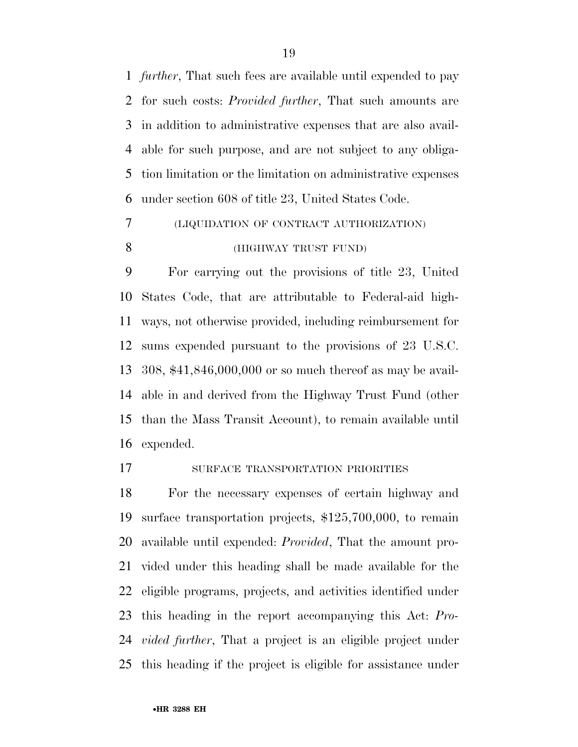*further*, That such fees are available until expended to pay for such costs: *Provided further*, That such amounts are in addition to administrative expenses that are also avail- able for such purpose, and are not subject to any obliga- tion limitation or the limitation on administrative expenses under section 608 of title 23, United States Code.

# (LIQUIDATION OF CONTRACT AUTHORIZATION) (HIGHWAY TRUST FUND)

 For carrying out the provisions of title 23, United States Code, that are attributable to Federal-aid high- ways, not otherwise provided, including reimbursement for sums expended pursuant to the provisions of 23 U.S.C. 308, \$41,846,000,000 or so much thereof as may be avail- able in and derived from the Highway Trust Fund (other than the Mass Transit Account), to remain available until expended.

### 17 SURFACE TRANSPORTATION PRIORITIES

 For the necessary expenses of certain highway and surface transportation projects, \$125,700,000, to remain available until expended: *Provided*, That the amount pro- vided under this heading shall be made available for the eligible programs, projects, and activities identified under this heading in the report accompanying this Act: *Pro- vided further*, That a project is an eligible project under this heading if the project is eligible for assistance under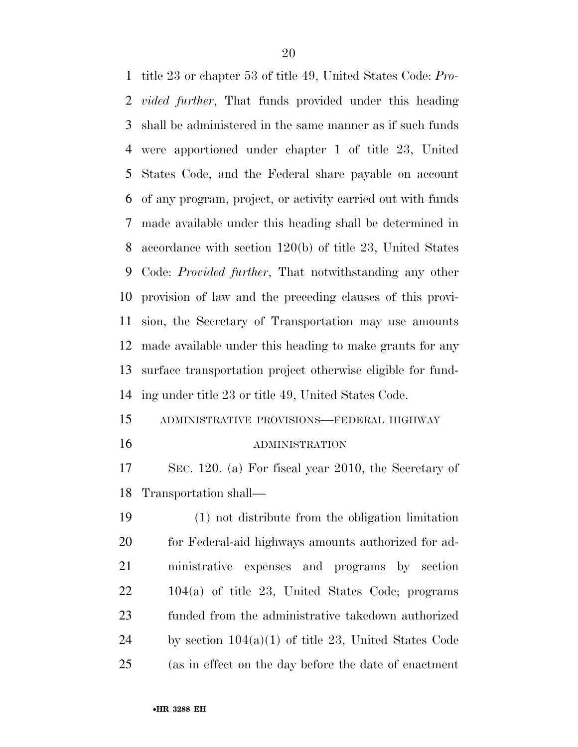title 23 or chapter 53 of title 49, United States Code: *Pro- vided further*, That funds provided under this heading shall be administered in the same manner as if such funds were apportioned under chapter 1 of title 23, United States Code, and the Federal share payable on account of any program, project, or activity carried out with funds made available under this heading shall be determined in accordance with section 120(b) of title 23, United States Code: *Provided further*, That notwithstanding any other provision of law and the preceding clauses of this provi- sion, the Secretary of Transportation may use amounts made available under this heading to make grants for any surface transportation project otherwise eligible for fund- ing under title 23 or title 49, United States Code. ADMINISTRATIVE PROVISIONS—FEDERAL HIGHWAY

#### ADMINISTRATION

 SEC. 120. (a) For fiscal year 2010, the Secretary of Transportation shall—

 (1) not distribute from the obligation limitation 20 for Federal-aid highways amounts authorized for ad- ministrative expenses and programs by section 104(a) of title 23, United States Code; programs funded from the administrative takedown authorized 24 by section  $104(a)(1)$  of title 23, United States Code (as in effect on the day before the date of enactment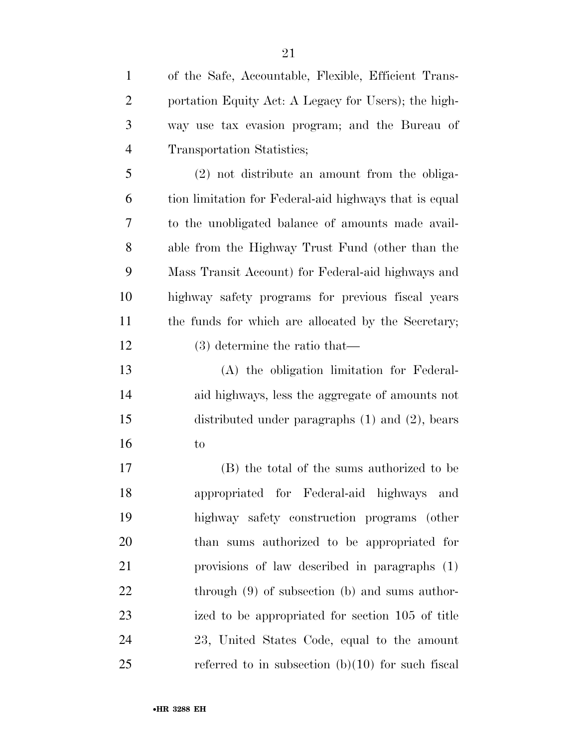of the Safe, Accountable, Flexible, Efficient Trans- portation Equity Act: A Legacy for Users); the high- way use tax evasion program; and the Bureau of Transportation Statistics; (2) not distribute an amount from the obliga- tion limitation for Federal-aid highways that is equal to the unobligated balance of amounts made avail- able from the Highway Trust Fund (other than the Mass Transit Account) for Federal-aid highways and highway safety programs for previous fiscal years 11 the funds for which are allocated by the Secretary; (3) determine the ratio that— (A) the obligation limitation for Federal-

 aid highways, less the aggregate of amounts not distributed under paragraphs (1) and (2), bears to

 (B) the total of the sums authorized to be appropriated for Federal-aid highways and highway safety construction programs (other than sums authorized to be appropriated for provisions of law described in paragraphs (1) 22 through (9) of subsection (b) and sums author- ized to be appropriated for section 105 of title 23, United States Code, equal to the amount referred to in subsection (b)(10) for such fiscal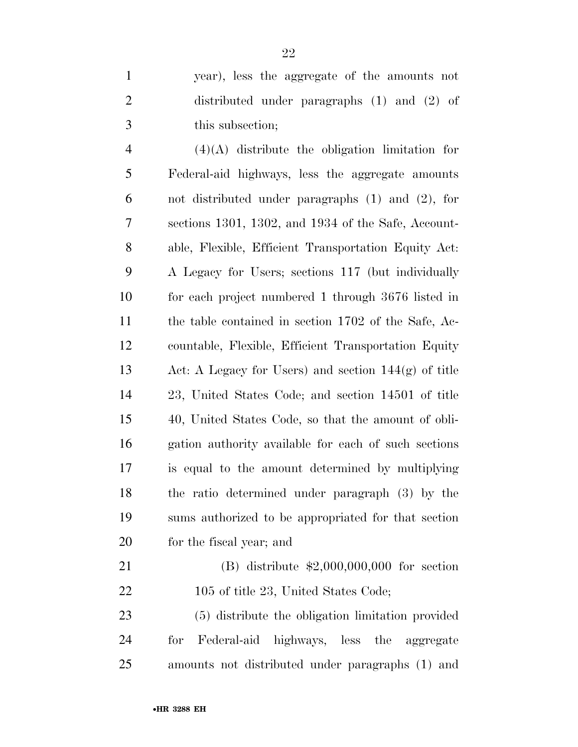|               | year), less the aggregate of the amounts not    |
|---------------|-------------------------------------------------|
|               | distributed under paragraphs $(1)$ and $(2)$ of |
| $\mathcal{F}$ | this subsection;                                |

 (4)(A) distribute the obligation limitation for Federal-aid highways, less the aggregate amounts not distributed under paragraphs (1) and (2), for sections 1301, 1302, and 1934 of the Safe, Account- able, Flexible, Efficient Transportation Equity Act: A Legacy for Users; sections 117 (but individually for each project numbered 1 through 3676 listed in the table contained in section 1702 of the Safe, Ac- countable, Flexible, Efficient Transportation Equity Act: A Legacy for Users) and section 144(g) of title 23, United States Code; and section 14501 of title 40, United States Code, so that the amount of obli- gation authority available for each of such sections is equal to the amount determined by multiplying the ratio determined under paragraph (3) by the sums authorized to be appropriated for that section for the fiscal year; and

 (B) distribute \$2,000,000,000 for section 22 105 of title 23, United States Code;

 (5) distribute the obligation limitation provided for Federal-aid highways, less the aggregate amounts not distributed under paragraphs (1) and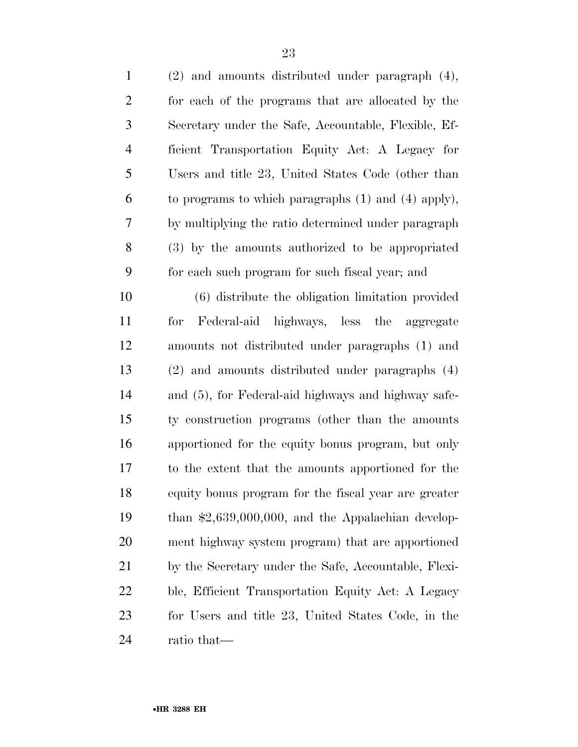| $\mathbf{1}$   | $(2)$ and amounts distributed under paragraph $(4)$ ,   |
|----------------|---------------------------------------------------------|
| $\overline{2}$ | for each of the programs that are allocated by the      |
| 3              | Secretary under the Safe, Accountable, Flexible, Ef-    |
| $\overline{4}$ | ficient Transportation Equity Act: A Legacy for         |
| 5              | Users and title 23, United States Code (other than      |
| 6              | to programs to which paragraphs $(1)$ and $(4)$ apply), |
| 7              | by multiplying the ratio determined under paragraph     |
| 8              | (3) by the amounts authorized to be appropriated        |
| 9              | for each such program for such fiscal year; and         |
| 10             | (6) distribute the obligation limitation provided       |
| 11             | Federal-aid highways, less the aggregate<br>for         |
| 12             | amounts not distributed under paragraphs (1) and        |
| 13             | (2) and amounts distributed under paragraphs (4)        |
| 14             | and (5), for Federal-aid highways and highway safe-     |
| 15             | ty construction programs (other than the amounts        |
| 16             | apportioned for the equity bonus program, but only      |
| 17             | to the extent that the amounts apportioned for the      |
| 18             | equity bonus program for the fiscal year are greater    |
| 19             | than $$2,639,000,000$ , and the Appalachian develop-    |
| 20             | ment highway system program) that are apportioned       |
| 21             | by the Secretary under the Safe, Accountable, Flexi-    |
| 22             | ble, Efficient Transportation Equity Act: A Legacy      |
| 23             | for Users and title 23, United States Code, in the      |
| 24             | ratio that—                                             |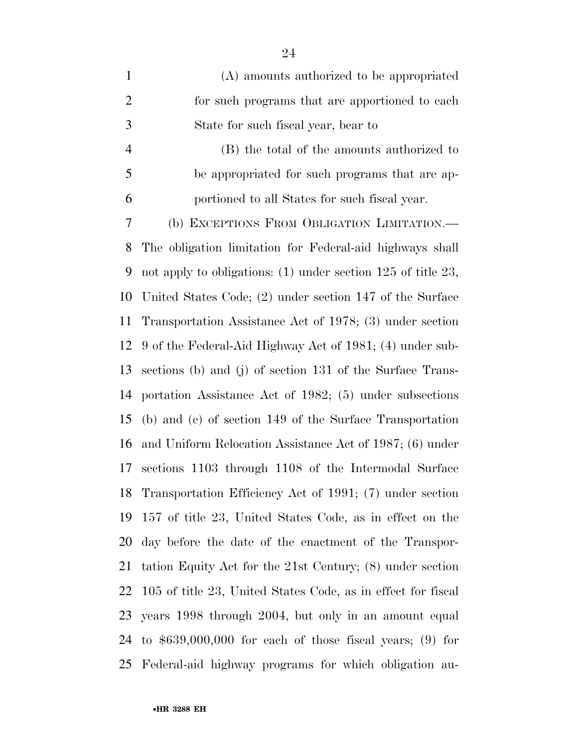| $\mathbf{1}$   | (A) amounts authorized to be appropriated                      |
|----------------|----------------------------------------------------------------|
| $\overline{2}$ | for such programs that are apportioned to each                 |
| 3              | State for such fiscal year, bear to                            |
| $\overline{4}$ | (B) the total of the amounts authorized to                     |
| 5              | be appropriated for such programs that are ap-                 |
| 6              | portioned to all States for such fiscal year.                  |
| 7              | (b) EXCEPTIONS FROM OBLIGATION LIMITATION.—                    |
| 8              | The obligation limitation for Federal-aid highways shall       |
| 9              | not apply to obligations: $(1)$ under section 125 of title 23, |
| 10             | United States Code; (2) under section 147 of the Surface       |
| 11             | Transportation Assistance Act of 1978; (3) under section       |
| 12             | 9 of the Federal-Aid Highway Act of 1981; (4) under sub-       |
| 13             | sections (b) and (j) of section 131 of the Surface Trans-      |
| 14             | portation Assistance Act of 1982; (5) under subsections        |
| 15             | (b) and (c) of section 149 of the Surface Transportation       |
| 16             | and Uniform Relocation Assistance Act of 1987; (6) under       |
| 17             | sections 1103 through 1108 of the Intermodal Surface           |
| 18             | Transportation Efficiency Act of 1991; (7) under section       |
| 19             | 157 of title 23, United States Code, as in effect on the       |
| 20             | day before the date of the enactment of the Transpor-          |
| 21             | tation Equity Act for the 21st Century; (8) under section      |
| 22             | 105 of title 23, United States Code, as in effect for fiscal   |
| 23             | years 1998 through 2004, but only in an amount equal           |
| 24             | to $$639,000,000$ for each of those fiscal years; (9) for      |
| 25             | Federal-aid highway programs for which obligation au-          |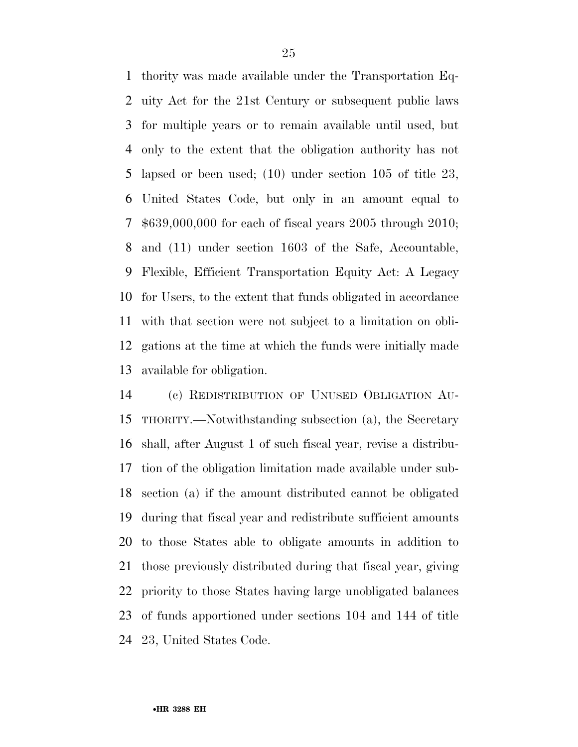thority was made available under the Transportation Eq- uity Act for the 21st Century or subsequent public laws for multiple years or to remain available until used, but only to the extent that the obligation authority has not lapsed or been used; (10) under section 105 of title 23, United States Code, but only in an amount equal to \$639,000,000 for each of fiscal years 2005 through 2010; and (11) under section 1603 of the Safe, Accountable, Flexible, Efficient Transportation Equity Act: A Legacy for Users, to the extent that funds obligated in accordance with that section were not subject to a limitation on obli- gations at the time at which the funds were initially made available for obligation.

 (c) REDISTRIBUTION OF UNUSED OBLIGATION AU- THORITY.—Notwithstanding subsection (a), the Secretary shall, after August 1 of such fiscal year, revise a distribu- tion of the obligation limitation made available under sub- section (a) if the amount distributed cannot be obligated during that fiscal year and redistribute sufficient amounts to those States able to obligate amounts in addition to those previously distributed during that fiscal year, giving priority to those States having large unobligated balances of funds apportioned under sections 104 and 144 of title 23, United States Code.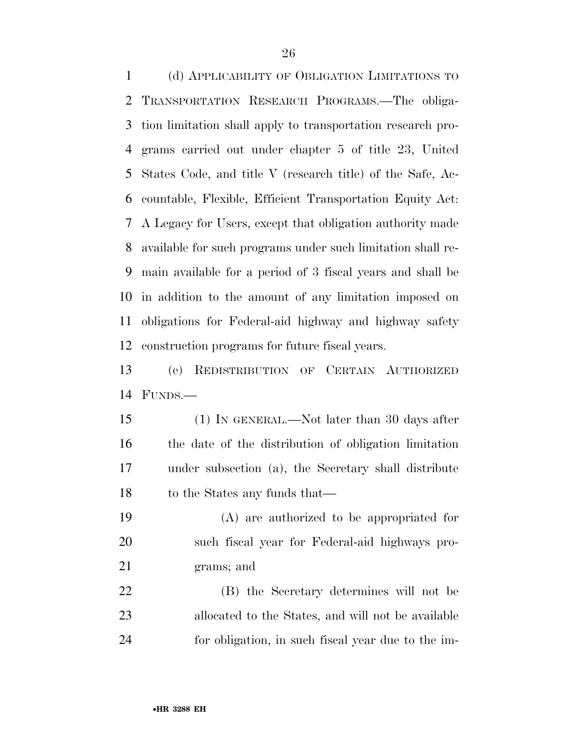(d) APPLICABILITY OF OBLIGATION LIMITATIONS TO TRANSPORTATION RESEARCH PROGRAMS.—The obliga- tion limitation shall apply to transportation research pro- grams carried out under chapter 5 of title 23, United States Code, and title V (research title) of the Safe, Ac- countable, Flexible, Efficient Transportation Equity Act: A Legacy for Users, except that obligation authority made available for such programs under such limitation shall re- main available for a period of 3 fiscal years and shall be in addition to the amount of any limitation imposed on obligations for Federal-aid highway and highway safety construction programs for future fiscal years.

 (e) REDISTRIBUTION OF CERTAIN AUTHORIZED FUNDS.—

 (1) IN GENERAL.—Not later than 30 days after the date of the distribution of obligation limitation under subsection (a), the Secretary shall distribute 18 to the States any funds that—

 (A) are authorized to be appropriated for such fiscal year for Federal-aid highways pro-grams; and

 (B) the Secretary determines will not be allocated to the States, and will not be available for obligation, in such fiscal year due to the im-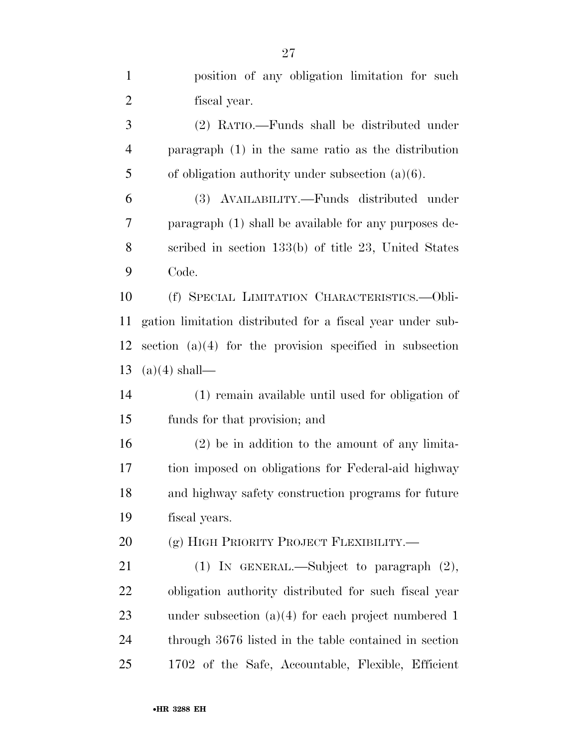| $\mathbf{1}$   | position of any obligation limitation for such             |
|----------------|------------------------------------------------------------|
| $\overline{2}$ | fiscal year.                                               |
| 3              | (2) RATIO.—Funds shall be distributed under                |
| $\overline{4}$ | paragraph $(1)$ in the same ratio as the distribution      |
| 5              | of obligation authority under subsection $(a)(6)$ .        |
| 6              | (3) AVAILABILITY.—Funds distributed under                  |
| 7              | paragraph (1) shall be available for any purposes de-      |
| 8              | scribed in section 133(b) of title 23, United States       |
| 9              | Code.                                                      |
| 10             | (f) SPECIAL LIMITATION CHARACTERISTICS.-- Obli-            |
| 11             | gation limitation distributed for a fiscal year under sub- |
| 12             | section $(a)(4)$ for the provision specified in subsection |
| 13             | $(a)(4)$ shall—                                            |
| 14             | (1) remain available until used for obligation of          |
| 15             | funds for that provision; and                              |
| 16             | $(2)$ be in addition to the amount of any limita-          |
| 17             | tion imposed on obligations for Federal-aid highway        |
| 18             | and highway safety construction programs for future        |
| 19             | fiscal years.                                              |
| 20             | (g) HIGH PRIORITY PROJECT FLEXIBILITY.—                    |
| 21             | (1) IN GENERAL.—Subject to paragraph (2),                  |
| 22             | obligation authority distributed for such fiscal year      |
| 23             | under subsection $(a)(4)$ for each project numbered 1      |
| 24             | through 3676 listed in the table contained in section      |
| 25             | 1702 of the Safe, Accountable, Flexible, Efficient         |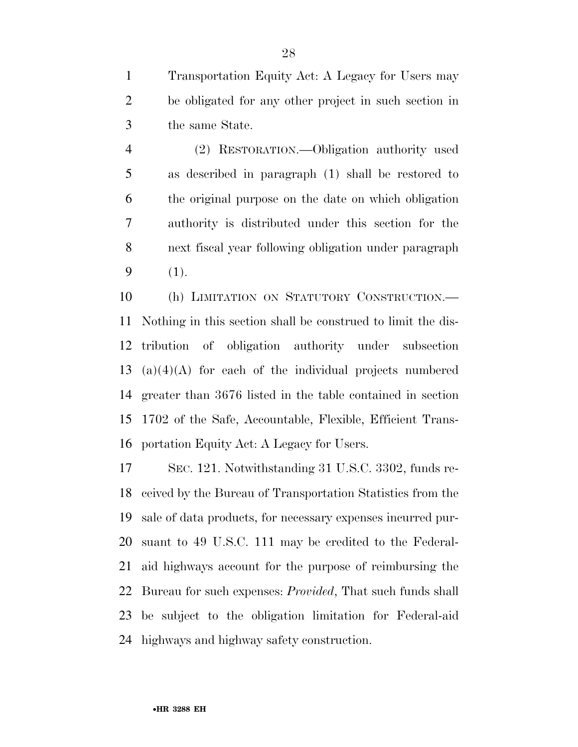Transportation Equity Act: A Legacy for Users may be obligated for any other project in such section in the same State.

 (2) RESTORATION.—Obligation authority used as described in paragraph (1) shall be restored to the original purpose on the date on which obligation authority is distributed under this section for the next fiscal year following obligation under paragraph (1).

 (h) LIMITATION ON STATUTORY CONSTRUCTION.— Nothing in this section shall be construed to limit the dis- tribution of obligation authority under subsection (a)(4)(A) for each of the individual projects numbered greater than 3676 listed in the table contained in section 1702 of the Safe, Accountable, Flexible, Efficient Trans-portation Equity Act: A Legacy for Users.

 SEC. 121. Notwithstanding 31 U.S.C. 3302, funds re- ceived by the Bureau of Transportation Statistics from the sale of data products, for necessary expenses incurred pur- suant to 49 U.S.C. 111 may be credited to the Federal- aid highways account for the purpose of reimbursing the Bureau for such expenses: *Provided*, That such funds shall be subject to the obligation limitation for Federal-aid highways and highway safety construction.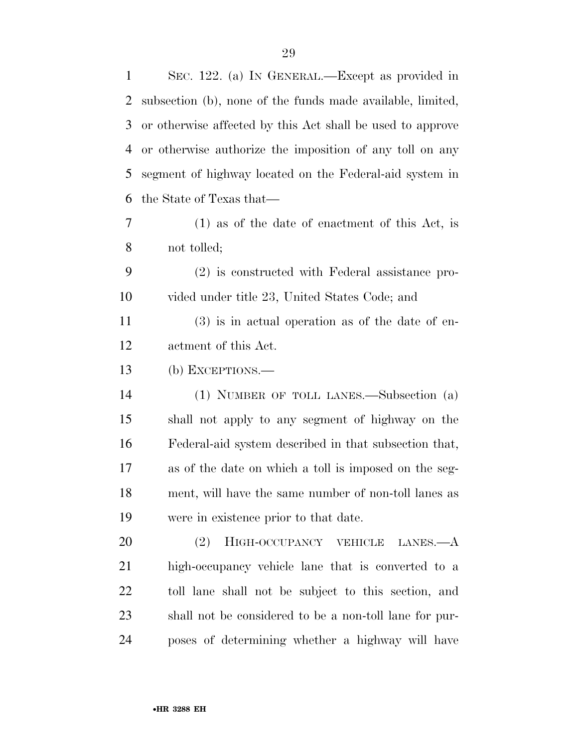| $\mathbf{1}$ | SEC. 122. (a) IN GENERAL.—Except as provided in            |
|--------------|------------------------------------------------------------|
| 2            | subsection (b), none of the funds made available, limited, |
| 3            | or otherwise affected by this Act shall be used to approve |
| 4            | or otherwise authorize the imposition of any toll on any   |
| 5            | segment of highway located on the Federal-aid system in    |
| 6            | the State of Texas that—                                   |
| 7            | $(1)$ as of the date of enactment of this Act, is          |
| 8            | not tolled;                                                |
| 9            | (2) is constructed with Federal assistance pro-            |
| 10           | vided under title 23, United States Code; and              |
| 11           | $(3)$ is in actual operation as of the date of en-         |
| 12           | actment of this Act.                                       |
| 13           | (b) EXCEPTIONS.—                                           |
| 14           | (1) NUMBER OF TOLL LANES.—Subsection (a)                   |
| 15           | shall not apply to any segment of highway on the           |
| 16           | Federal-aid system described in that subsection that,      |
| 17           | as of the date on which a toll is imposed on the seg-      |
| 18           | ment, will have the same number of non-toll lanes as       |
| 19           | were in existence prior to that date.                      |
| 20           | (2)<br>HIGH-OCCUPANCY VEHICLE LANES.-A                     |
| 21           | high-occupancy vehicle lane that is converted to a         |
| 22           | toll lane shall not be subject to this section, and        |
| 23           | shall not be considered to be a non-toll lane for pur-     |
| 24           | poses of determining whether a highway will have           |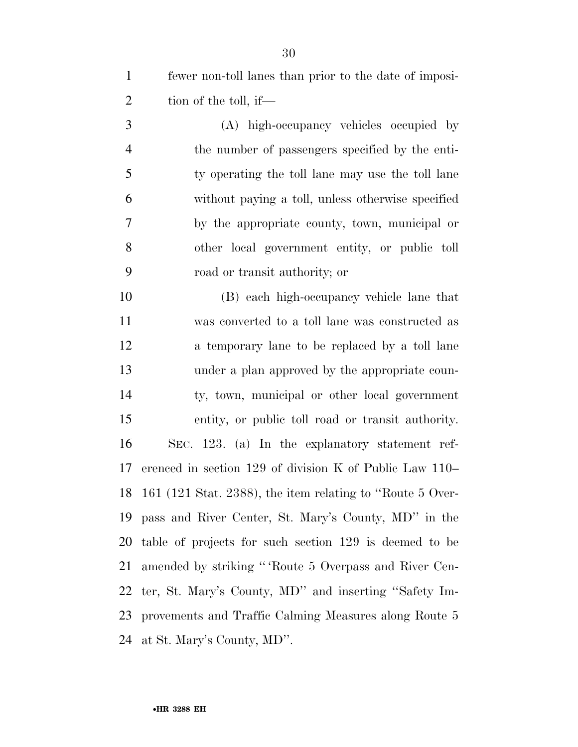fewer non-toll lanes than prior to the date of imposi-2 tion of the toll, if—

 (A) high-occupancy vehicles occupied by the number of passengers specified by the enti- ty operating the toll lane may use the toll lane without paying a toll, unless otherwise specified by the appropriate county, town, municipal or other local government entity, or public toll road or transit authority; or

 (B) each high-occupancy vehicle lane that was converted to a toll lane was constructed as 12 a temporary lane to be replaced by a toll lane under a plan approved by the appropriate coun- ty, town, municipal or other local government entity, or public toll road or transit authority. SEC. 123. (a) In the explanatory statement ref- erenced in section 129 of division K of Public Law 110– 161 (121 Stat. 2388), the item relating to ''Route 5 Over- pass and River Center, St. Mary's County, MD'' in the table of projects for such section 129 is deemed to be amended by striking '' 'Route 5 Overpass and River Cen- ter, St. Mary's County, MD'' and inserting ''Safety Im- provements and Traffic Calming Measures along Route 5 at St. Mary's County, MD''.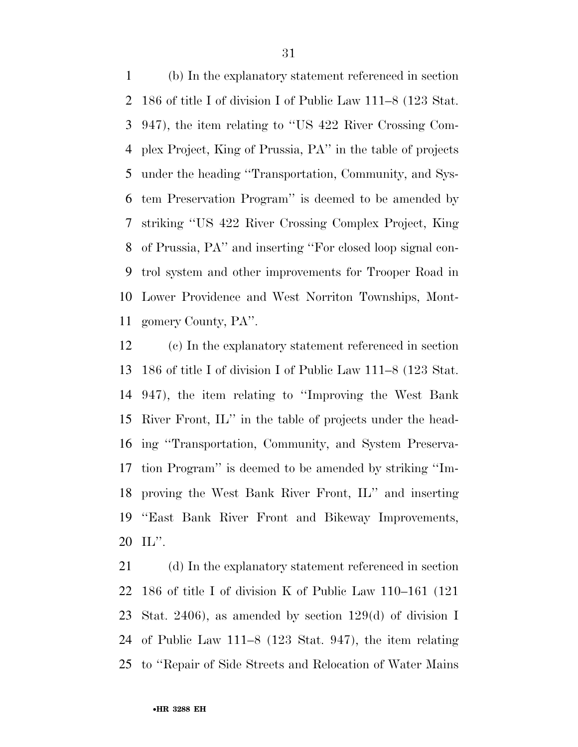(b) In the explanatory statement referenced in section 186 of title I of division I of Public Law 111–8 (123 Stat. 947), the item relating to ''US 422 River Crossing Com- plex Project, King of Prussia, PA'' in the table of projects under the heading ''Transportation, Community, and Sys- tem Preservation Program'' is deemed to be amended by striking ''US 422 River Crossing Complex Project, King of Prussia, PA'' and inserting ''For closed loop signal con- trol system and other improvements for Trooper Road in Lower Providence and West Norriton Townships, Mont-gomery County, PA''.

 (c) In the explanatory statement referenced in section 186 of title I of division I of Public Law 111–8 (123 Stat. 947), the item relating to ''Improving the West Bank River Front, IL'' in the table of projects under the head- ing ''Transportation, Community, and System Preserva- tion Program'' is deemed to be amended by striking ''Im- proving the West Bank River Front, IL'' and inserting ''East Bank River Front and Bikeway Improvements, IL''.

 (d) In the explanatory statement referenced in section 186 of title I of division K of Public Law 110–161 (121 Stat. 2406), as amended by section 129(d) of division I of Public Law 111–8 (123 Stat. 947), the item relating to ''Repair of Side Streets and Relocation of Water Mains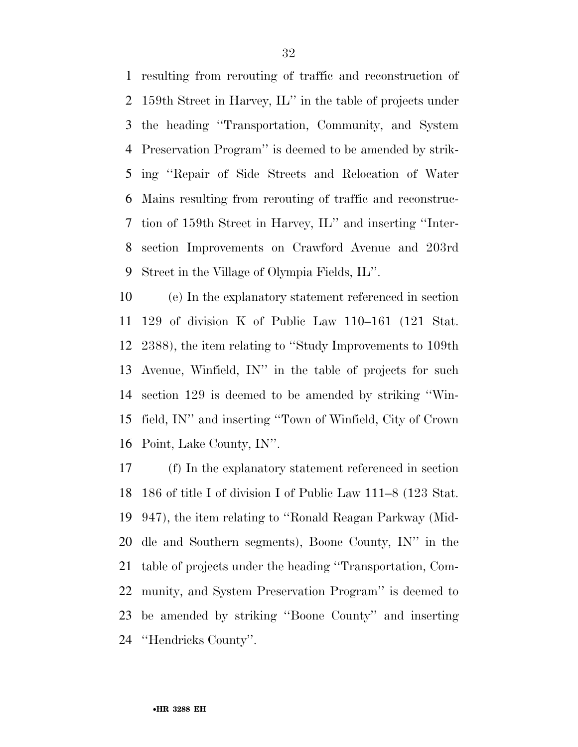resulting from rerouting of traffic and reconstruction of 159th Street in Harvey, IL'' in the table of projects under the heading ''Transportation, Community, and System Preservation Program'' is deemed to be amended by strik- ing ''Repair of Side Streets and Relocation of Water Mains resulting from rerouting of traffic and reconstruc- tion of 159th Street in Harvey, IL'' and inserting ''Inter- section Improvements on Crawford Avenue and 203rd Street in the Village of Olympia Fields, IL''.

 (e) In the explanatory statement referenced in section 129 of division K of Public Law 110–161 (121 Stat. 2388), the item relating to ''Study Improvements to 109th Avenue, Winfield, IN'' in the table of projects for such section 129 is deemed to be amended by striking ''Win- field, IN'' and inserting ''Town of Winfield, City of Crown Point, Lake County, IN''.

 (f) In the explanatory statement referenced in section 186 of title I of division I of Public Law 111–8 (123 Stat. 947), the item relating to ''Ronald Reagan Parkway (Mid- dle and Southern segments), Boone County, IN'' in the table of projects under the heading ''Transportation, Com- munity, and System Preservation Program'' is deemed to be amended by striking ''Boone County'' and inserting ''Hendricks County''.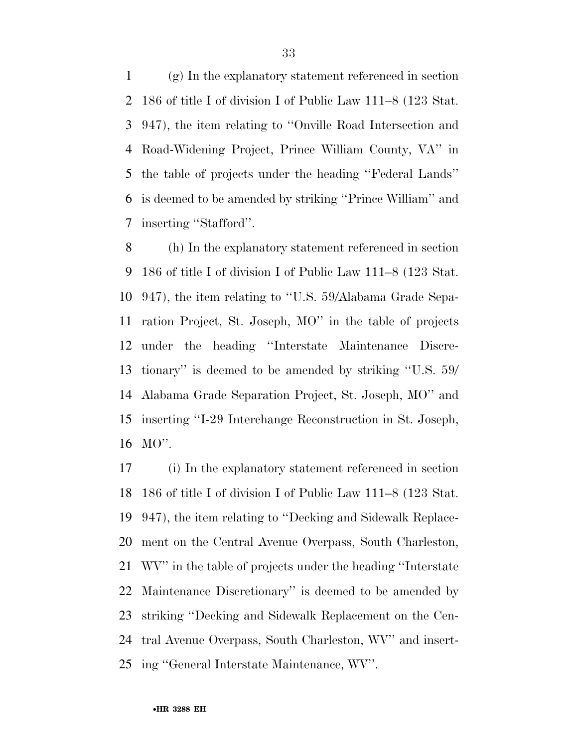(g) In the explanatory statement referenced in section 186 of title I of division I of Public Law 111–8 (123 Stat. 947), the item relating to ''Onville Road Intersection and Road-Widening Project, Prince William County, VA'' in the table of projects under the heading ''Federal Lands'' is deemed to be amended by striking ''Prince William'' and inserting ''Stafford''.

 (h) In the explanatory statement referenced in section 186 of title I of division I of Public Law 111–8 (123 Stat. 947), the item relating to ''U.S. 59/Alabama Grade Sepa- ration Project, St. Joseph, MO'' in the table of projects under the heading ''Interstate Maintenance Discre- tionary'' is deemed to be amended by striking ''U.S. 59/ Alabama Grade Separation Project, St. Joseph, MO'' and inserting ''I-29 Interchange Reconstruction in St. Joseph, MO''.

 (i) In the explanatory statement referenced in section 186 of title I of division I of Public Law 111–8 (123 Stat. 947), the item relating to ''Decking and Sidewalk Replace- ment on the Central Avenue Overpass, South Charleston, WV'' in the table of projects under the heading ''Interstate Maintenance Discretionary'' is deemed to be amended by striking ''Decking and Sidewalk Replacement on the Cen- tral Avenue Overpass, South Charleston, WV'' and insert-ing ''General Interstate Maintenance, WV''.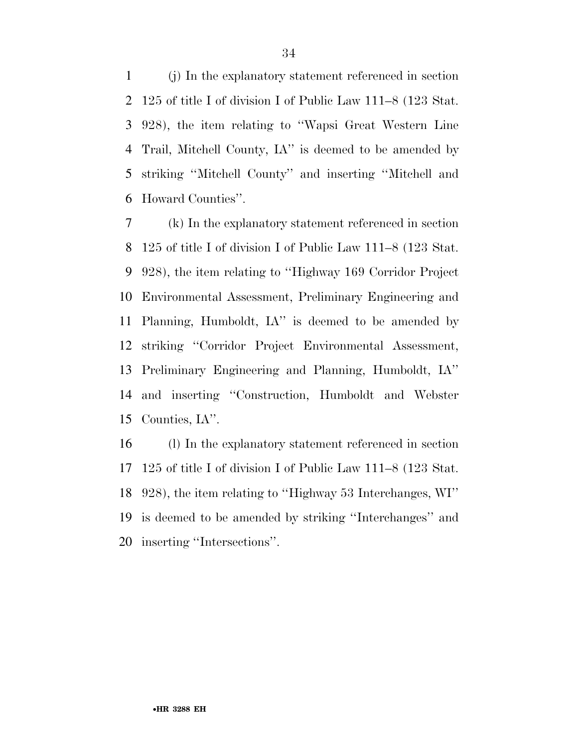(j) In the explanatory statement referenced in section 125 of title I of division I of Public Law 111–8 (123 Stat. 928), the item relating to ''Wapsi Great Western Line Trail, Mitchell County, IA'' is deemed to be amended by striking ''Mitchell County'' and inserting ''Mitchell and Howard Counties''.

 (k) In the explanatory statement referenced in section 125 of title I of division I of Public Law 111–8 (123 Stat. 928), the item relating to ''Highway 169 Corridor Project Environmental Assessment, Preliminary Engineering and Planning, Humboldt, IA'' is deemed to be amended by striking ''Corridor Project Environmental Assessment, Preliminary Engineering and Planning, Humboldt, IA'' and inserting ''Construction, Humboldt and Webster Counties, IA''.

 (l) In the explanatory statement referenced in section 125 of title I of division I of Public Law 111–8 (123 Stat. 928), the item relating to ''Highway 53 Interchanges, WI'' is deemed to be amended by striking ''Interchanges'' and inserting ''Intersections''.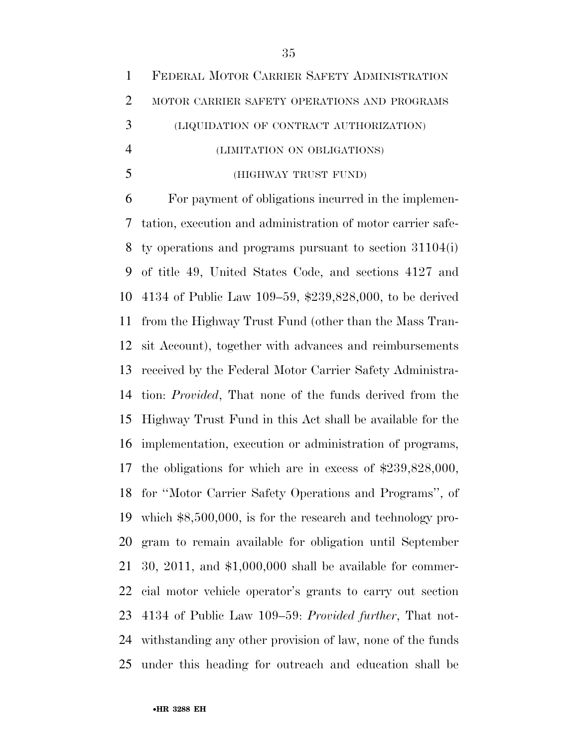|   | 1 FEDERAL MOTOR CARRIER SAFETY ADMINISTRATION |
|---|-----------------------------------------------|
| 2 | MOTOR CARRIER SAFETY OPERATIONS AND PROGRAMS  |
| 3 | (LIQUIDATION OF CONTRACT AUTHORIZATION)       |
|   | (LIMITATION ON OBLIGATIONS)                   |
|   | (HIGHWAY TRUST FUND)                          |

 For payment of obligations incurred in the implemen- tation, execution and administration of motor carrier safe- ty operations and programs pursuant to section 31104(i) of title 49, United States Code, and sections 4127 and 4134 of Public Law 109–59, \$239,828,000, to be derived from the Highway Trust Fund (other than the Mass Tran- sit Account), together with advances and reimbursements received by the Federal Motor Carrier Safety Administra- tion: *Provided*, That none of the funds derived from the Highway Trust Fund in this Act shall be available for the implementation, execution or administration of programs, the obligations for which are in excess of \$239,828,000, for ''Motor Carrier Safety Operations and Programs'', of which \$8,500,000, is for the research and technology pro- gram to remain available for obligation until September 30, 2011, and \$1,000,000 shall be available for commer- cial motor vehicle operator's grants to carry out section 4134 of Public Law 109–59: *Provided further*, That not- withstanding any other provision of law, none of the funds under this heading for outreach and education shall be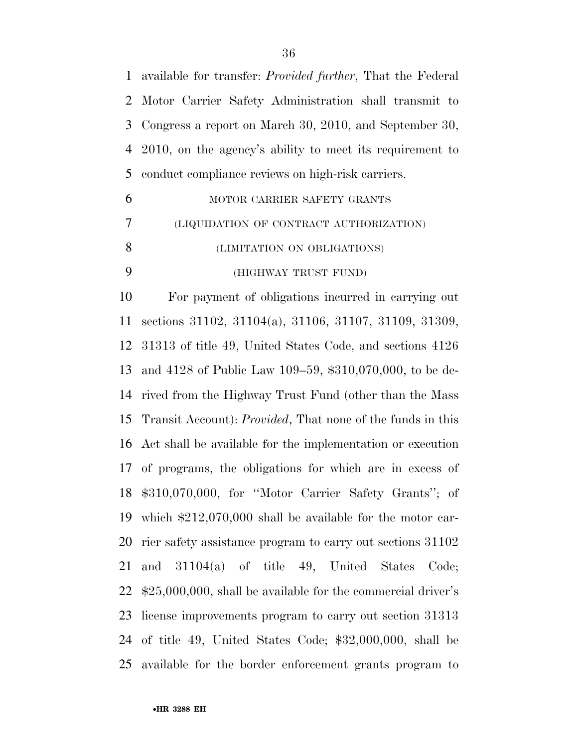available for transfer: *Provided further*, That the Federal Motor Carrier Safety Administration shall transmit to Congress a report on March 30, 2010, and September 30, 2010, on the agency's ability to meet its requirement to conduct compliance reviews on high-risk carriers.

|    | MOTOR CARRIER SAFETY GRANTS             |
|----|-----------------------------------------|
|    | (LIQUIDATION OF CONTRACT AUTHORIZATION) |
| -8 | (LIMITATION ON OBLIGATIONS)             |
|    | (HIGHWAY TRUST FUND)                    |

 For payment of obligations incurred in carrying out sections 31102, 31104(a), 31106, 31107, 31109, 31309, 31313 of title 49, United States Code, and sections 4126 and 4128 of Public Law 109–59, \$310,070,000, to be de- rived from the Highway Trust Fund (other than the Mass Transit Account): *Provided*, That none of the funds in this Act shall be available for the implementation or execution of programs, the obligations for which are in excess of \$310,070,000, for ''Motor Carrier Safety Grants''; of which \$212,070,000 shall be available for the motor car- rier safety assistance program to carry out sections 31102 and 31104(a) of title 49, United States Code; \$25,000,000, shall be available for the commercial driver's license improvements program to carry out section 31313 of title 49, United States Code; \$32,000,000, shall be available for the border enforcement grants program to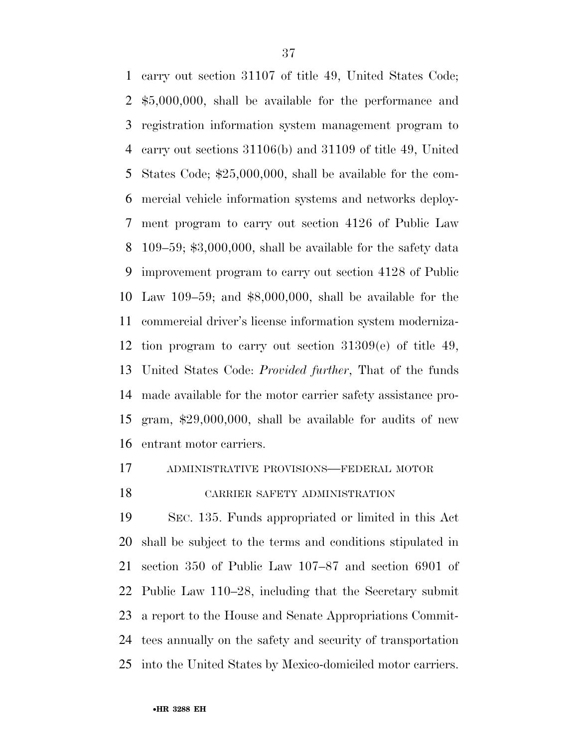carry out section 31107 of title 49, United States Code; \$5,000,000, shall be available for the performance and registration information system management program to carry out sections 31106(b) and 31109 of title 49, United States Code; \$25,000,000, shall be available for the com- mercial vehicle information systems and networks deploy- ment program to carry out section 4126 of Public Law 109–59; \$3,000,000, shall be available for the safety data improvement program to carry out section 4128 of Public Law 109–59; and \$8,000,000, shall be available for the commercial driver's license information system moderniza- tion program to carry out section 31309(e) of title 49, United States Code: *Provided further*, That of the funds made available for the motor carrier safety assistance pro- gram, \$29,000,000, shall be available for audits of new entrant motor carriers.

## ADMINISTRATIVE PROVISIONS—FEDERAL MOTOR

## CARRIER SAFETY ADMINISTRATION

 SEC. 135. Funds appropriated or limited in this Act shall be subject to the terms and conditions stipulated in section 350 of Public Law 107–87 and section 6901 of Public Law 110–28, including that the Secretary submit a report to the House and Senate Appropriations Commit- tees annually on the safety and security of transportation into the United States by Mexico-domiciled motor carriers.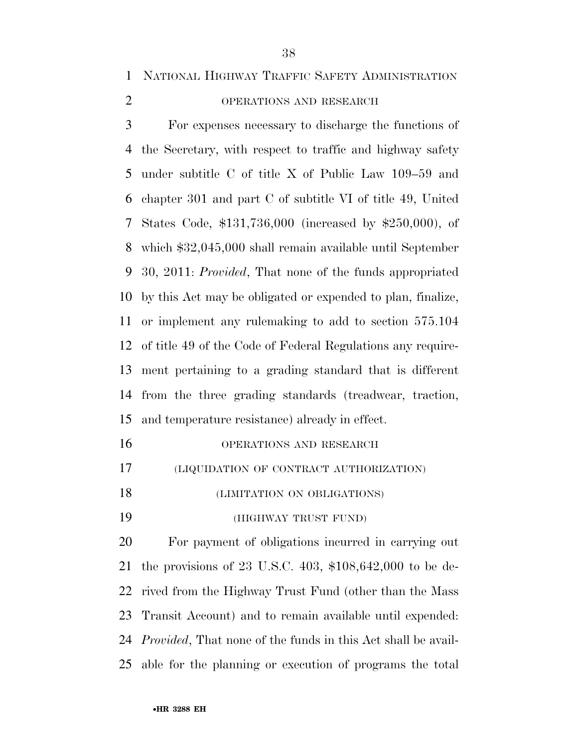NATIONAL HIGHWAY TRAFFIC SAFETY ADMINISTRATION

## OPERATIONS AND RESEARCH

 For expenses necessary to discharge the functions of the Secretary, with respect to traffic and highway safety under subtitle C of title X of Public Law 109–59 and chapter 301 and part C of subtitle VI of title 49, United States Code, \$131,736,000 (increased by \$250,000), of which \$32,045,000 shall remain available until September 30, 2011: *Provided*, That none of the funds appropriated by this Act may be obligated or expended to plan, finalize, or implement any rulemaking to add to section 575.104 of title 49 of the Code of Federal Regulations any require- ment pertaining to a grading standard that is different from the three grading standards (treadwear, traction, and temperature resistance) already in effect.

| OPERATIONS AND RESEARCH |
|-------------------------|
|                         |

- (LIQUIDATION OF CONTRACT AUTHORIZATION)
- (LIMITATION ON OBLIGATIONS)

(HIGHWAY TRUST FUND)

 For payment of obligations incurred in carrying out the provisions of 23 U.S.C. 403, \$108,642,000 to be de- rived from the Highway Trust Fund (other than the Mass Transit Account) and to remain available until expended: *Provided*, That none of the funds in this Act shall be avail-able for the planning or execution of programs the total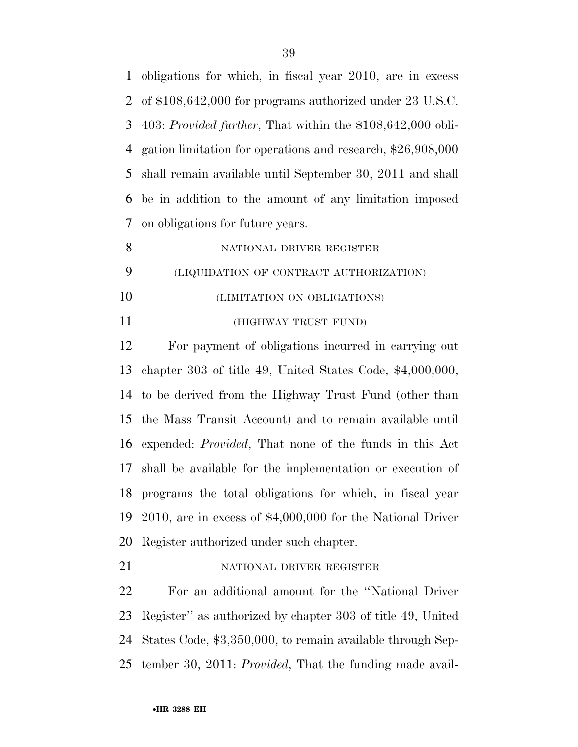obligations for which, in fiscal year 2010, are in excess of \$108,642,000 for programs authorized under 23 U.S.C. 403: *Provided further*, That within the \$108,642,000 obli- gation limitation for operations and research, \$26,908,000 shall remain available until September 30, 2011 and shall be in addition to the amount of any limitation imposed on obligations for future years.

8 NATIONAL DRIVER REGISTER (LIQUIDATION OF CONTRACT AUTHORIZATION) (LIMITATION ON OBLIGATIONS) (HIGHWAY TRUST FUND)

 For payment of obligations incurred in carrying out chapter 303 of title 49, United States Code, \$4,000,000, to be derived from the Highway Trust Fund (other than the Mass Transit Account) and to remain available until expended: *Provided*, That none of the funds in this Act shall be available for the implementation or execution of programs the total obligations for which, in fiscal year 2010, are in excess of \$4,000,000 for the National Driver Register authorized under such chapter.

21 NATIONAL DRIVER REGISTER

 For an additional amount for the ''National Driver Register'' as authorized by chapter 303 of title 49, United States Code, \$3,350,000, to remain available through Sep-tember 30, 2011: *Provided*, That the funding made avail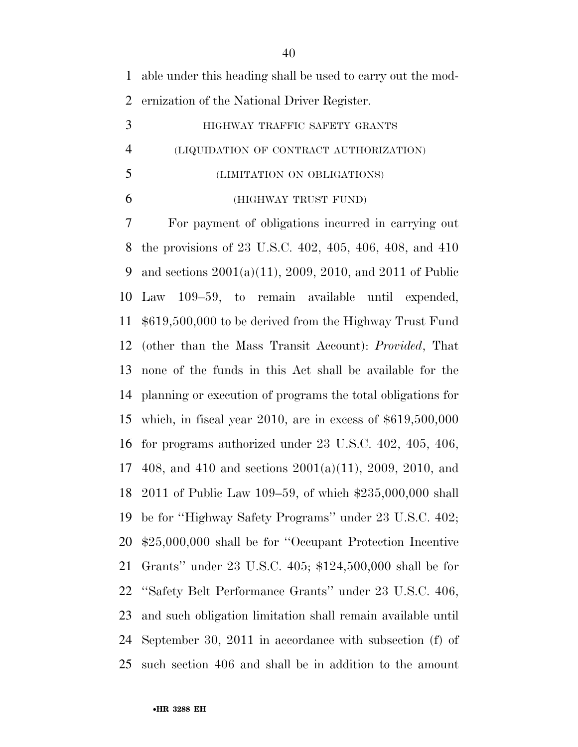able under this heading shall be used to carry out the mod-ernization of the National Driver Register.

|                | HIGHWAY TRAFFIC SAFETY GRANTS           |
|----------------|-----------------------------------------|
| $\overline{4}$ | (LIQUIDATION OF CONTRACT AUTHORIZATION) |
| 5              | (LIMITATION ON OBLIGATIONS)             |

(HIGHWAY TRUST FUND)

 For payment of obligations incurred in carrying out the provisions of 23 U.S.C. 402, 405, 406, 408, and 410 and sections 2001(a)(11), 2009, 2010, and 2011 of Public Law 109–59, to remain available until expended, \$619,500,000 to be derived from the Highway Trust Fund (other than the Mass Transit Account): *Provided*, That none of the funds in this Act shall be available for the planning or execution of programs the total obligations for which, in fiscal year 2010, are in excess of \$619,500,000 for programs authorized under 23 U.S.C. 402, 405, 406, 408, and 410 and sections 2001(a)(11), 2009, 2010, and 2011 of Public Law 109–59, of which \$235,000,000 shall be for ''Highway Safety Programs'' under 23 U.S.C. 402; \$25,000,000 shall be for ''Occupant Protection Incentive Grants'' under 23 U.S.C. 405; \$124,500,000 shall be for ''Safety Belt Performance Grants'' under 23 U.S.C. 406, and such obligation limitation shall remain available until September 30, 2011 in accordance with subsection (f) of such section 406 and shall be in addition to the amount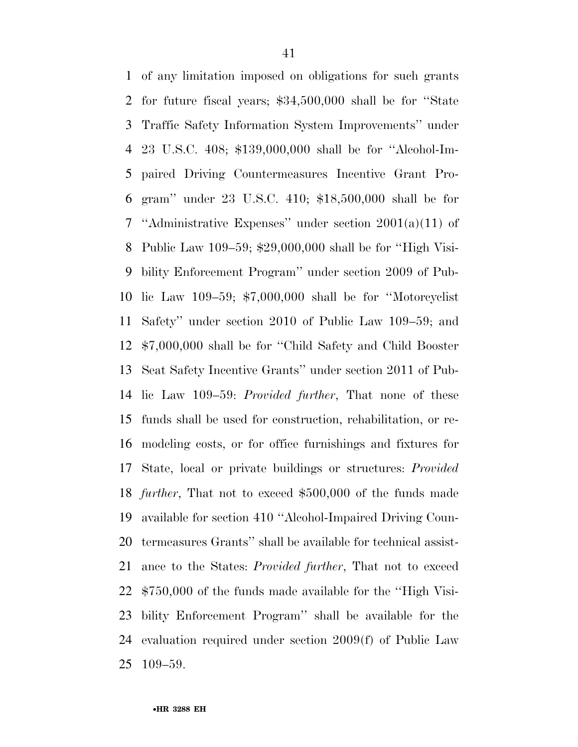of any limitation imposed on obligations for such grants for future fiscal years; \$34,500,000 shall be for ''State Traffic Safety Information System Improvements'' under 23 U.S.C. 408; \$139,000,000 shall be for ''Alcohol-Im- paired Driving Countermeasures Incentive Grant Pro- gram'' under 23 U.S.C. 410; \$18,500,000 shall be for ''Administrative Expenses'' under section 2001(a)(11) of Public Law 109–59; \$29,000,000 shall be for ''High Visi- bility Enforcement Program'' under section 2009 of Pub- lic Law 109–59; \$7,000,000 shall be for ''Motorcyclist Safety'' under section 2010 of Public Law 109–59; and \$7,000,000 shall be for ''Child Safety and Child Booster Seat Safety Incentive Grants'' under section 2011 of Pub- lic Law 109–59: *Provided further*, That none of these funds shall be used for construction, rehabilitation, or re- modeling costs, or for office furnishings and fixtures for State, local or private buildings or structures: *Provided further*, That not to exceed \$500,000 of the funds made available for section 410 ''Alcohol-Impaired Driving Coun- termeasures Grants'' shall be available for technical assist- ance to the States: *Provided further*, That not to exceed \$750,000 of the funds made available for the ''High Visi- bility Enforcement Program'' shall be available for the evaluation required under section 2009(f) of Public Law 109–59.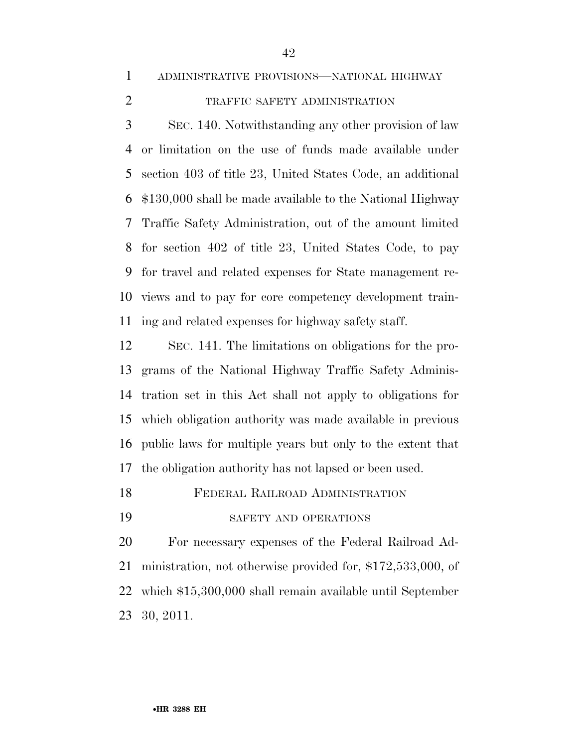ADMINISTRATIVE PROVISIONS—NATIONAL HIGHWAY

## TRAFFIC SAFETY ADMINISTRATION

 SEC. 140. Notwithstanding any other provision of law or limitation on the use of funds made available under section 403 of title 23, United States Code, an additional \$130,000 shall be made available to the National Highway Traffic Safety Administration, out of the amount limited for section 402 of title 23, United States Code, to pay for travel and related expenses for State management re- views and to pay for core competency development train-ing and related expenses for highway safety staff.

 SEC. 141. The limitations on obligations for the pro- grams of the National Highway Traffic Safety Adminis- tration set in this Act shall not apply to obligations for which obligation authority was made available in previous public laws for multiple years but only to the extent that the obligation authority has not lapsed or been used.

FEDERAL RAILROAD ADMINISTRATION

SAFETY AND OPERATIONS

 For necessary expenses of the Federal Railroad Ad- ministration, not otherwise provided for, \$172,533,000, of which \$15,300,000 shall remain available until September 30, 2011.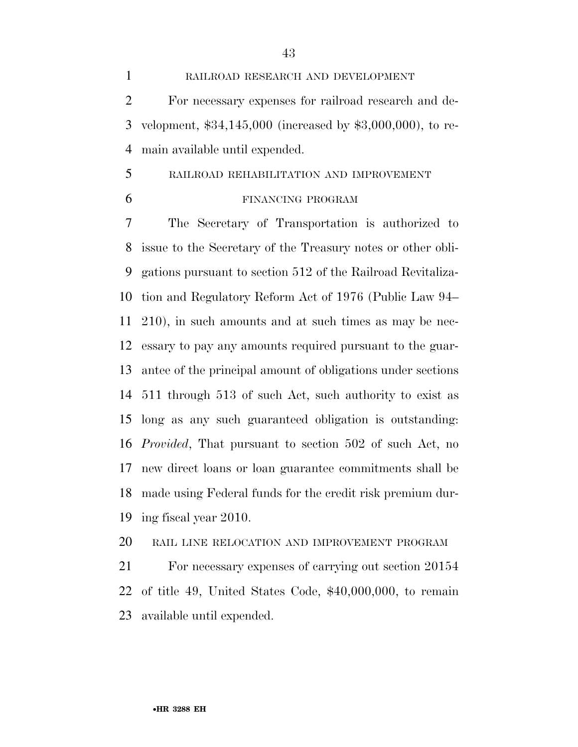RAILROAD RESEARCH AND DEVELOPMENT For necessary expenses for railroad research and de- velopment, \$34,145,000 (increased by \$3,000,000), to re-main available until expended.

#### RAILROAD REHABILITATION AND IMPROVEMENT

#### FINANCING PROGRAM

 The Secretary of Transportation is authorized to issue to the Secretary of the Treasury notes or other obli- gations pursuant to section 512 of the Railroad Revitaliza- tion and Regulatory Reform Act of 1976 (Public Law 94– 210), in such amounts and at such times as may be nec- essary to pay any amounts required pursuant to the guar- antee of the principal amount of obligations under sections 511 through 513 of such Act, such authority to exist as long as any such guaranteed obligation is outstanding: *Provided*, That pursuant to section 502 of such Act, no new direct loans or loan guarantee commitments shall be made using Federal funds for the credit risk premium dur-ing fiscal year 2010.

## RAIL LINE RELOCATION AND IMPROVEMENT PROGRAM

 For necessary expenses of carrying out section 20154 of title 49, United States Code, \$40,000,000, to remain available until expended.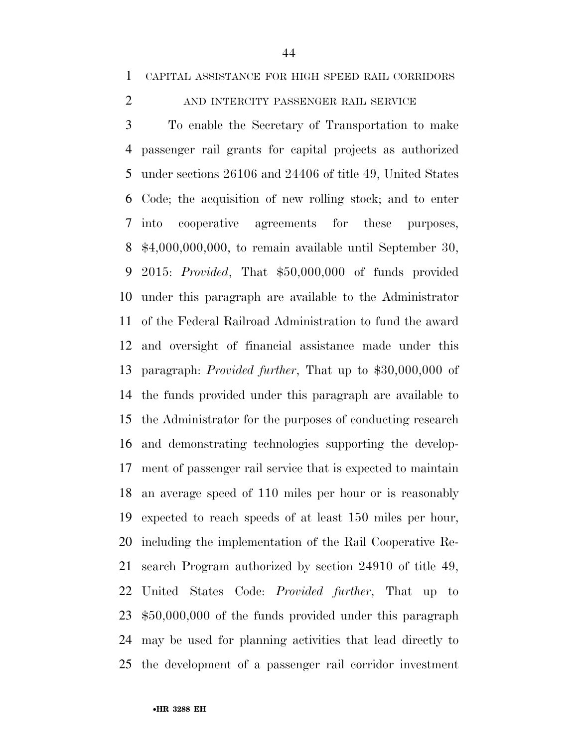### 2 AND INTERCITY PASSENGER RAIL SERVICE

 To enable the Secretary of Transportation to make passenger rail grants for capital projects as authorized under sections 26106 and 24406 of title 49, United States Code; the acquisition of new rolling stock; and to enter into cooperative agreements for these purposes, \$4,000,000,000, to remain available until September 30, 2015: *Provided*, That \$50,000,000 of funds provided under this paragraph are available to the Administrator of the Federal Railroad Administration to fund the award and oversight of financial assistance made under this paragraph: *Provided further*, That up to \$30,000,000 of the funds provided under this paragraph are available to the Administrator for the purposes of conducting research and demonstrating technologies supporting the develop- ment of passenger rail service that is expected to maintain an average speed of 110 miles per hour or is reasonably expected to reach speeds of at least 150 miles per hour, including the implementation of the Rail Cooperative Re- search Program authorized by section 24910 of title 49, United States Code: *Provided further*, That up to \$50,000,000 of the funds provided under this paragraph may be used for planning activities that lead directly to the development of a passenger rail corridor investment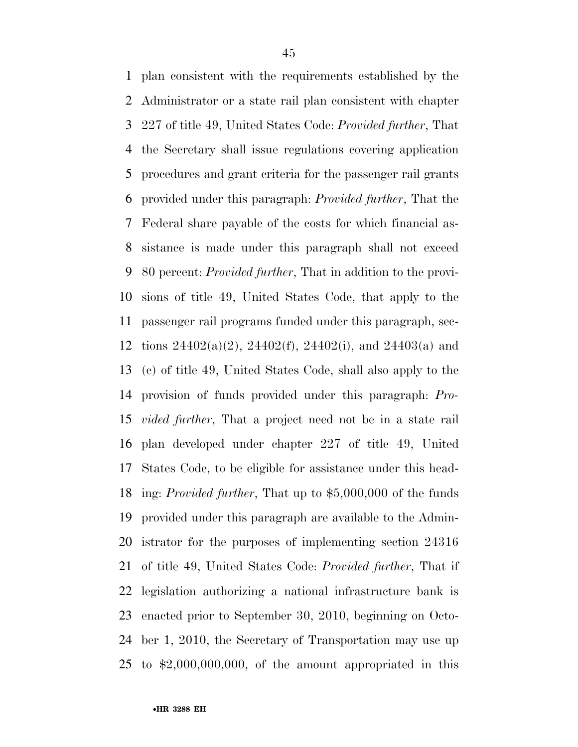plan consistent with the requirements established by the Administrator or a state rail plan consistent with chapter 227 of title 49, United States Code: *Provided further*, That the Secretary shall issue regulations covering application procedures and grant criteria for the passenger rail grants provided under this paragraph: *Provided further*, That the Federal share payable of the costs for which financial as- sistance is made under this paragraph shall not exceed 80 percent: *Provided further*, That in addition to the provi- sions of title 49, United States Code, that apply to the passenger rail programs funded under this paragraph, sec- tions 24402(a)(2), 24402(f), 24402(i), and 24403(a) and (c) of title 49, United States Code, shall also apply to the provision of funds provided under this paragraph: *Pro- vided further*, That a project need not be in a state rail plan developed under chapter 227 of title 49, United States Code, to be eligible for assistance under this head- ing: *Provided further*, That up to \$5,000,000 of the funds provided under this paragraph are available to the Admin- istrator for the purposes of implementing section 24316 of title 49, United States Code: *Provided further*, That if legislation authorizing a national infrastructure bank is enacted prior to September 30, 2010, beginning on Octo- ber 1, 2010, the Secretary of Transportation may use up to \$2,000,000,000, of the amount appropriated in this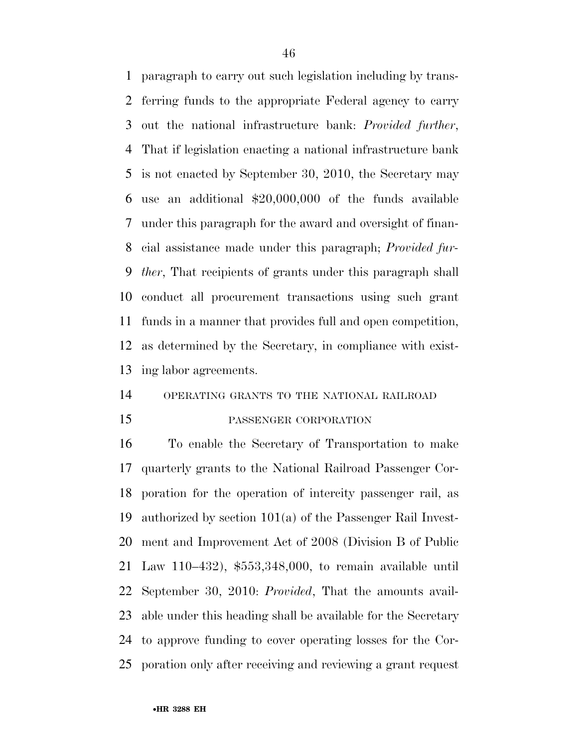paragraph to carry out such legislation including by trans- ferring funds to the appropriate Federal agency to carry out the national infrastructure bank: *Provided further*, That if legislation enacting a national infrastructure bank is not enacted by September 30, 2010, the Secretary may use an additional \$20,000,000 of the funds available under this paragraph for the award and oversight of finan- cial assistance made under this paragraph; *Provided fur- ther*, That recipients of grants under this paragraph shall conduct all procurement transactions using such grant funds in a manner that provides full and open competition, as determined by the Secretary, in compliance with exist-ing labor agreements.

#### OPERATING GRANTS TO THE NATIONAL RAILROAD

#### PASSENGER CORPORATION

 To enable the Secretary of Transportation to make quarterly grants to the National Railroad Passenger Cor- poration for the operation of intercity passenger rail, as authorized by section 101(a) of the Passenger Rail Invest- ment and Improvement Act of 2008 (Division B of Public Law 110–432), \$553,348,000, to remain available until September 30, 2010: *Provided*, That the amounts avail- able under this heading shall be available for the Secretary to approve funding to cover operating losses for the Cor-poration only after receiving and reviewing a grant request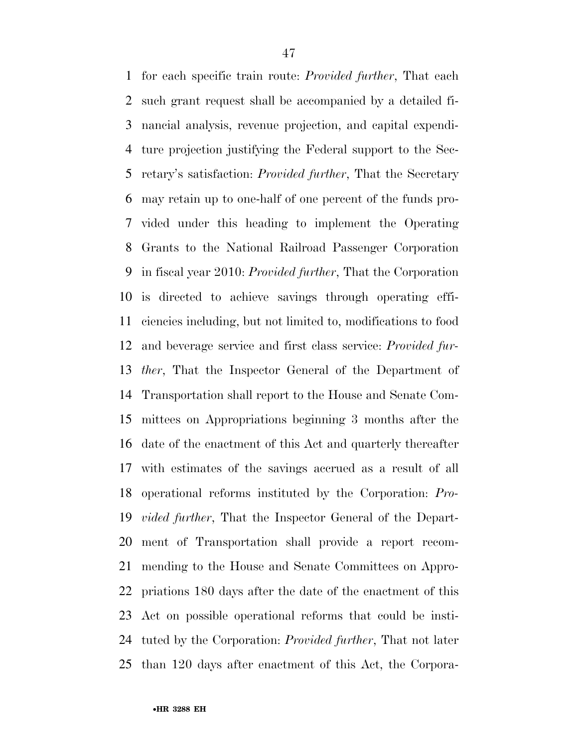for each specific train route: *Provided further*, That each such grant request shall be accompanied by a detailed fi- nancial analysis, revenue projection, and capital expendi- ture projection justifying the Federal support to the Sec- retary's satisfaction: *Provided further*, That the Secretary may retain up to one-half of one percent of the funds pro- vided under this heading to implement the Operating Grants to the National Railroad Passenger Corporation in fiscal year 2010: *Provided further*, That the Corporation is directed to achieve savings through operating effi- ciencies including, but not limited to, modifications to food and beverage service and first class service: *Provided fur- ther*, That the Inspector General of the Department of Transportation shall report to the House and Senate Com- mittees on Appropriations beginning 3 months after the date of the enactment of this Act and quarterly thereafter with estimates of the savings accrued as a result of all operational reforms instituted by the Corporation: *Pro- vided further*, That the Inspector General of the Depart- ment of Transportation shall provide a report recom- mending to the House and Senate Committees on Appro- priations 180 days after the date of the enactment of this Act on possible operational reforms that could be insti- tuted by the Corporation: *Provided further*, That not later than 120 days after enactment of this Act, the Corpora-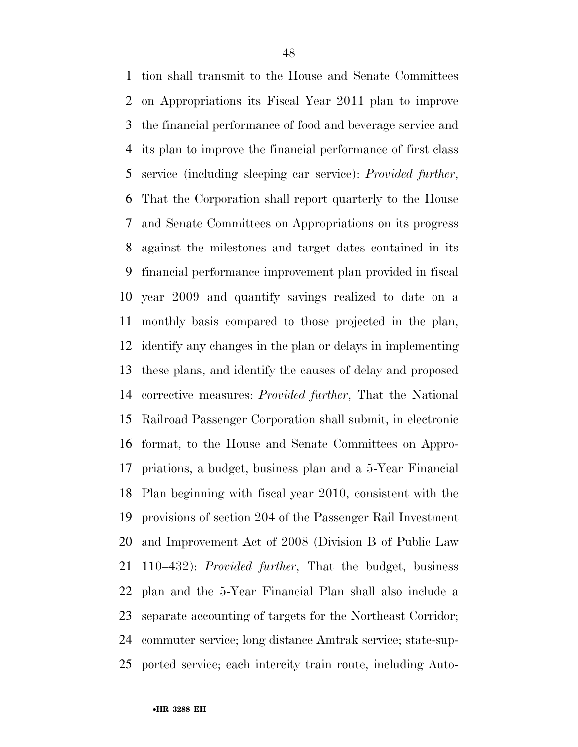tion shall transmit to the House and Senate Committees on Appropriations its Fiscal Year 2011 plan to improve the financial performance of food and beverage service and its plan to improve the financial performance of first class service (including sleeping car service): *Provided further*, That the Corporation shall report quarterly to the House and Senate Committees on Appropriations on its progress against the milestones and target dates contained in its financial performance improvement plan provided in fiscal year 2009 and quantify savings realized to date on a monthly basis compared to those projected in the plan, identify any changes in the plan or delays in implementing these plans, and identify the causes of delay and proposed corrective measures: *Provided further*, That the National Railroad Passenger Corporation shall submit, in electronic format, to the House and Senate Committees on Appro- priations, a budget, business plan and a 5-Year Financial Plan beginning with fiscal year 2010, consistent with the provisions of section 204 of the Passenger Rail Investment and Improvement Act of 2008 (Division B of Public Law 110–432): *Provided further*, That the budget, business plan and the 5-Year Financial Plan shall also include a separate accounting of targets for the Northeast Corridor; commuter service; long distance Amtrak service; state-sup-ported service; each intercity train route, including Auto-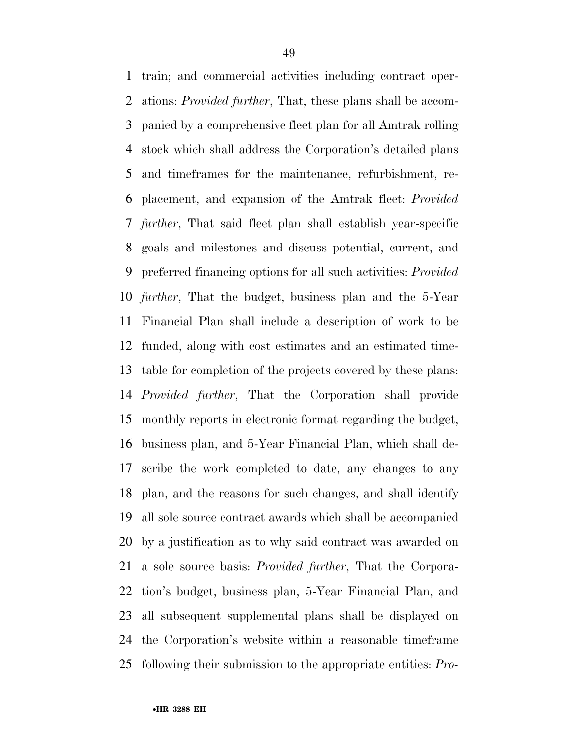train; and commercial activities including contract oper- ations: *Provided further*, That, these plans shall be accom- panied by a comprehensive fleet plan for all Amtrak rolling stock which shall address the Corporation's detailed plans and timeframes for the maintenance, refurbishment, re- placement, and expansion of the Amtrak fleet: *Provided further*, That said fleet plan shall establish year-specific goals and milestones and discuss potential, current, and preferred financing options for all such activities: *Provided further*, That the budget, business plan and the 5-Year Financial Plan shall include a description of work to be funded, along with cost estimates and an estimated time- table for completion of the projects covered by these plans: *Provided further*, That the Corporation shall provide monthly reports in electronic format regarding the budget, business plan, and 5-Year Financial Plan, which shall de- scribe the work completed to date, any changes to any plan, and the reasons for such changes, and shall identify all sole source contract awards which shall be accompanied by a justification as to why said contract was awarded on a sole source basis: *Provided further*, That the Corpora- tion's budget, business plan, 5-Year Financial Plan, and all subsequent supplemental plans shall be displayed on the Corporation's website within a reasonable timeframe following their submission to the appropriate entities: *Pro-*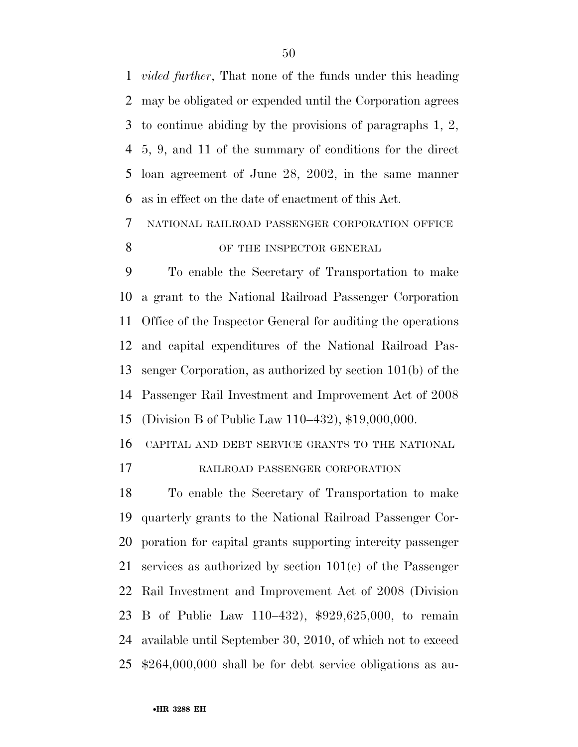*vided further*, That none of the funds under this heading may be obligated or expended until the Corporation agrees to continue abiding by the provisions of paragraphs 1, 2, 5, 9, and 11 of the summary of conditions for the direct loan agreement of June 28, 2002, in the same manner as in effect on the date of enactment of this Act.

 NATIONAL RAILROAD PASSENGER CORPORATION OFFICE 8 OF THE INSPECTOR GENERAL

 To enable the Secretary of Transportation to make a grant to the National Railroad Passenger Corporation Office of the Inspector General for auditing the operations and capital expenditures of the National Railroad Pas- senger Corporation, as authorized by section 101(b) of the Passenger Rail Investment and Improvement Act of 2008 (Division B of Public Law 110–432), \$19,000,000.

CAPITAL AND DEBT SERVICE GRANTS TO THE NATIONAL

RAILROAD PASSENGER CORPORATION

 To enable the Secretary of Transportation to make quarterly grants to the National Railroad Passenger Cor- poration for capital grants supporting intercity passenger services as authorized by section 101(c) of the Passenger Rail Investment and Improvement Act of 2008 (Division B of Public Law 110–432), \$929,625,000, to remain available until September 30, 2010, of which not to exceed \$264,000,000 shall be for debt service obligations as au-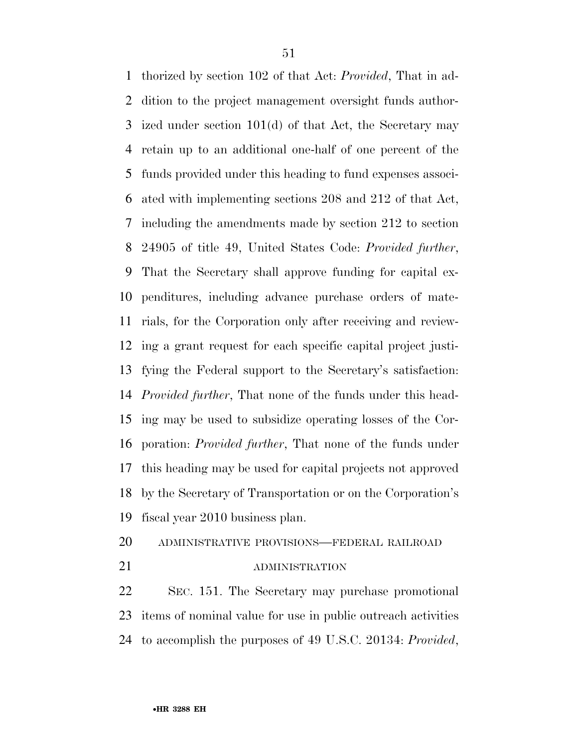thorized by section 102 of that Act: *Provided*, That in ad- dition to the project management oversight funds author- ized under section 101(d) of that Act, the Secretary may retain up to an additional one-half of one percent of the funds provided under this heading to fund expenses associ- ated with implementing sections 208 and 212 of that Act, including the amendments made by section 212 to section 24905 of title 49, United States Code: *Provided further*, That the Secretary shall approve funding for capital ex- penditures, including advance purchase orders of mate- rials, for the Corporation only after receiving and review- ing a grant request for each specific capital project justi- fying the Federal support to the Secretary's satisfaction: *Provided further*, That none of the funds under this head- ing may be used to subsidize operating losses of the Cor- poration: *Provided further*, That none of the funds under this heading may be used for capital projects not approved by the Secretary of Transportation or on the Corporation's fiscal year 2010 business plan.

- ADMINISTRATIVE PROVISIONS—FEDERAL RAILROAD
- 

#### 21 ADMINISTRATION

 SEC. 151. The Secretary may purchase promotional items of nominal value for use in public outreach activities to accomplish the purposes of 49 U.S.C. 20134: *Provided*,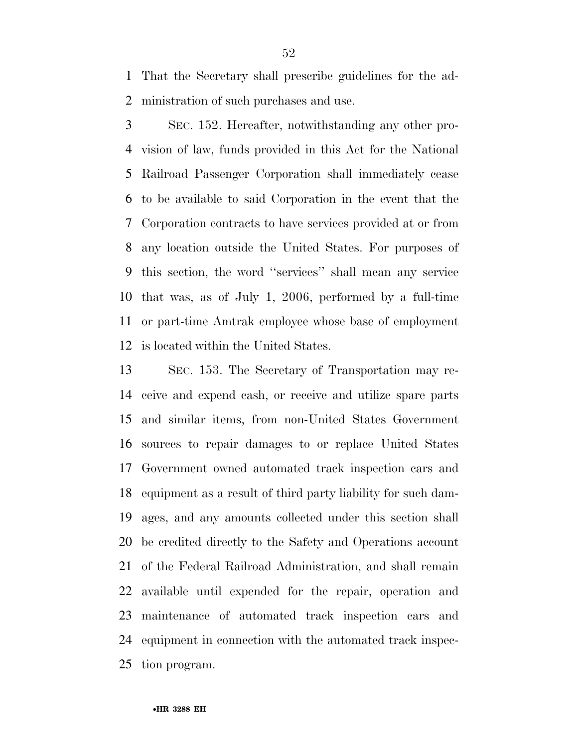That the Secretary shall prescribe guidelines for the ad-ministration of such purchases and use.

 SEC. 152. Hereafter, notwithstanding any other pro- vision of law, funds provided in this Act for the National Railroad Passenger Corporation shall immediately cease to be available to said Corporation in the event that the Corporation contracts to have services provided at or from any location outside the United States. For purposes of this section, the word ''services'' shall mean any service that was, as of July 1, 2006, performed by a full-time or part-time Amtrak employee whose base of employment is located within the United States.

 SEC. 153. The Secretary of Transportation may re- ceive and expend cash, or receive and utilize spare parts and similar items, from non-United States Government sources to repair damages to or replace United States Government owned automated track inspection cars and equipment as a result of third party liability for such dam- ages, and any amounts collected under this section shall be credited directly to the Safety and Operations account of the Federal Railroad Administration, and shall remain available until expended for the repair, operation and maintenance of automated track inspection cars and equipment in connection with the automated track inspec-tion program.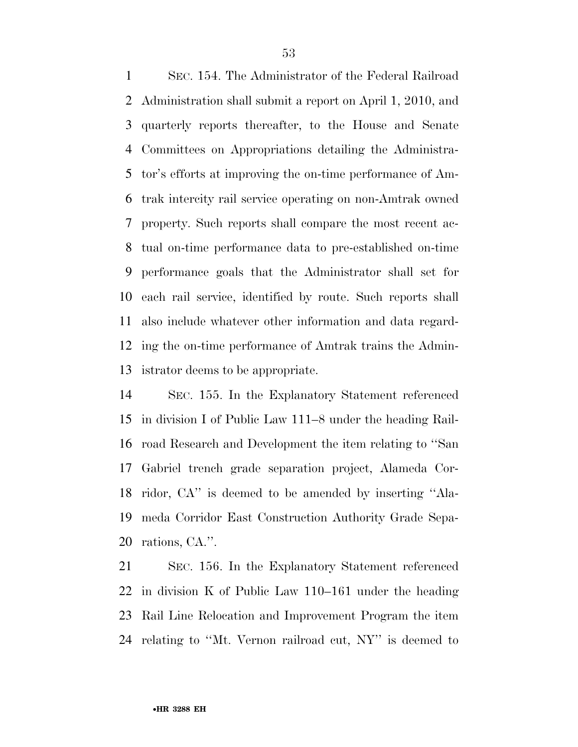SEC. 154. The Administrator of the Federal Railroad Administration shall submit a report on April 1, 2010, and quarterly reports thereafter, to the House and Senate Committees on Appropriations detailing the Administra- tor's efforts at improving the on-time performance of Am- trak intercity rail service operating on non-Amtrak owned property. Such reports shall compare the most recent ac- tual on-time performance data to pre-established on-time performance goals that the Administrator shall set for each rail service, identified by route. Such reports shall also include whatever other information and data regard- ing the on-time performance of Amtrak trains the Admin-istrator deems to be appropriate.

 SEC. 155. In the Explanatory Statement referenced in division I of Public Law 111–8 under the heading Rail- road Research and Development the item relating to ''San Gabriel trench grade separation project, Alameda Cor- ridor, CA'' is deemed to be amended by inserting ''Ala- meda Corridor East Construction Authority Grade Sepa-rations, CA.''.

 SEC. 156. In the Explanatory Statement referenced in division K of Public Law 110–161 under the heading Rail Line Relocation and Improvement Program the item relating to ''Mt. Vernon railroad cut, NY'' is deemed to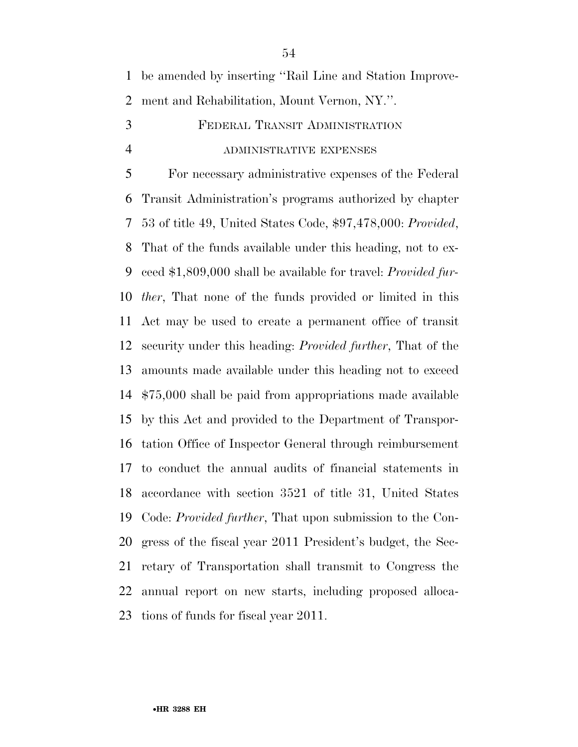|   | 1 be amended by inserting "Rail Line and Station Improve-     |
|---|---------------------------------------------------------------|
|   | 2 ment and Rehabilitation, Mount Vernon, NY.".                |
| 3 | FEDERAL TRANSIT ADMINISTRATION                                |
| 4 | ADMINISTRATIVE EXPENSES                                       |
| 5 | For necessary administrative expenses of the Federal          |
|   | 6 Transit Administration's programs authorized by chapter     |
|   | 7 53 of title 49, United States Code, \$97,478,000: Provided, |
|   |                                                               |

 That of the funds available under this heading, not to ex- ceed \$1,809,000 shall be available for travel: *Provided fur- ther*, That none of the funds provided or limited in this Act may be used to create a permanent office of transit security under this heading: *Provided further*, That of the amounts made available under this heading not to exceed \$75,000 shall be paid from appropriations made available by this Act and provided to the Department of Transpor- tation Office of Inspector General through reimbursement to conduct the annual audits of financial statements in accordance with section 3521 of title 31, United States Code: *Provided further*, That upon submission to the Con- gress of the fiscal year 2011 President's budget, the Sec- retary of Transportation shall transmit to Congress the annual report on new starts, including proposed alloca-tions of funds for fiscal year 2011.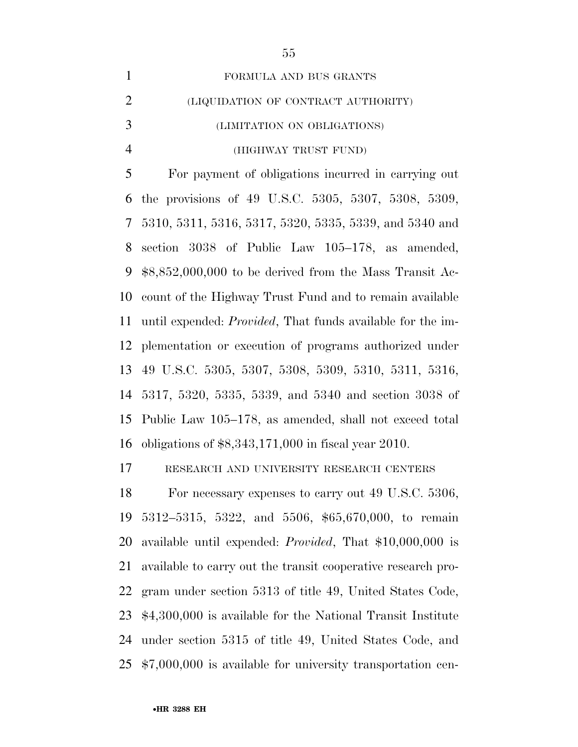| $\mathbf{1}$             | FORMULA AND BUS GRANTS                                             |
|--------------------------|--------------------------------------------------------------------|
| $\overline{2}$           | (LIQUIDATION OF CONTRACT AUTHORITY)                                |
| 3                        | (LIMITATION ON OBLIGATIONS)                                        |
| $\overline{4}$           | (HIGHWAY TRUST FUND)                                               |
| 5                        | For payment of obligations incurred in carrying out                |
| 6                        | the provisions of 49 U.S.C. 5305, 5307, 5308, 5309,                |
| $\overline{\mathcal{L}}$ | 5310, 5311, 5316, 5317, 5320, 5335, 5339, and 5340 and             |
| 8                        | section 3038 of Public Law 105-178, as amended,                    |
| 9                        | $$8,852,000,000$ to be derived from the Mass Transit Ac-           |
| 10                       | count of the Highway Trust Fund and to remain available            |
| 11                       | until expended: <i>Provided</i> , That funds available for the im- |
| 12                       | plementation or execution of programs authorized under             |
| 13                       | 49 U.S.C. 5305, 5307, 5308, 5309, 5310, 5311, 5316,                |
| 14                       | 5317, 5320, 5335, 5339, and 5340 and section 3038 of               |
| 15                       | Public Law 105-178, as amended, shall not exceed total             |
| 16                       | obligations of $$8,343,171,000$ in fiscal year 2010.               |
| 17                       | RESEARCH AND UNIVERSITY RESEARCH CENTERS                           |
| 18                       | For necessary expenses to carry out 49 U.S.C. 5306,                |
| 19                       | 5312-5315, 5322, and 5506, \$65,670,000, to remain                 |
| 20                       | available until expended: <i>Provided</i> , That \$10,000,000 is   |
| 21                       | available to carry out the transit cooperative research pro-       |
| 22                       | gram under section 5313 of title 49, United States Code,           |
| 23                       | \$4,300,000 is available for the National Transit Institute        |

\$7,000,000 is available for university transportation cen-

under section 5315 of title 49, United States Code, and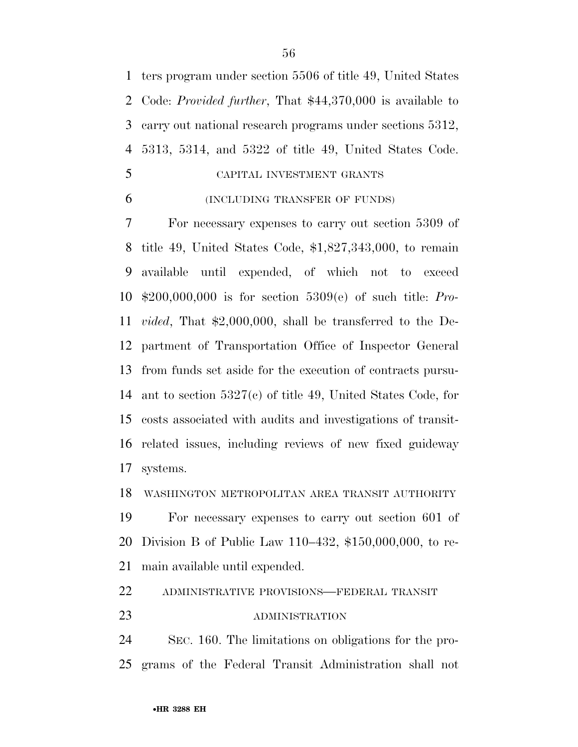ters program under section 5506 of title 49, United States Code: *Provided further*, That \$44,370,000 is available to carry out national research programs under sections 5312, 5313, 5314, and 5322 of title 49, United States Code.

- CAPITAL INVESTMENT GRANTS
- (INCLUDING TRANSFER OF FUNDS)

 For necessary expenses to carry out section 5309 of title 49, United States Code, \$1,827,343,000, to remain available until expended, of which not to exceed \$200,000,000 is for section 5309(e) of such title: *Pro- vided*, That \$2,000,000, shall be transferred to the De- partment of Transportation Office of Inspector General from funds set aside for the execution of contracts pursu- ant to section 5327(c) of title 49, United States Code, for costs associated with audits and investigations of transit- related issues, including reviews of new fixed guideway systems.

WASHINGTON METROPOLITAN AREA TRANSIT AUTHORITY

 For necessary expenses to carry out section 601 of Division B of Public Law 110–432, \$150,000,000, to re-main available until expended.

ADMINISTRATIVE PROVISIONS—FEDERAL TRANSIT

## 23 ADMINISTRATION

 SEC. 160. The limitations on obligations for the pro-grams of the Federal Transit Administration shall not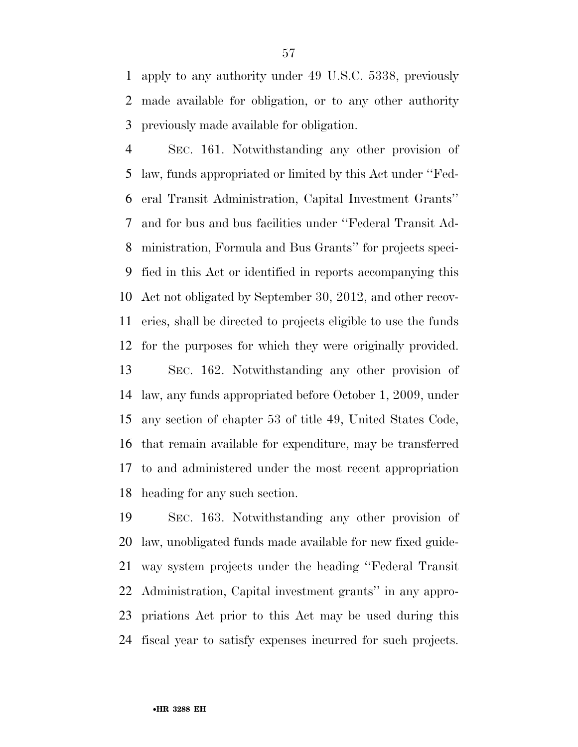apply to any authority under 49 U.S.C. 5338, previously made available for obligation, or to any other authority previously made available for obligation.

 SEC. 161. Notwithstanding any other provision of law, funds appropriated or limited by this Act under ''Fed- eral Transit Administration, Capital Investment Grants'' and for bus and bus facilities under ''Federal Transit Ad- ministration, Formula and Bus Grants'' for projects speci- fied in this Act or identified in reports accompanying this Act not obligated by September 30, 2012, and other recov- eries, shall be directed to projects eligible to use the funds for the purposes for which they were originally provided. SEC. 162. Notwithstanding any other provision of law, any funds appropriated before October 1, 2009, under any section of chapter 53 of title 49, United States Code, that remain available for expenditure, may be transferred to and administered under the most recent appropriation heading for any such section.

 SEC. 163. Notwithstanding any other provision of law, unobligated funds made available for new fixed guide- way system projects under the heading ''Federal Transit Administration, Capital investment grants'' in any appro- priations Act prior to this Act may be used during this fiscal year to satisfy expenses incurred for such projects.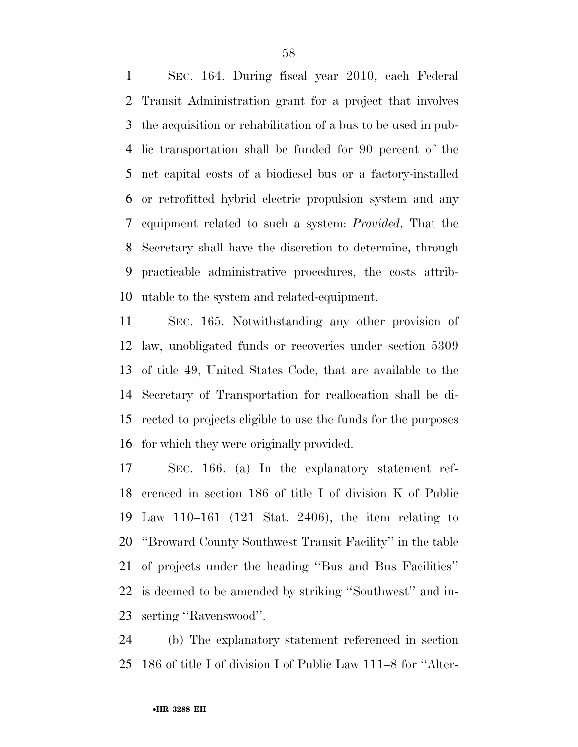SEC. 164. During fiscal year 2010, each Federal Transit Administration grant for a project that involves the acquisition or rehabilitation of a bus to be used in pub- lic transportation shall be funded for 90 percent of the net capital costs of a biodiesel bus or a factory-installed or retrofitted hybrid electric propulsion system and any equipment related to such a system: *Provided*, That the Secretary shall have the discretion to determine, through practicable administrative procedures, the costs attrib-utable to the system and related-equipment.

 SEC. 165. Notwithstanding any other provision of law, unobligated funds or recoveries under section 5309 of title 49, United States Code, that are available to the Secretary of Transportation for reallocation shall be di- rected to projects eligible to use the funds for the purposes for which they were originally provided.

 SEC. 166. (a) In the explanatory statement ref- erenced in section 186 of title I of division K of Public Law 110–161 (121 Stat. 2406), the item relating to ''Broward County Southwest Transit Facility'' in the table of projects under the heading ''Bus and Bus Facilities'' is deemed to be amended by striking ''Southwest'' and in-serting ''Ravenswood''.

 (b) The explanatory statement referenced in section 186 of title I of division I of Public Law 111–8 for ''Alter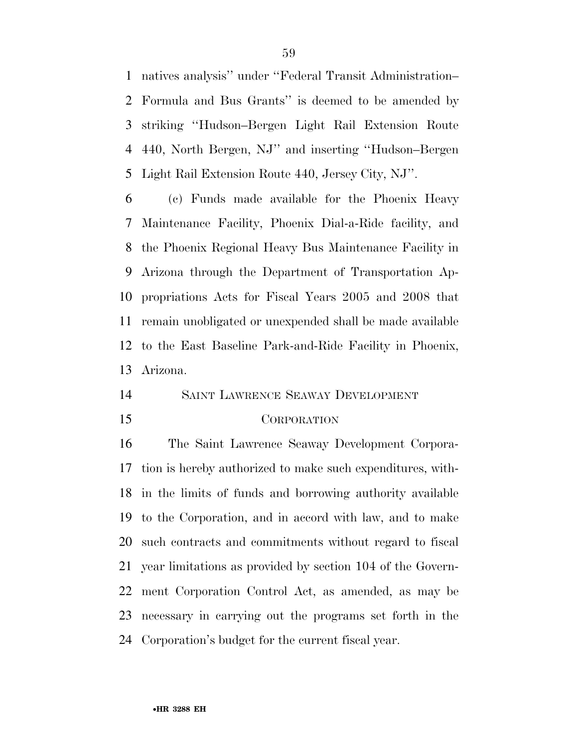natives analysis'' under ''Federal Transit Administration– Formula and Bus Grants'' is deemed to be amended by striking ''Hudson–Bergen Light Rail Extension Route 440, North Bergen, NJ'' and inserting ''Hudson–Bergen Light Rail Extension Route 440, Jersey City, NJ''.

 (c) Funds made available for the Phoenix Heavy Maintenance Facility, Phoenix Dial-a-Ride facility, and the Phoenix Regional Heavy Bus Maintenance Facility in Arizona through the Department of Transportation Ap- propriations Acts for Fiscal Years 2005 and 2008 that remain unobligated or unexpended shall be made available to the East Baseline Park-and-Ride Facility in Phoenix, Arizona.

#### SAINT LAWRENCE SEAWAY DEVELOPMENT

#### CORPORATION

 The Saint Lawrence Seaway Development Corpora- tion is hereby authorized to make such expenditures, with- in the limits of funds and borrowing authority available to the Corporation, and in accord with law, and to make such contracts and commitments without regard to fiscal year limitations as provided by section 104 of the Govern- ment Corporation Control Act, as amended, as may be necessary in carrying out the programs set forth in the Corporation's budget for the current fiscal year.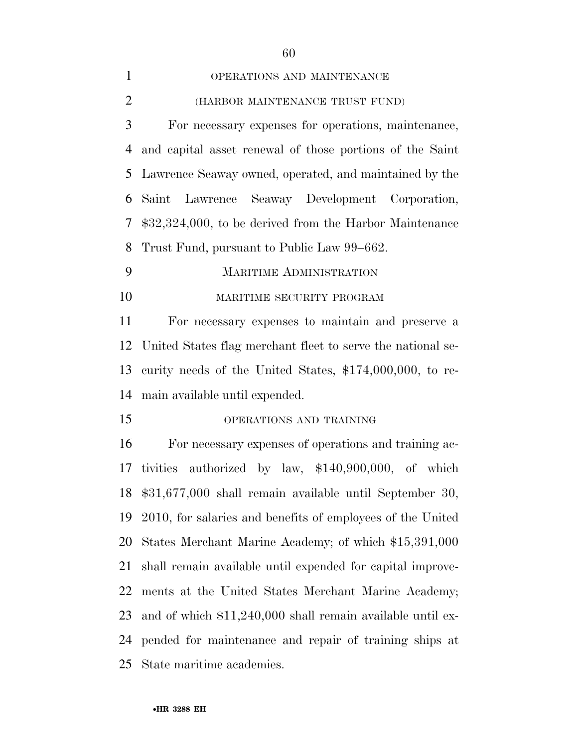| $\mathbf{1}$   | OPERATIONS AND MAINTENANCE                                  |  |  |  |  |
|----------------|-------------------------------------------------------------|--|--|--|--|
| $\overline{2}$ | (HARBOR MAINTENANCE TRUST FUND)                             |  |  |  |  |
| 3              | For necessary expenses for operations, maintenance,         |  |  |  |  |
| $\overline{4}$ | and capital asset renewal of those portions of the Saint    |  |  |  |  |
| 5              | Lawrence Seaway owned, operated, and maintained by the      |  |  |  |  |
| 6              | Saint Lawrence Seaway Development Corporation,              |  |  |  |  |
| 7              | $$32,324,000$ , to be derived from the Harbor Maintenance   |  |  |  |  |
| 8              | Trust Fund, pursuant to Public Law 99–662.                  |  |  |  |  |
| 9              | <b>MARITIME ADMINISTRATION</b>                              |  |  |  |  |
| 10             | MARITIME SECURITY PROGRAM                                   |  |  |  |  |
| 11             | For necessary expenses to maintain and preserve a           |  |  |  |  |
| 12             | United States flag merchant fleet to serve the national se- |  |  |  |  |
| 13             | curity needs of the United States, $$174,000,000$ , to re-  |  |  |  |  |
| 14             | main available until expended.                              |  |  |  |  |
| 15             | OPERATIONS AND TRAINING                                     |  |  |  |  |
| 16             | For necessary expenses of operations and training ac-       |  |  |  |  |
| 17             | tivities authorized by law, \$140,900,000, of which         |  |  |  |  |
|                | 18 \$31,677,000 shall remain available until September 30,  |  |  |  |  |
| 19             | 2010, for salaries and benefits of employees of the United  |  |  |  |  |
| 20             | States Merchant Marine Academy; of which \$15,391,000       |  |  |  |  |
| 21             | shall remain available until expended for capital improve-  |  |  |  |  |
| 22             | ments at the United States Merchant Marine Academy;         |  |  |  |  |
| 23             | and of which \$11,240,000 shall remain available until ex-  |  |  |  |  |
| 24             | pended for maintenance and repair of training ships at      |  |  |  |  |
| 25             | State maritime academies.                                   |  |  |  |  |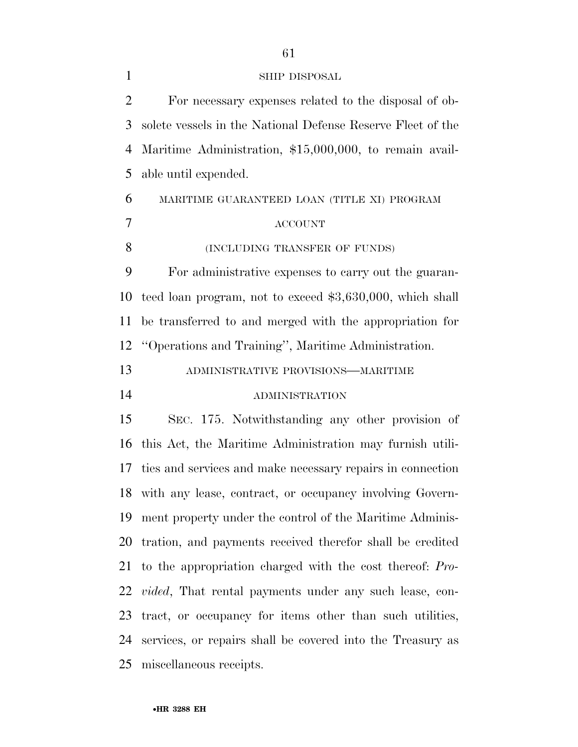| <b>SHIP DISPOSAL</b> |
|----------------------|
|                      |

| 2              | For necessary expenses related to the disposal of ob-          |  |  |  |  |
|----------------|----------------------------------------------------------------|--|--|--|--|
| 3              | solete vessels in the National Defense Reserve Fleet of the    |  |  |  |  |
| $\overline{4}$ | Maritime Administration, \$15,000,000, to remain avail-        |  |  |  |  |
| 5              | able until expended.                                           |  |  |  |  |
| 6              | MARITIME GUARANTEED LOAN (TITLE XI) PROGRAM                    |  |  |  |  |
| $\tau$         | <b>ACCOUNT</b>                                                 |  |  |  |  |
| 8              | (INCLUDING TRANSFER OF FUNDS)                                  |  |  |  |  |
| 9              | For administrative expenses to carry out the guaran-           |  |  |  |  |
| 10             | teed loan program, not to exceed \$3,630,000, which shall      |  |  |  |  |
| 11             | be transferred to and merged with the appropriation for        |  |  |  |  |
| 12             | "Operations and Training", Maritime Administration.            |  |  |  |  |
| 13             | ADMINISTRATIVE PROVISIONS-MARITIME                             |  |  |  |  |
|                |                                                                |  |  |  |  |
| 14             | <b>ADMINISTRATION</b>                                          |  |  |  |  |
| 15             | SEC. 175. Notwithstanding any other provision of               |  |  |  |  |
| 16             | this Act, the Maritime Administration may furnish utili-       |  |  |  |  |
| 17             | ties and services and make necessary repairs in connection     |  |  |  |  |
| 18             | with any lease, contract, or occupancy involving Govern-       |  |  |  |  |
|                | 19 ment property under the control of the Maritime Adminis-    |  |  |  |  |
|                | 20 tration, and payments received therefor shall be credited   |  |  |  |  |
|                | 21 to the appropriation charged with the cost thereof: Pro-    |  |  |  |  |
| 22             | <i>vided</i> , That rental payments under any such lease, con- |  |  |  |  |
| 23             | tract, or occupancy for items other than such utilities,       |  |  |  |  |
| 24             | services, or repairs shall be covered into the Treasury as     |  |  |  |  |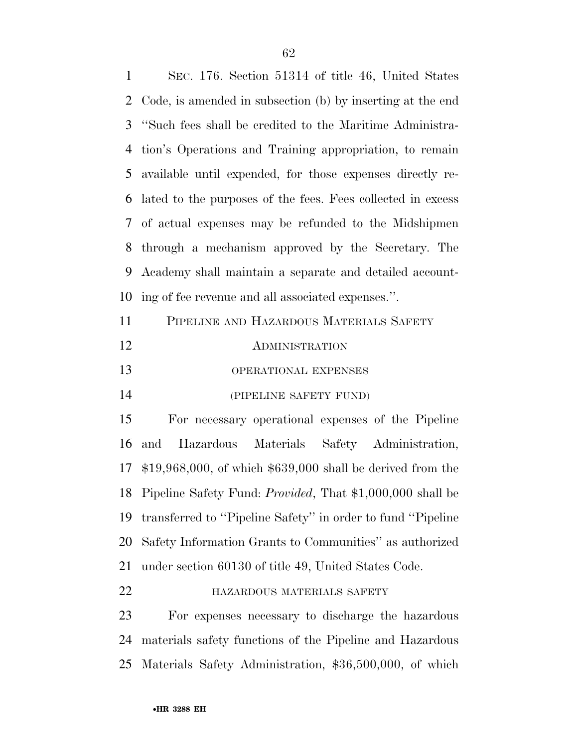SEC. 176. Section 51314 of title 46, United States Code, is amended in subsection (b) by inserting at the end ''Such fees shall be credited to the Maritime Administra- tion's Operations and Training appropriation, to remain available until expended, for those expenses directly re- lated to the purposes of the fees. Fees collected in excess of actual expenses may be refunded to the Midshipmen through a mechanism approved by the Secretary. The Academy shall maintain a separate and detailed account-ing of fee revenue and all associated expenses.''.

| 11 | PIPELINE AND HAZARDOUS MATERIALS SAFETY |
|----|-----------------------------------------|
| 12 | <b>ADMINISTRATION</b>                   |
| 13 | <b>OPERATIONAL EXPENSES</b>             |
| 14 | (PIPELINE SAFETY FUND)                  |

 For necessary operational expenses of the Pipeline and Hazardous Materials Safety Administration, \$19,968,000, of which \$639,000 shall be derived from the Pipeline Safety Fund: *Provided*, That \$1,000,000 shall be transferred to ''Pipeline Safety'' in order to fund ''Pipeline Safety Information Grants to Communities'' as authorized under section 60130 of title 49, United States Code.

HAZARDOUS MATERIALS SAFETY

 For expenses necessary to discharge the hazardous materials safety functions of the Pipeline and Hazardous Materials Safety Administration, \$36,500,000, of which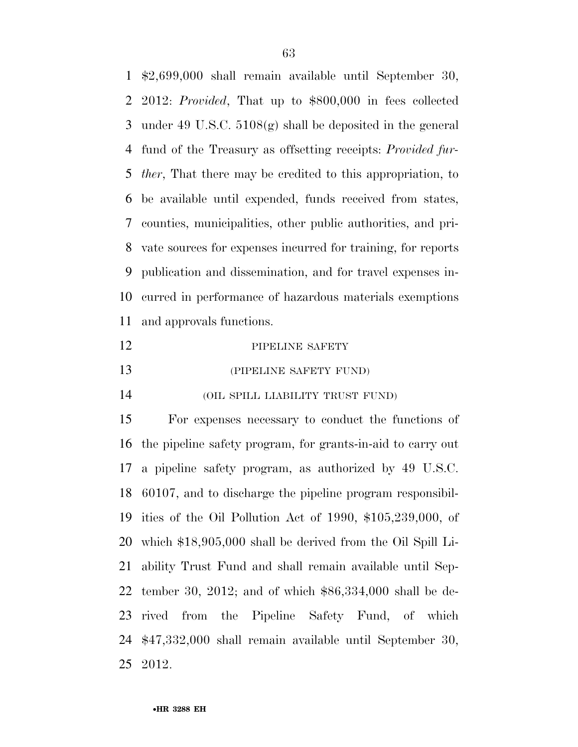\$2,699,000 shall remain available until September 30, 2012: *Provided*, That up to \$800,000 in fees collected under 49 U.S.C. 5108(g) shall be deposited in the general fund of the Treasury as offsetting receipts: *Provided fur- ther*, That there may be credited to this appropriation, to be available until expended, funds received from states, counties, municipalities, other public authorities, and pri- vate sources for expenses incurred for training, for reports publication and dissemination, and for travel expenses in- curred in performance of hazardous materials exemptions and approvals functions.

#### 12 PIPELINE SAFETY

**(PIPELINE SAFETY FUND)** 

(OIL SPILL LIABILITY TRUST FUND)

 For expenses necessary to conduct the functions of the pipeline safety program, for grants-in-aid to carry out a pipeline safety program, as authorized by 49 U.S.C. 60107, and to discharge the pipeline program responsibil- ities of the Oil Pollution Act of 1990, \$105,239,000, of which \$18,905,000 shall be derived from the Oil Spill Li- ability Trust Fund and shall remain available until Sep- tember 30, 2012; and of which \$86,334,000 shall be de- rived from the Pipeline Safety Fund, of which \$47,332,000 shall remain available until September 30, 2012.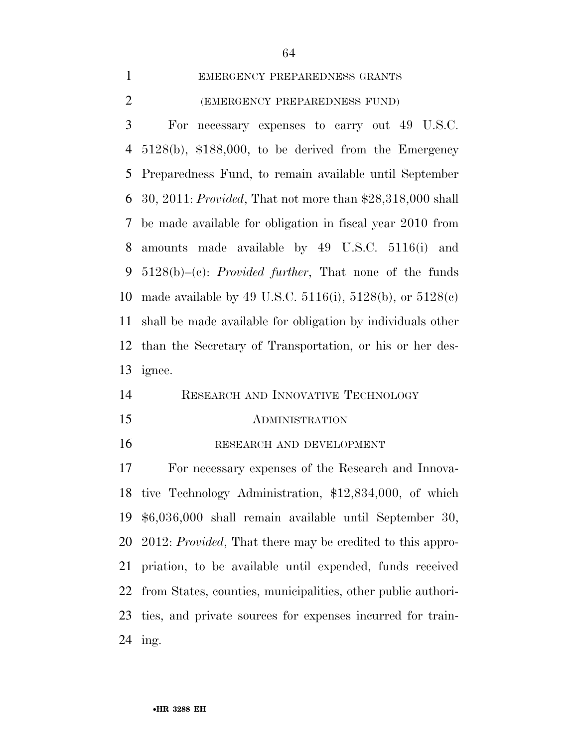# EMERGENCY PREPAREDNESS GRANTS (EMERGENCY PREPAREDNESS FUND)

 For necessary expenses to carry out 49 U.S.C. 5128(b), \$188,000, to be derived from the Emergency Preparedness Fund, to remain available until September 30, 2011: *Provided*, That not more than \$28,318,000 shall be made available for obligation in fiscal year 2010 from amounts made available by 49 U.S.C. 5116(i) and 5128(b)–(c): *Provided further*, That none of the funds made available by 49 U.S.C. 5116(i), 5128(b), or 5128(c) shall be made available for obligation by individuals other than the Secretary of Transportation, or his or her des-ignee.

| 14 |  | RESEARCH AND INNOVATIVE TECHNOLOGY |
|----|--|------------------------------------|
|    |  |                                    |

#### ADMINISTRATION

RESEARCH AND DEVELOPMENT

 For necessary expenses of the Research and Innova- tive Technology Administration, \$12,834,000, of which \$6,036,000 shall remain available until September 30, 2012: *Provided*, That there may be credited to this appro- priation, to be available until expended, funds received from States, counties, municipalities, other public authori- ties, and private sources for expenses incurred for train-ing.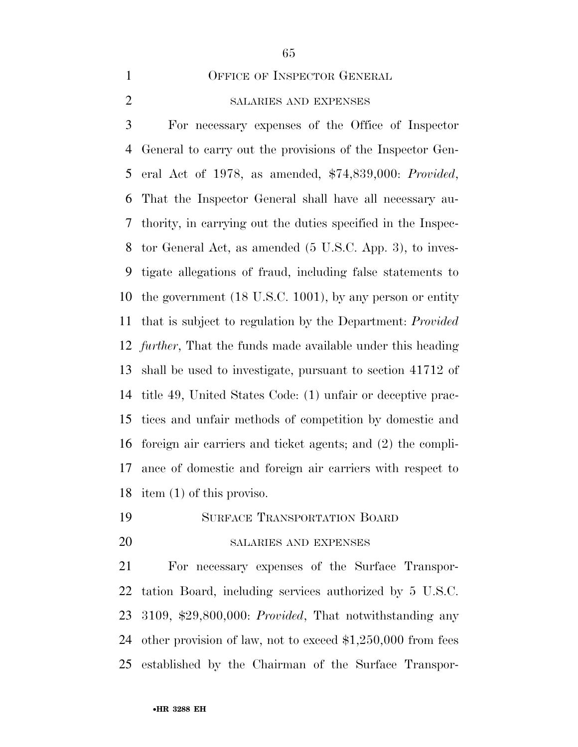OFFICE OF INSPECTOR GENERAL

# SALARIES AND EXPENSES

 For necessary expenses of the Office of Inspector General to carry out the provisions of the Inspector Gen- eral Act of 1978, as amended, \$74,839,000: *Provided*, That the Inspector General shall have all necessary au- thority, in carrying out the duties specified in the Inspec- tor General Act, as amended (5 U.S.C. App. 3), to inves- tigate allegations of fraud, including false statements to the government (18 U.S.C. 1001), by any person or entity that is subject to regulation by the Department: *Provided further*, That the funds made available under this heading shall be used to investigate, pursuant to section 41712 of title 49, United States Code: (1) unfair or deceptive prac- tices and unfair methods of competition by domestic and foreign air carriers and ticket agents; and (2) the compli- ance of domestic and foreign air carriers with respect to item (1) of this proviso.

- SURFACE TRANSPORTATION BOARD
- 

#### SALARIES AND EXPENSES

 For necessary expenses of the Surface Transpor- tation Board, including services authorized by 5 U.S.C. 3109, \$29,800,000: *Provided*, That notwithstanding any other provision of law, not to exceed \$1,250,000 from fees established by the Chairman of the Surface Transpor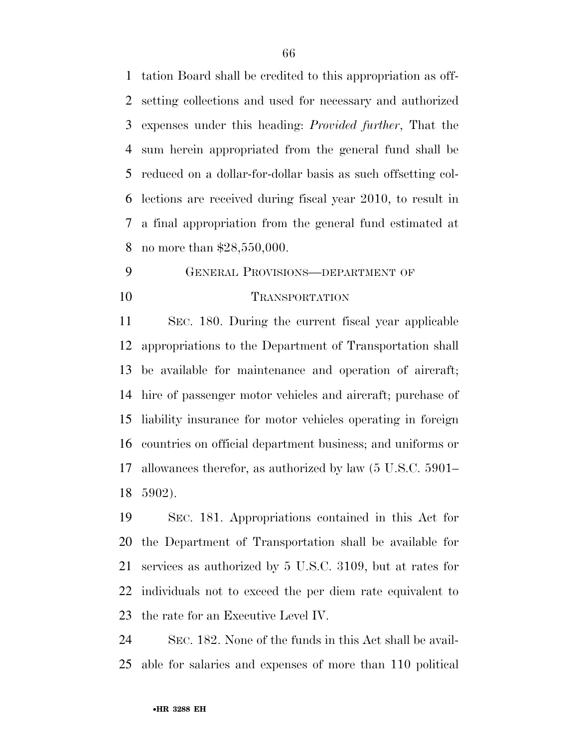tation Board shall be credited to this appropriation as off- setting collections and used for necessary and authorized expenses under this heading: *Provided further*, That the sum herein appropriated from the general fund shall be reduced on a dollar-for-dollar basis as such offsetting col- lections are received during fiscal year 2010, to result in a final appropriation from the general fund estimated at no more than \$28,550,000.

# GENERAL PROVISIONS—DEPARTMENT OF 10 TRANSPORTATION

 SEC. 180. During the current fiscal year applicable appropriations to the Department of Transportation shall be available for maintenance and operation of aircraft; hire of passenger motor vehicles and aircraft; purchase of liability insurance for motor vehicles operating in foreign countries on official department business; and uniforms or allowances therefor, as authorized by law (5 U.S.C. 5901– 5902).

 SEC. 181. Appropriations contained in this Act for the Department of Transportation shall be available for services as authorized by 5 U.S.C. 3109, but at rates for individuals not to exceed the per diem rate equivalent to the rate for an Executive Level IV.

 SEC. 182. None of the funds in this Act shall be avail-able for salaries and expenses of more than 110 political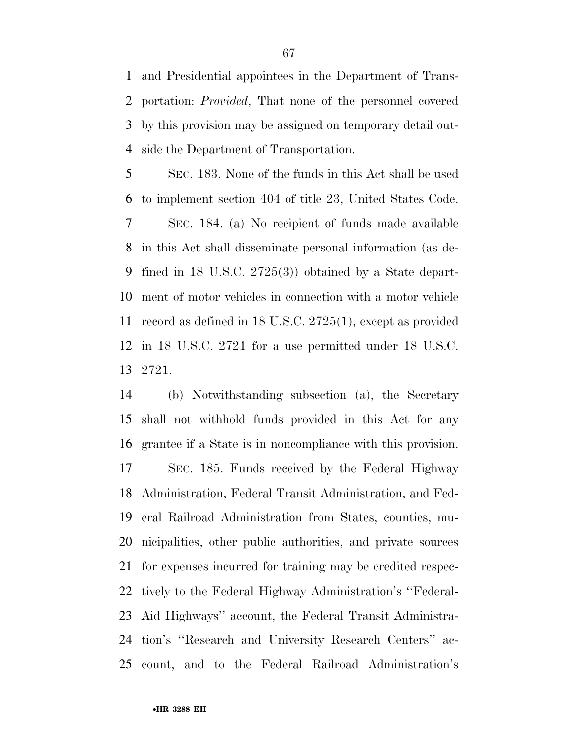and Presidential appointees in the Department of Trans- portation: *Provided*, That none of the personnel covered by this provision may be assigned on temporary detail out-side the Department of Transportation.

 SEC. 183. None of the funds in this Act shall be used to implement section 404 of title 23, United States Code. SEC. 184. (a) No recipient of funds made available in this Act shall disseminate personal information (as de- fined in 18 U.S.C. 2725(3)) obtained by a State depart- ment of motor vehicles in connection with a motor vehicle record as defined in 18 U.S.C. 2725(1), except as provided in 18 U.S.C. 2721 for a use permitted under 18 U.S.C. 2721.

 (b) Notwithstanding subsection (a), the Secretary shall not withhold funds provided in this Act for any grantee if a State is in noncompliance with this provision. SEC. 185. Funds received by the Federal Highway Administration, Federal Transit Administration, and Fed- eral Railroad Administration from States, counties, mu- nicipalities, other public authorities, and private sources for expenses incurred for training may be credited respec- tively to the Federal Highway Administration's ''Federal- Aid Highways'' account, the Federal Transit Administra- tion's ''Research and University Research Centers'' ac-count, and to the Federal Railroad Administration's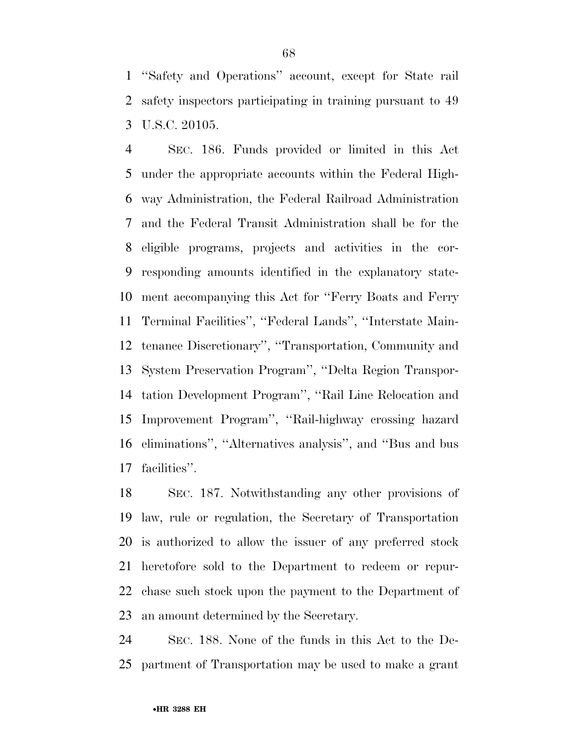''Safety and Operations'' account, except for State rail safety inspectors participating in training pursuant to 49 U.S.C. 20105.

 SEC. 186. Funds provided or limited in this Act under the appropriate accounts within the Federal High- way Administration, the Federal Railroad Administration and the Federal Transit Administration shall be for the eligible programs, projects and activities in the cor- responding amounts identified in the explanatory state- ment accompanying this Act for ''Ferry Boats and Ferry Terminal Facilities'', ''Federal Lands'', ''Interstate Main- tenance Discretionary'', ''Transportation, Community and System Preservation Program'', ''Delta Region Transpor- tation Development Program'', ''Rail Line Relocation and Improvement Program'', ''Rail-highway crossing hazard eliminations'', ''Alternatives analysis'', and ''Bus and bus facilities''.

 SEC. 187. Notwithstanding any other provisions of law, rule or regulation, the Secretary of Transportation is authorized to allow the issuer of any preferred stock heretofore sold to the Department to redeem or repur- chase such stock upon the payment to the Department of an amount determined by the Secretary.

 SEC. 188. None of the funds in this Act to the De-partment of Transportation may be used to make a grant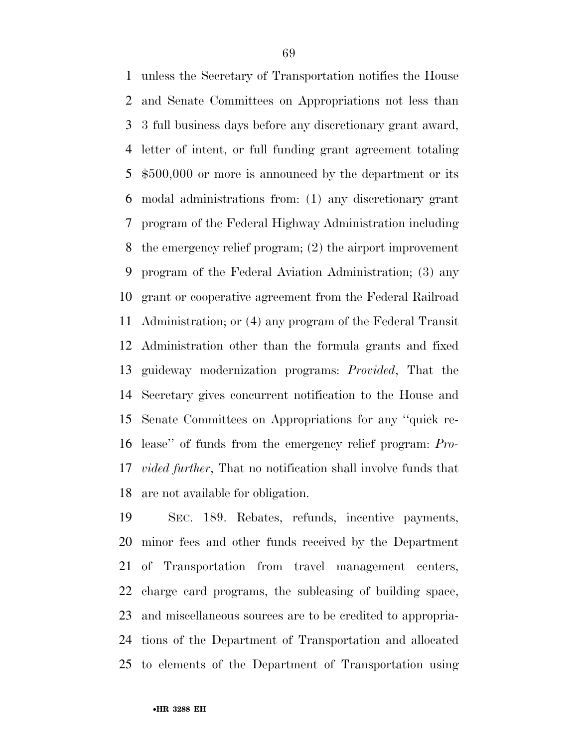unless the Secretary of Transportation notifies the House and Senate Committees on Appropriations not less than 3 full business days before any discretionary grant award, letter of intent, or full funding grant agreement totaling \$500,000 or more is announced by the department or its modal administrations from: (1) any discretionary grant program of the Federal Highway Administration including the emergency relief program; (2) the airport improvement program of the Federal Aviation Administration; (3) any grant or cooperative agreement from the Federal Railroad Administration; or (4) any program of the Federal Transit Administration other than the formula grants and fixed guideway modernization programs: *Provided*, That the Secretary gives concurrent notification to the House and Senate Committees on Appropriations for any ''quick re- lease'' of funds from the emergency relief program: *Pro- vided further*, That no notification shall involve funds that are not available for obligation.

 SEC. 189. Rebates, refunds, incentive payments, minor fees and other funds received by the Department of Transportation from travel management centers, charge card programs, the subleasing of building space, and miscellaneous sources are to be credited to appropria- tions of the Department of Transportation and allocated to elements of the Department of Transportation using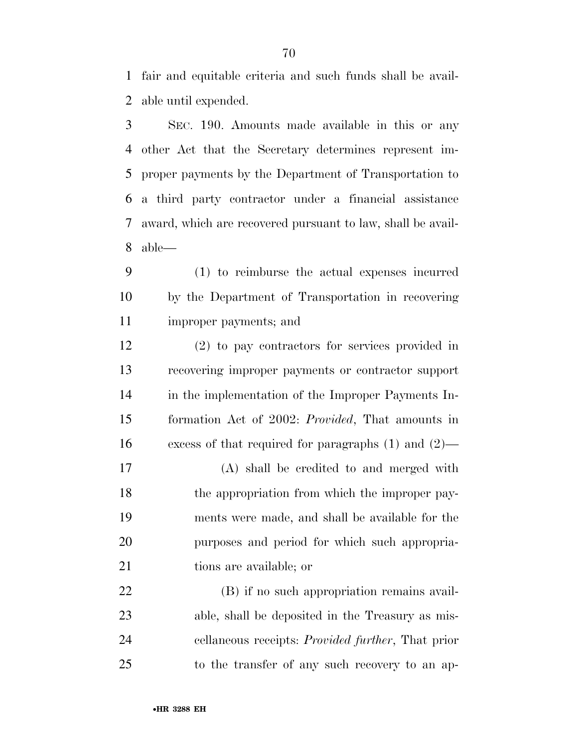fair and equitable criteria and such funds shall be avail-able until expended.

 SEC. 190. Amounts made available in this or any other Act that the Secretary determines represent im- proper payments by the Department of Transportation to a third party contractor under a financial assistance award, which are recovered pursuant to law, shall be avail-able—

 (1) to reimburse the actual expenses incurred by the Department of Transportation in recovering improper payments; and

 (2) to pay contractors for services provided in recovering improper payments or contractor support in the implementation of the Improper Payments In- formation Act of 2002: *Provided*, That amounts in excess of that required for paragraphs (1) and (2)—

 (A) shall be credited to and merged with 18 the appropriation from which the improper pay- ments were made, and shall be available for the purposes and period for which such appropria-21 tions are available; or

 (B) if no such appropriation remains avail- able, shall be deposited in the Treasury as mis- cellaneous receipts: *Provided further*, That prior to the transfer of any such recovery to an ap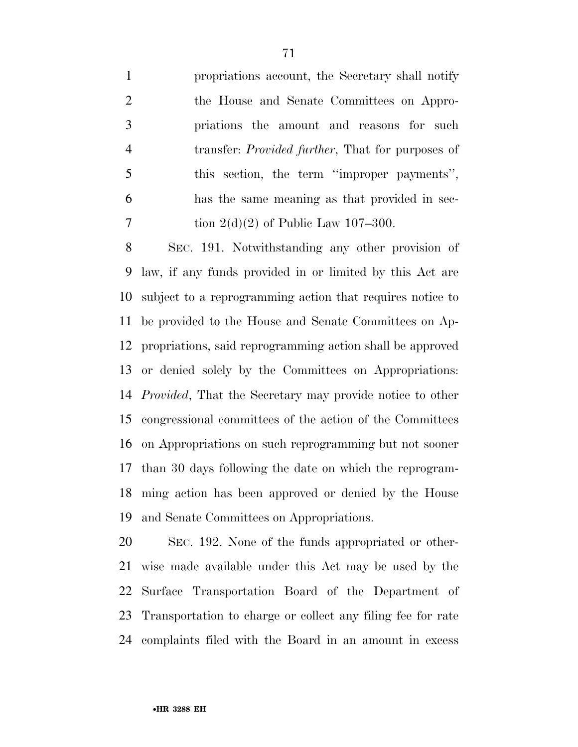propriations account, the Secretary shall notify the House and Senate Committees on Appro- priations the amount and reasons for such transfer: *Provided further*, That for purposes of this section, the term ''improper payments'', has the same meaning as that provided in sec-7 tion  $2(d)(2)$  of Public Law 107–300.

 SEC. 191. Notwithstanding any other provision of law, if any funds provided in or limited by this Act are subject to a reprogramming action that requires notice to be provided to the House and Senate Committees on Ap- propriations, said reprogramming action shall be approved or denied solely by the Committees on Appropriations: *Provided*, That the Secretary may provide notice to other congressional committees of the action of the Committees on Appropriations on such reprogramming but not sooner than 30 days following the date on which the reprogram- ming action has been approved or denied by the House and Senate Committees on Appropriations.

 SEC. 192. None of the funds appropriated or other- wise made available under this Act may be used by the Surface Transportation Board of the Department of Transportation to charge or collect any filing fee for rate complaints filed with the Board in an amount in excess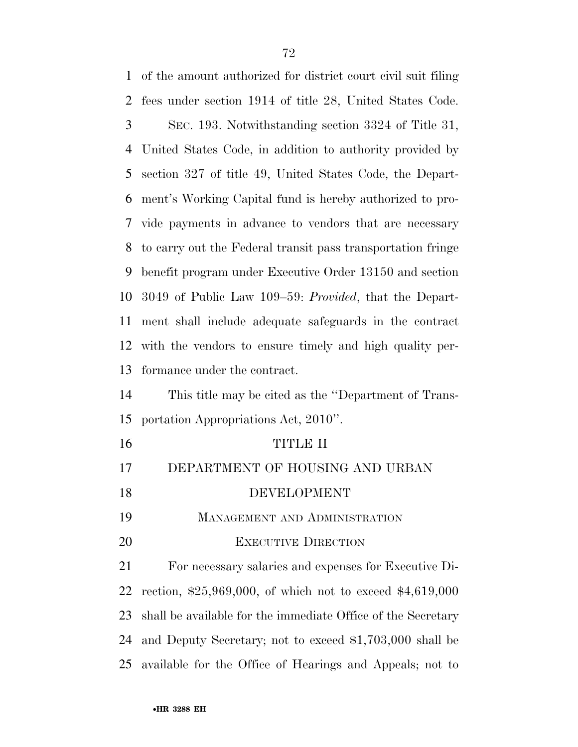of the amount authorized for district court civil suit filing fees under section 1914 of title 28, United States Code. SEC. 193. Notwithstanding section 3324 of Title 31, United States Code, in addition to authority provided by section 327 of title 49, United States Code, the Depart- ment's Working Capital fund is hereby authorized to pro- vide payments in advance to vendors that are necessary to carry out the Federal transit pass transportation fringe benefit program under Executive Order 13150 and section 3049 of Public Law 109–59: *Provided*, that the Depart- ment shall include adequate safeguards in the contract with the vendors to ensure timely and high quality per- formance under the contract. This title may be cited as the ''Department of Trans- portation Appropriations Act, 2010''. TITLE II DEPARTMENT OF HOUSING AND URBAN DEVELOPMENT MANAGEMENT AND ADMINISTRATION 20 EXECUTIVE DIRECTION For necessary salaries and expenses for Executive Di- rection, \$25,969,000, of which not to exceed \$4,619,000 shall be available for the immediate Office of the Secretary and Deputy Secretary; not to exceed \$1,703,000 shall be available for the Office of Hearings and Appeals; not to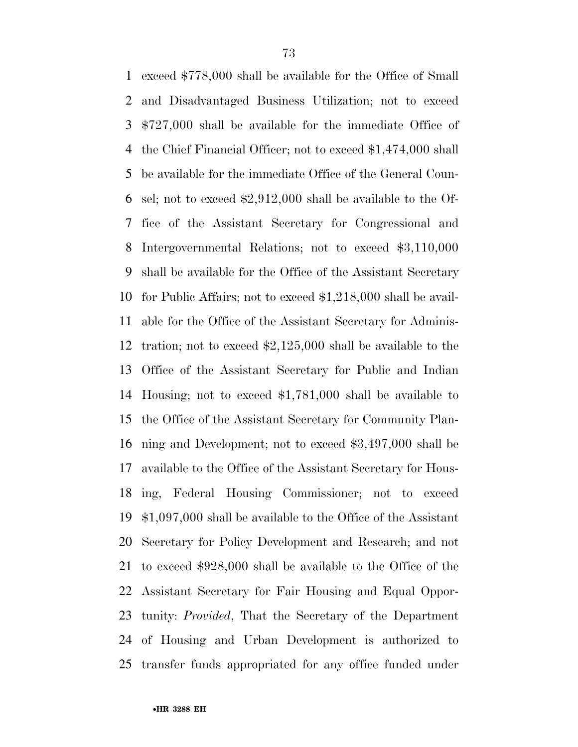exceed \$778,000 shall be available for the Office of Small and Disadvantaged Business Utilization; not to exceed \$727,000 shall be available for the immediate Office of the Chief Financial Officer; not to exceed \$1,474,000 shall be available for the immediate Office of the General Coun- sel; not to exceed \$2,912,000 shall be available to the Of- fice of the Assistant Secretary for Congressional and Intergovernmental Relations; not to exceed \$3,110,000 shall be available for the Office of the Assistant Secretary for Public Affairs; not to exceed \$1,218,000 shall be avail- able for the Office of the Assistant Secretary for Adminis- tration; not to exceed \$2,125,000 shall be available to the Office of the Assistant Secretary for Public and Indian Housing; not to exceed \$1,781,000 shall be available to the Office of the Assistant Secretary for Community Plan- ning and Development; not to exceed \$3,497,000 shall be available to the Office of the Assistant Secretary for Hous- ing, Federal Housing Commissioner; not to exceed \$1,097,000 shall be available to the Office of the Assistant Secretary for Policy Development and Research; and not to exceed \$928,000 shall be available to the Office of the Assistant Secretary for Fair Housing and Equal Oppor- tunity: *Provided*, That the Secretary of the Department of Housing and Urban Development is authorized to transfer funds appropriated for any office funded under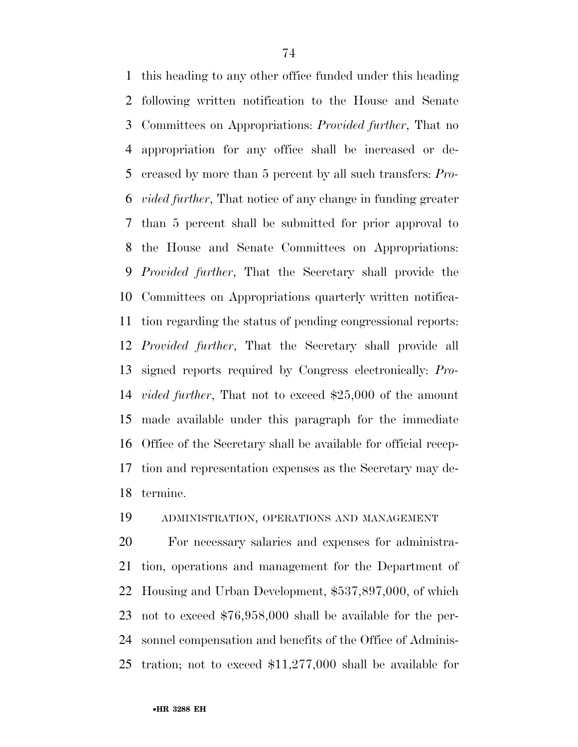this heading to any other office funded under this heading following written notification to the House and Senate Committees on Appropriations: *Provided further*, That no appropriation for any office shall be increased or de- creased by more than 5 percent by all such transfers: *Pro- vided further*, That notice of any change in funding greater than 5 percent shall be submitted for prior approval to the House and Senate Committees on Appropriations: *Provided further*, That the Secretary shall provide the Committees on Appropriations quarterly written notifica- tion regarding the status of pending congressional reports: *Provided further*, That the Secretary shall provide all signed reports required by Congress electronically: *Pro- vided further*, That not to exceed \$25,000 of the amount made available under this paragraph for the immediate Office of the Secretary shall be available for official recep- tion and representation expenses as the Secretary may de-termine.

## ADMINISTRATION, OPERATIONS AND MANAGEMENT

 For necessary salaries and expenses for administra- tion, operations and management for the Department of Housing and Urban Development, \$537,897,000, of which not to exceed \$76,958,000 shall be available for the per- sonnel compensation and benefits of the Office of Adminis-tration; not to exceed \$11,277,000 shall be available for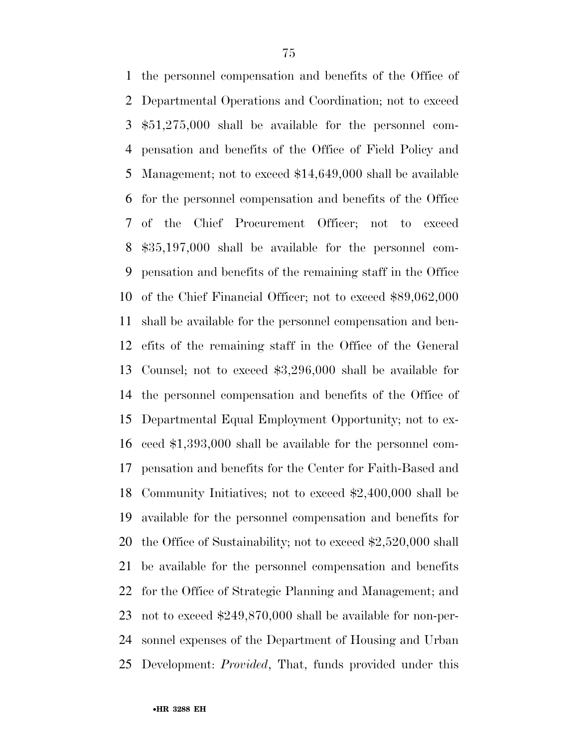the personnel compensation and benefits of the Office of Departmental Operations and Coordination; not to exceed \$51,275,000 shall be available for the personnel com- pensation and benefits of the Office of Field Policy and Management; not to exceed \$14,649,000 shall be available for the personnel compensation and benefits of the Office of the Chief Procurement Officer; not to exceed \$35,197,000 shall be available for the personnel com- pensation and benefits of the remaining staff in the Office of the Chief Financial Officer; not to exceed \$89,062,000 shall be available for the personnel compensation and ben- efits of the remaining staff in the Office of the General Counsel; not to exceed \$3,296,000 shall be available for the personnel compensation and benefits of the Office of Departmental Equal Employment Opportunity; not to ex- ceed \$1,393,000 shall be available for the personnel com- pensation and benefits for the Center for Faith-Based and Community Initiatives; not to exceed \$2,400,000 shall be available for the personnel compensation and benefits for the Office of Sustainability; not to exceed \$2,520,000 shall be available for the personnel compensation and benefits for the Office of Strategic Planning and Management; and not to exceed \$249,870,000 shall be available for non-per- sonnel expenses of the Department of Housing and Urban Development: *Provided*, That, funds provided under this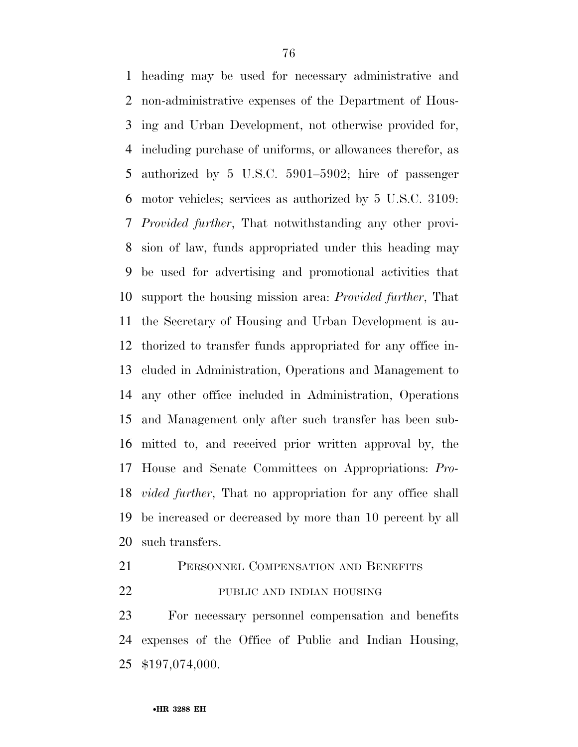heading may be used for necessary administrative and non-administrative expenses of the Department of Hous- ing and Urban Development, not otherwise provided for, including purchase of uniforms, or allowances therefor, as authorized by 5 U.S.C. 5901–5902; hire of passenger motor vehicles; services as authorized by 5 U.S.C. 3109: *Provided further*, That notwithstanding any other provi- sion of law, funds appropriated under this heading may be used for advertising and promotional activities that support the housing mission area: *Provided further*, That the Secretary of Housing and Urban Development is au- thorized to transfer funds appropriated for any office in- cluded in Administration, Operations and Management to any other office included in Administration, Operations and Management only after such transfer has been sub- mitted to, and received prior written approval by, the House and Senate Committees on Appropriations: *Pro- vided further*, That no appropriation for any office shall be increased or decreased by more than 10 percent by all such transfers.

# PERSONNEL COMPENSATION AND BENEFITS

PUBLIC AND INDIAN HOUSING

 For necessary personnel compensation and benefits expenses of the Office of Public and Indian Housing, \$197,074,000.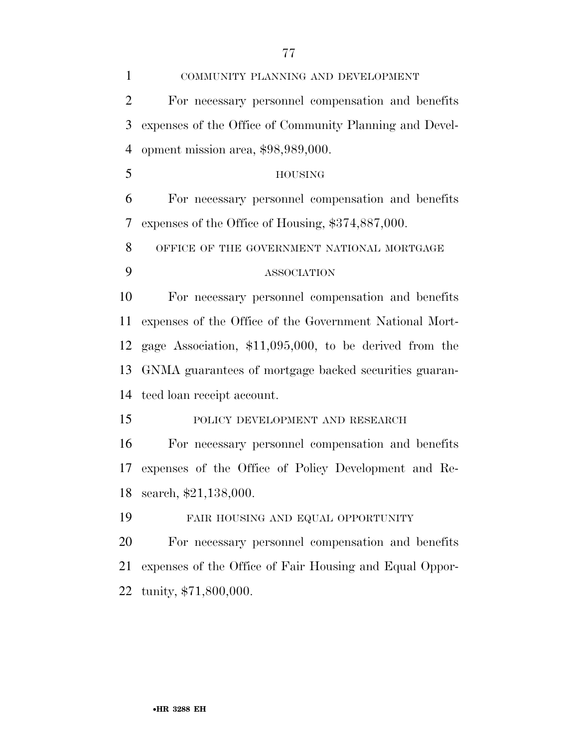| $\mathbf{1}$   | COMMUNITY PLANNING AND DEVELOPMENT                       |
|----------------|----------------------------------------------------------|
| $\overline{2}$ | For necessary personnel compensation and benefits        |
| 3              | expenses of the Office of Community Planning and Devel-  |
| $\overline{4}$ | opment mission area, \$98,989,000.                       |
| 5              | <b>HOUSING</b>                                           |
| 6              | For necessary personnel compensation and benefits        |
| 7              | expenses of the Office of Housing, \$374,887,000.        |
| 8              | OFFICE OF THE GOVERNMENT NATIONAL MORTGAGE               |
| 9              | <b>ASSOCIATION</b>                                       |
| 10             | For necessary personnel compensation and benefits        |
| 11             | expenses of the Office of the Government National Mort-  |
| 12             | gage Association, $$11,095,000$ , to be derived from the |
| 13             | GNMA guarantees of mortgage backed securities guaran-    |
| 14             | teed loan receipt account.                               |
| 15             | POLICY DEVELOPMENT AND RESEARCH                          |
| 16             | For necessary personnel compensation and benefits        |
| 17             | expenses of the Office of Policy Development and Re-     |
| 18             | search, \$21,138,000.                                    |
| 19             | FAIR HOUSING AND EQUAL OPPORTUNITY                       |
| 20             | For necessary personnel compensation and benefits        |
| 21             | expenses of the Office of Fair Housing and Equal Oppor-  |
| 22             | tunity, \$71,800,000.                                    |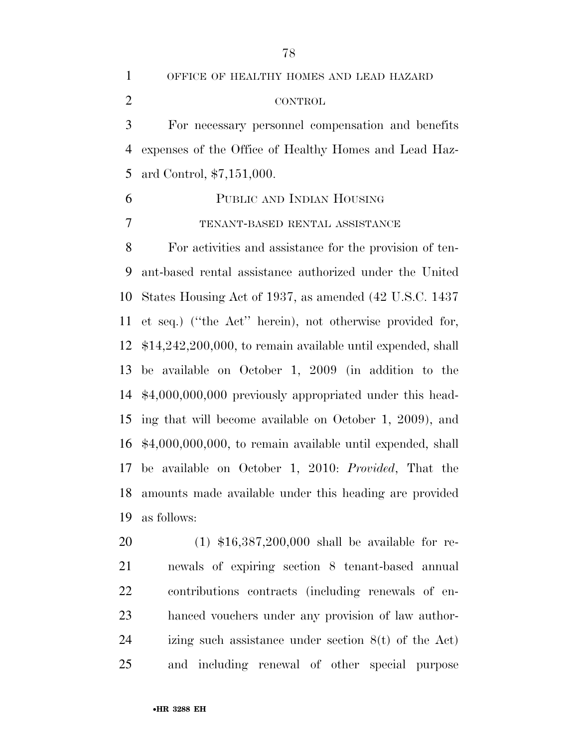OFFICE OF HEALTHY HOMES AND LEAD HAZARD CONTROL

 For necessary personnel compensation and benefits expenses of the Office of Healthy Homes and Lead Haz-ard Control, \$7,151,000.

 PUBLIC AND INDIAN HOUSING TENANT-BASED RENTAL ASSISTANCE

 For activities and assistance for the provision of ten- ant-based rental assistance authorized under the United States Housing Act of 1937, as amended (42 U.S.C. 1437 et seq.) (''the Act'' herein), not otherwise provided for, \$14,242,200,000, to remain available until expended, shall be available on October 1, 2009 (in addition to the \$4,000,000,000 previously appropriated under this head- ing that will become available on October 1, 2009), and \$4,000,000,000, to remain available until expended, shall be available on October 1, 2010: *Provided*, That the amounts made available under this heading are provided as follows:

 (1) \$16,387,200,000 shall be available for re- newals of expiring section 8 tenant-based annual contributions contracts (including renewals of en- hanced vouchers under any provision of law author- izing such assistance under section 8(t) of the Act) and including renewal of other special purpose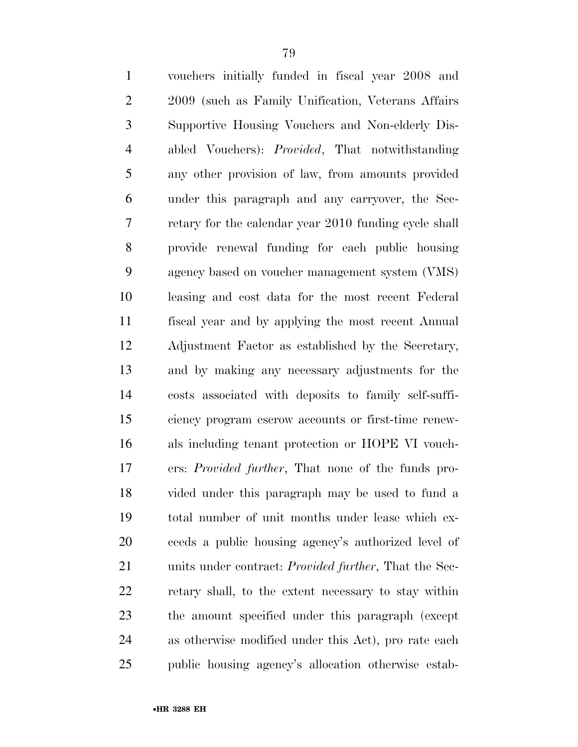| $\mathbf{1}$   | vouchers initially funded in fiscal year 2008 and             |
|----------------|---------------------------------------------------------------|
| $\mathbf{2}$   | 2009 (such as Family Unification, Veterans Affairs)           |
| 3              | Supportive Housing Vouchers and Non-elderly Dis-              |
| $\overline{4}$ | abled Vouchers): <i>Provided</i> , That notwithstanding       |
| 5              | any other provision of law, from amounts provided             |
| 6              | under this paragraph and any carryover, the Sec-              |
| 7              | retary for the calendar year 2010 funding cycle shall         |
| 8              | provide renewal funding for each public housing               |
| 9              | agency based on voucher management system (VMS)               |
| 10             | leasing and cost data for the most recent Federal             |
| 11             | fiscal year and by applying the most recent Annual            |
| 12             | Adjustment Factor as established by the Secretary,            |
| 13             | and by making any necessary adjustments for the               |
| 14             | costs associated with deposits to family self-suffi-          |
| 15             | ciency program escrow accounts or first-time renew-           |
| 16             | als including tenant protection or HOPE VI vouch-             |
| 17             | ers: <i>Provided further</i> , That none of the funds pro-    |
| 18             | vided under this paragraph may be used to fund a              |
| 19             | total number of unit months under lease which ex-             |
| 20             | ceeds a public housing agency's authorized level of           |
| 21             | units under contract: <i>Provided further</i> , That the Sec- |
| 22             | retary shall, to the extent necessary to stay within          |
| 23             | the amount specified under this paragraph (except             |
| 24             | as otherwise modified under this Act), pro rate each          |
| 25             | public housing agency's allocation otherwise estab-           |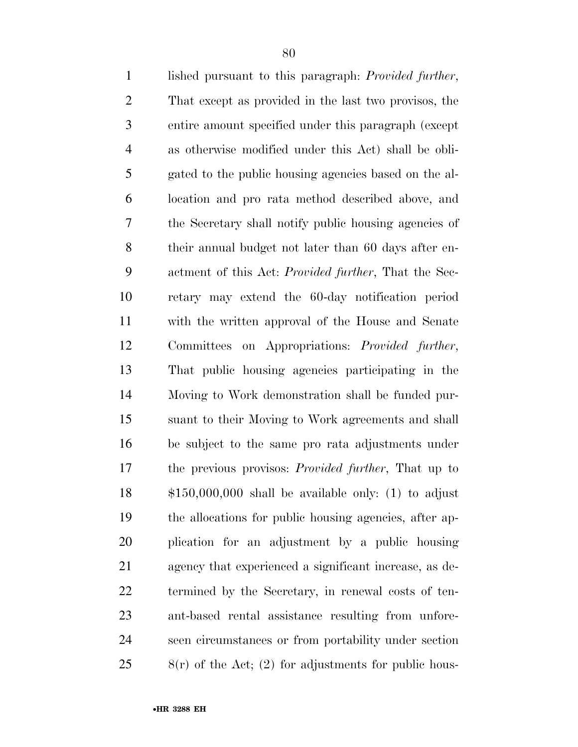| $\mathbf{1}$   | lished pursuant to this paragraph: <i>Provided further</i> , |
|----------------|--------------------------------------------------------------|
| $\overline{2}$ | That except as provided in the last two provisos, the        |
| 3              | entire amount specified under this paragraph (except         |
| $\overline{4}$ | as otherwise modified under this Act) shall be obli-         |
| 5              | gated to the public housing agencies based on the al-        |
| 6              | location and pro rata method described above, and            |
| 7              | the Secretary shall notify public housing agencies of        |
| $8\,$          | their annual budget not later than 60 days after en-         |
| 9              | actment of this Act: Provided further, That the Sec-         |
| 10             | retary may extend the 60-day notification period             |
| 11             | with the written approval of the House and Senate            |
| 12             | Committees on Appropriations: Provided further,              |
| 13             | That public housing agencies participating in the            |
| 14             | Moving to Work demonstration shall be funded pur-            |
| 15             | suant to their Moving to Work agreements and shall           |
| 16             | be subject to the same pro rata adjustments under            |
| 17             | the previous provisos: <i>Provided further</i> , That up to  |
| 18             | $$150,000,000$ shall be available only: (1) to adjust        |
| 19             | the allocations for public housing agencies, after ap-       |
| 20             | plication for an adjustment by a public housing              |
| 21             | agency that experienced a significant increase, as de-       |
| 22             | termined by the Secretary, in renewal costs of ten-          |
| 23             | ant-based rental assistance resulting from unfore-           |
| 24             | seen circumstances or from portability under section         |
| 25             | $8(r)$ of the Act; (2) for adjustments for public hous-      |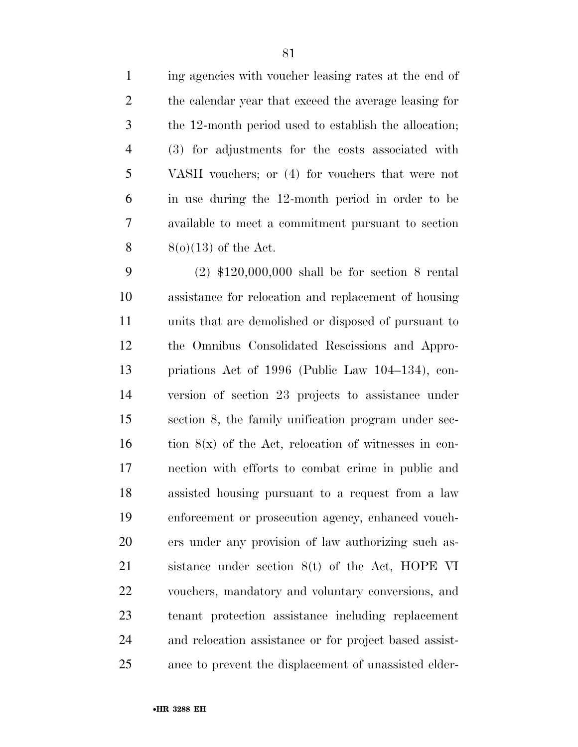ing agencies with voucher leasing rates at the end of the calendar year that exceed the average leasing for the 12-month period used to establish the allocation; (3) for adjustments for the costs associated with VASH vouchers; or (4) for vouchers that were not in use during the 12-month period in order to be available to meet a commitment pursuant to section  $8(0)(13)$  of the Act.

 (2) \$120,000,000 shall be for section 8 rental assistance for relocation and replacement of housing units that are demolished or disposed of pursuant to the Omnibus Consolidated Rescissions and Appro- priations Act of 1996 (Public Law 104–134), con- version of section 23 projects to assistance under section 8, the family unification program under sec- tion  $8(x)$  of the Act, relocation of witnesses in con- nection with efforts to combat crime in public and assisted housing pursuant to a request from a law enforcement or prosecution agency, enhanced vouch- ers under any provision of law authorizing such as- sistance under section 8(t) of the Act, HOPE VI vouchers, mandatory and voluntary conversions, and tenant protection assistance including replacement and relocation assistance or for project based assist-ance to prevent the displacement of unassisted elder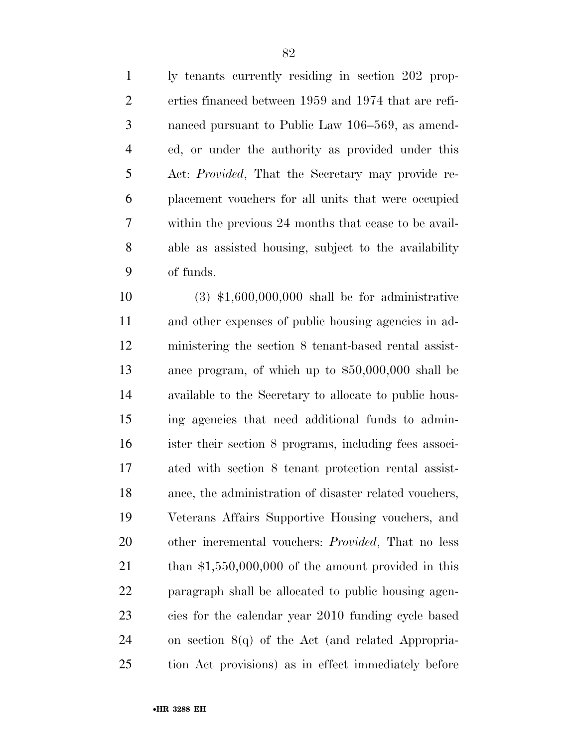ly tenants currently residing in section 202 prop- erties financed between 1959 and 1974 that are refi- nanced pursuant to Public Law 106–569, as amend- ed, or under the authority as provided under this Act: *Provided*, That the Secretary may provide re- placement vouchers for all units that were occupied within the previous 24 months that cease to be avail- able as assisted housing, subject to the availability of funds.

 (3) \$1,600,000,000 shall be for administrative and other expenses of public housing agencies in ad- ministering the section 8 tenant-based rental assist- ance program, of which up to \$50,000,000 shall be available to the Secretary to allocate to public hous- ing agencies that need additional funds to admin- ister their section 8 programs, including fees associ- ated with section 8 tenant protection rental assist- ance, the administration of disaster related vouchers, Veterans Affairs Supportive Housing vouchers, and other incremental vouchers: *Provided*, That no less 21 than \$1,550,000,000 of the amount provided in this paragraph shall be allocated to public housing agen- cies for the calendar year 2010 funding cycle based on section 8(q) of the Act (and related Appropria-tion Act provisions) as in effect immediately before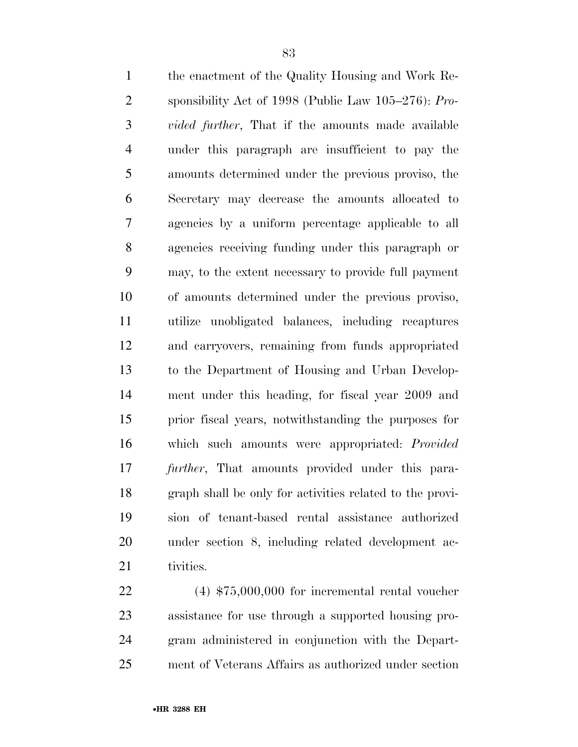the enactment of the Quality Housing and Work Re- sponsibility Act of 1998 (Public Law 105–276): *Pro- vided further*, That if the amounts made available under this paragraph are insufficient to pay the amounts determined under the previous proviso, the Secretary may decrease the amounts allocated to agencies by a uniform percentage applicable to all agencies receiving funding under this paragraph or may, to the extent necessary to provide full payment of amounts determined under the previous proviso, utilize unobligated balances, including recaptures and carryovers, remaining from funds appropriated to the Department of Housing and Urban Develop- ment under this heading, for fiscal year 2009 and prior fiscal years, notwithstanding the purposes for which such amounts were appropriated: *Provided further*, That amounts provided under this para- graph shall be only for activities related to the provi- sion of tenant-based rental assistance authorized under section 8, including related development ac-21 tivities.

 (4) \$75,000,000 for incremental rental voucher assistance for use through a supported housing pro- gram administered in conjunction with the Depart-ment of Veterans Affairs as authorized under section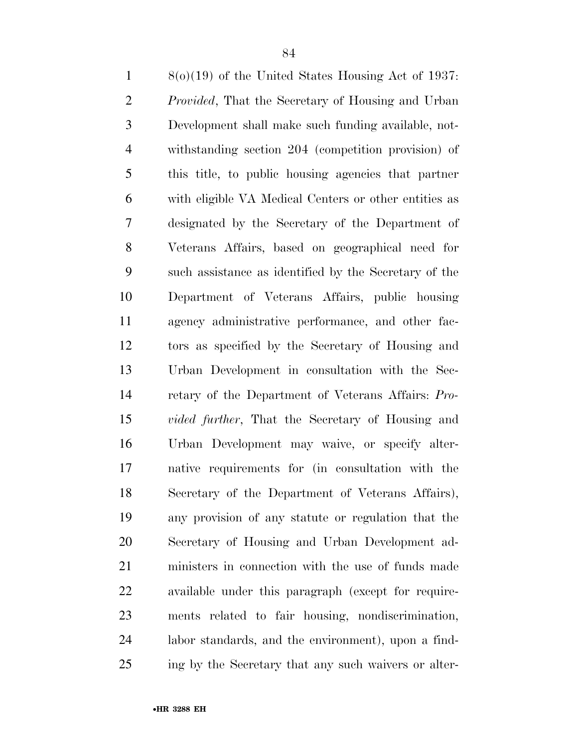8(o)(19) of the United States Housing Act of 1937: *Provided*, That the Secretary of Housing and Urban Development shall make such funding available, not- withstanding section 204 (competition provision) of this title, to public housing agencies that partner with eligible VA Medical Centers or other entities as designated by the Secretary of the Department of Veterans Affairs, based on geographical need for such assistance as identified by the Secretary of the Department of Veterans Affairs, public housing agency administrative performance, and other fac- tors as specified by the Secretary of Housing and Urban Development in consultation with the Sec- retary of the Department of Veterans Affairs: *Pro- vided further*, That the Secretary of Housing and Urban Development may waive, or specify alter- native requirements for (in consultation with the Secretary of the Department of Veterans Affairs), any provision of any statute or regulation that the Secretary of Housing and Urban Development ad- ministers in connection with the use of funds made available under this paragraph (except for require- ments related to fair housing, nondiscrimination, labor standards, and the environment), upon a find-ing by the Secretary that any such waivers or alter-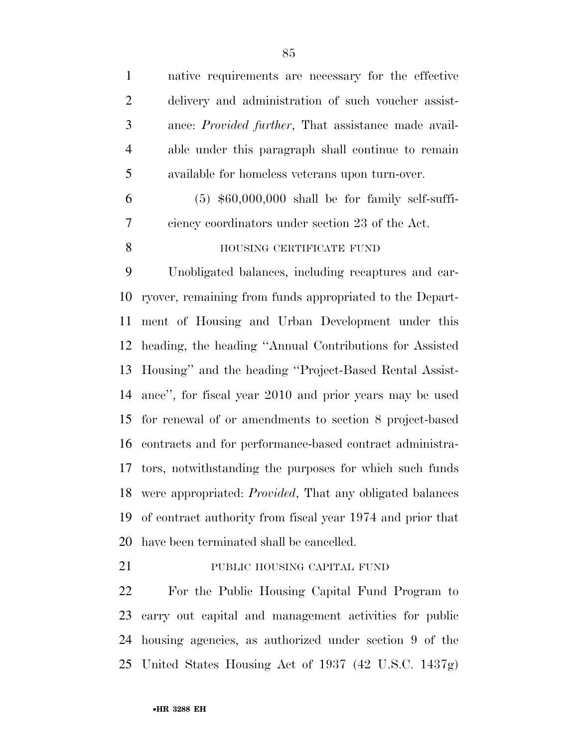| native requirements are necessary for the effective                 |
|---------------------------------------------------------------------|
| delivery and administration of such voucher assist-                 |
| ance: Provided further, That assistance made avail-                 |
| able under this paragraph shall continue to remain                  |
| available for homeless veterans upon turn-over.                     |
| $(5)$ \$60,000,000 shall be for family self-suffi-                  |
| ciency coordinators under section 23 of the Act.                    |
| HOUSING CERTIFICATE FUND                                            |
| Unobligated balances, including recaptures and car-                 |
| ryover, remaining from funds appropriated to the Depart-            |
| ment of Housing and Urban Development under this                    |
| heading, the heading "Annual Contributions for Assisted             |
| Housing" and the heading "Project-Based Rental Assist-              |
| ance", for fiscal year 2010 and prior years may be used             |
| for renewal of or amendments to section 8 project-based             |
| contracts and for performance-based contract administra-            |
| 17<br>tors, notwithstanding the purposes for which such funds       |
| 18 were appropriated: <i>Provided</i> , That any obligated balances |
| of contract authority from fiscal year 1974 and prior that          |
| have been terminated shall be cancelled.                            |
| PUBLIC HOUSING CAPITAL FUND                                         |
|                                                                     |

 For the Public Housing Capital Fund Program to carry out capital and management activities for public housing agencies, as authorized under section 9 of the United States Housing Act of 1937 (42 U.S.C. 1437g)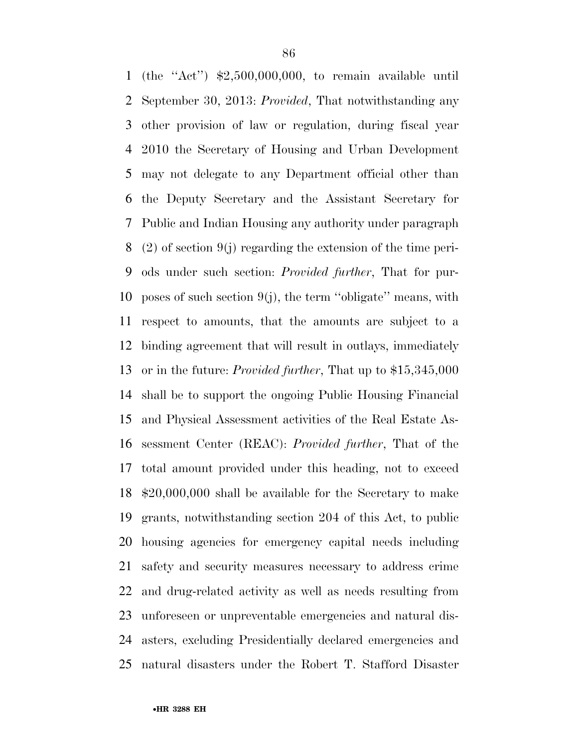(the ''Act'') \$2,500,000,000, to remain available until September 30, 2013: *Provided*, That notwithstanding any other provision of law or regulation, during fiscal year 2010 the Secretary of Housing and Urban Development may not delegate to any Department official other than the Deputy Secretary and the Assistant Secretary for Public and Indian Housing any authority under paragraph (2) of section 9(j) regarding the extension of the time peri- ods under such section: *Provided further*, That for pur-10 poses of such section  $9(j)$ , the term "obligate" means, with respect to amounts, that the amounts are subject to a binding agreement that will result in outlays, immediately or in the future: *Provided further*, That up to \$15,345,000 shall be to support the ongoing Public Housing Financial and Physical Assessment activities of the Real Estate As- sessment Center (REAC): *Provided further*, That of the total amount provided under this heading, not to exceed \$20,000,000 shall be available for the Secretary to make grants, notwithstanding section 204 of this Act, to public housing agencies for emergency capital needs including safety and security measures necessary to address crime and drug-related activity as well as needs resulting from unforeseen or unpreventable emergencies and natural dis- asters, excluding Presidentially declared emergencies and natural disasters under the Robert T. Stafford Disaster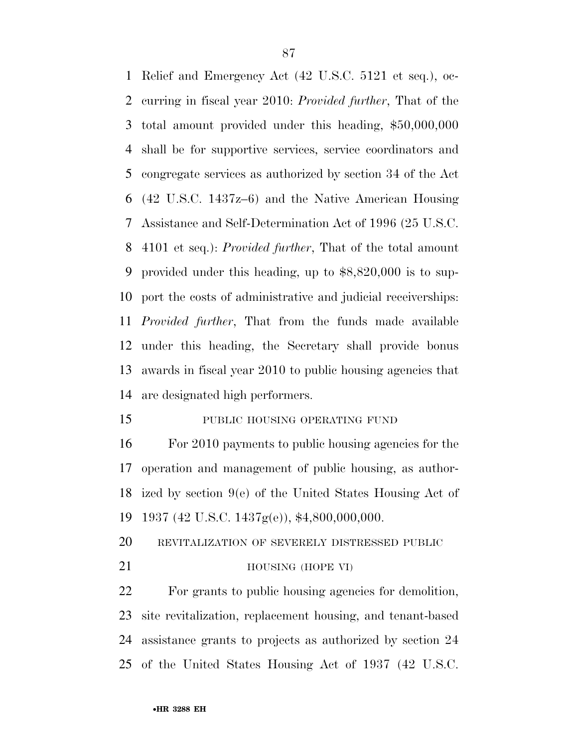Relief and Emergency Act (42 U.S.C. 5121 et seq.), oc- curring in fiscal year 2010: *Provided further*, That of the total amount provided under this heading, \$50,000,000 shall be for supportive services, service coordinators and congregate services as authorized by section 34 of the Act (42 U.S.C. 1437z–6) and the Native American Housing Assistance and Self-Determination Act of 1996 (25 U.S.C. 4101 et seq.): *Provided further*, That of the total amount provided under this heading, up to \$8,820,000 is to sup- port the costs of administrative and judicial receiverships: *Provided further*, That from the funds made available under this heading, the Secretary shall provide bonus awards in fiscal year 2010 to public housing agencies that are designated high performers.

15 PUBLIC HOUSING OPERATING FUND

 For 2010 payments to public housing agencies for the operation and management of public housing, as author- ized by section 9(e) of the United States Housing Act of 1937 (42 U.S.C. 1437g(e)), \$4,800,000,000.

REVITALIZATION OF SEVERELY DISTRESSED PUBLIC

## 21 HOUSING (HOPE VI)

 For grants to public housing agencies for demolition, site revitalization, replacement housing, and tenant-based assistance grants to projects as authorized by section 24 of the United States Housing Act of 1937 (42 U.S.C.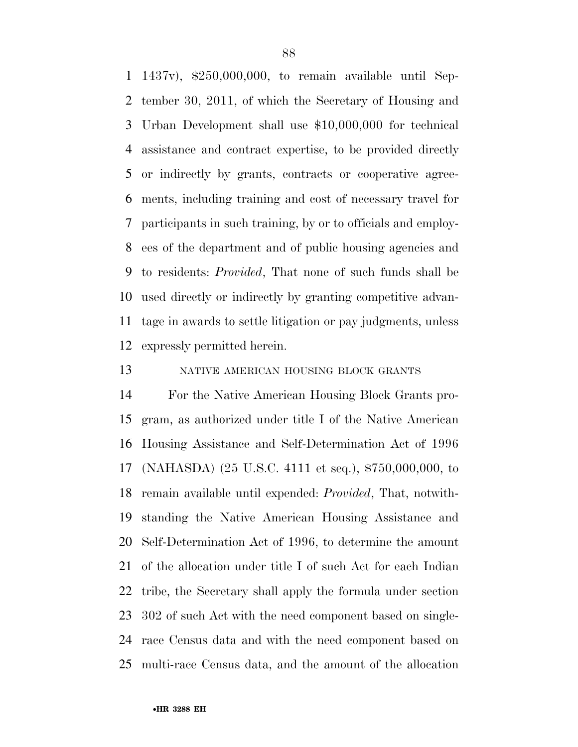1437v), \$250,000,000, to remain available until Sep- tember 30, 2011, of which the Secretary of Housing and Urban Development shall use \$10,000,000 for technical assistance and contract expertise, to be provided directly or indirectly by grants, contracts or cooperative agree- ments, including training and cost of necessary travel for participants in such training, by or to officials and employ- ees of the department and of public housing agencies and to residents: *Provided*, That none of such funds shall be used directly or indirectly by granting competitive advan- tage in awards to settle litigation or pay judgments, unless expressly permitted herein.

NATIVE AMERICAN HOUSING BLOCK GRANTS

 For the Native American Housing Block Grants pro- gram, as authorized under title I of the Native American Housing Assistance and Self-Determination Act of 1996 (NAHASDA) (25 U.S.C. 4111 et seq.), \$750,000,000, to remain available until expended: *Provided*, That, notwith- standing the Native American Housing Assistance and Self-Determination Act of 1996, to determine the amount of the allocation under title I of such Act for each Indian tribe, the Secretary shall apply the formula under section 302 of such Act with the need component based on single- race Census data and with the need component based on multi-race Census data, and the amount of the allocation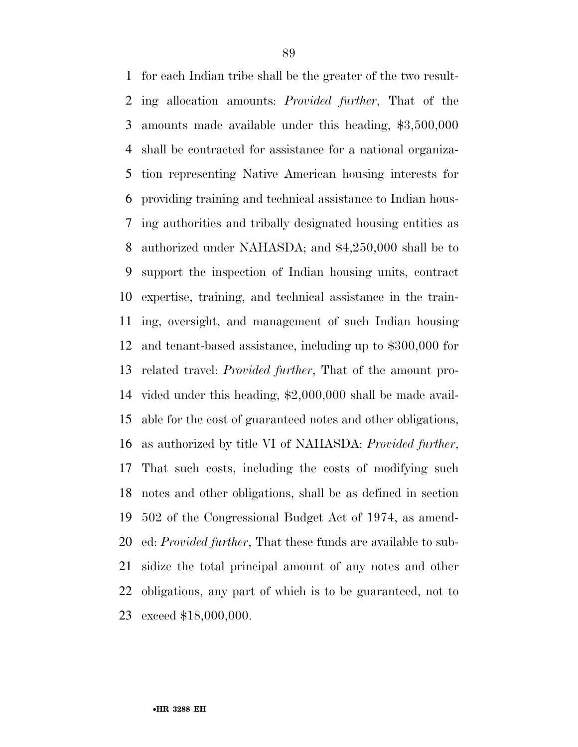for each Indian tribe shall be the greater of the two result- ing allocation amounts: *Provided further*, That of the amounts made available under this heading, \$3,500,000 shall be contracted for assistance for a national organiza- tion representing Native American housing interests for providing training and technical assistance to Indian hous- ing authorities and tribally designated housing entities as authorized under NAHASDA; and \$4,250,000 shall be to support the inspection of Indian housing units, contract expertise, training, and technical assistance in the train- ing, oversight, and management of such Indian housing and tenant-based assistance, including up to \$300,000 for related travel: *Provided further*, That of the amount pro- vided under this heading, \$2,000,000 shall be made avail- able for the cost of guaranteed notes and other obligations, as authorized by title VI of NAHASDA: *Provided further*, That such costs, including the costs of modifying such notes and other obligations, shall be as defined in section 502 of the Congressional Budget Act of 1974, as amend- ed: *Provided further*, That these funds are available to sub- sidize the total principal amount of any notes and other obligations, any part of which is to be guaranteed, not to exceed \$18,000,000.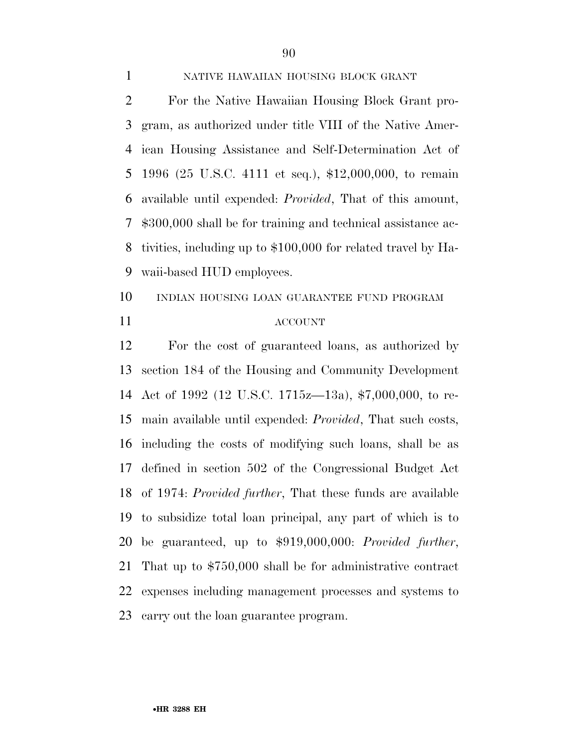## NATIVE HAWAIIAN HOUSING BLOCK GRANT

 For the Native Hawaiian Housing Block Grant pro- gram, as authorized under title VIII of the Native Amer- ican Housing Assistance and Self-Determination Act of 1996 (25 U.S.C. 4111 et seq.), \$12,000,000, to remain available until expended: *Provided*, That of this amount, \$300,000 shall be for training and technical assistance ac- tivities, including up to \$100,000 for related travel by Ha-waii-based HUD employees.

 INDIAN HOUSING LOAN GUARANTEE FUND PROGRAM ACCOUNT

 For the cost of guaranteed loans, as authorized by section 184 of the Housing and Community Development Act of 1992 (12 U.S.C. 1715z—13a), \$7,000,000, to re- main available until expended: *Provided*, That such costs, including the costs of modifying such loans, shall be as defined in section 502 of the Congressional Budget Act of 1974: *Provided further*, That these funds are available to subsidize total loan principal, any part of which is to be guaranteed, up to \$919,000,000: *Provided further*, That up to \$750,000 shall be for administrative contract expenses including management processes and systems to carry out the loan guarantee program.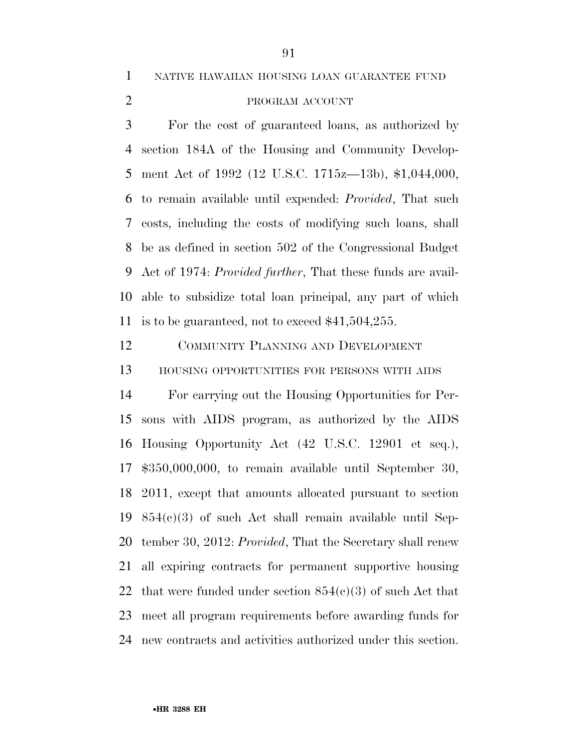NATIVE HAWAIIAN HOUSING LOAN GUARANTEE FUND

# 2 PROGRAM ACCOUNT

 For the cost of guaranteed loans, as authorized by section 184A of the Housing and Community Develop- ment Act of 1992 (12 U.S.C. 1715z—13b), \$1,044,000, to remain available until expended: *Provided*, That such costs, including the costs of modifying such loans, shall be as defined in section 502 of the Congressional Budget Act of 1974: *Provided further*, That these funds are avail- able to subsidize total loan principal, any part of which is to be guaranteed, not to exceed \$41,504,255.

 COMMUNITY PLANNING AND DEVELOPMENT HOUSING OPPORTUNITIES FOR PERSONS WITH AIDS

 For carrying out the Housing Opportunities for Per- sons with AIDS program, as authorized by the AIDS Housing Opportunity Act (42 U.S.C. 12901 et seq.), \$350,000,000, to remain available until September 30, 2011, except that amounts allocated pursuant to section 854(c)(3) of such Act shall remain available until Sep- tember 30, 2012: *Provided*, That the Secretary shall renew all expiring contracts for permanent supportive housing 22 that were funded under section  $854(c)(3)$  of such Act that meet all program requirements before awarding funds for new contracts and activities authorized under this section.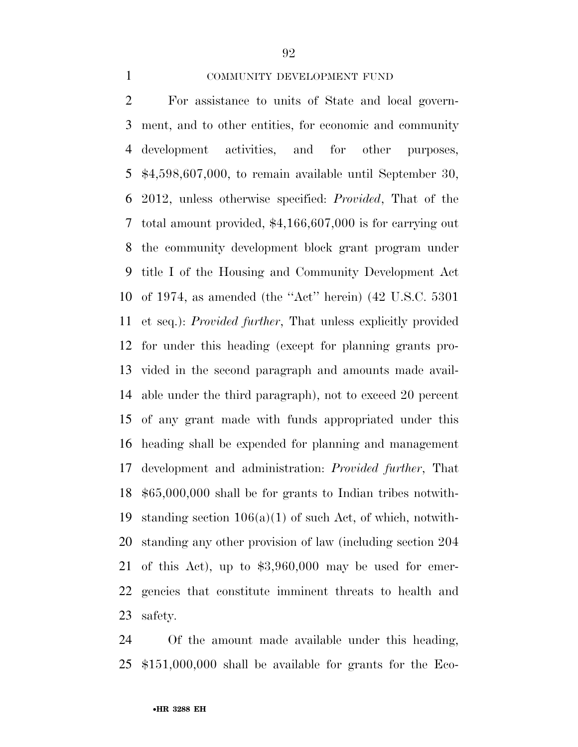## COMMUNITY DEVELOPMENT FUND

 For assistance to units of State and local govern- ment, and to other entities, for economic and community development activities, and for other purposes, \$4,598,607,000, to remain available until September 30, 2012, unless otherwise specified: *Provided*, That of the total amount provided, \$4,166,607,000 is for carrying out the community development block grant program under title I of the Housing and Community Development Act of 1974, as amended (the ''Act'' herein) (42 U.S.C. 5301 et seq.): *Provided further*, That unless explicitly provided for under this heading (except for planning grants pro- vided in the second paragraph and amounts made avail- able under the third paragraph), not to exceed 20 percent of any grant made with funds appropriated under this heading shall be expended for planning and management development and administration: *Provided further*, That \$65,000,000 shall be for grants to Indian tribes notwith-19 standing section  $106(a)(1)$  of such Act, of which, notwith- standing any other provision of law (including section 204 of this Act), up to \$3,960,000 may be used for emer- gencies that constitute imminent threats to health and safety.

 Of the amount made available under this heading, \$151,000,000 shall be available for grants for the Eco-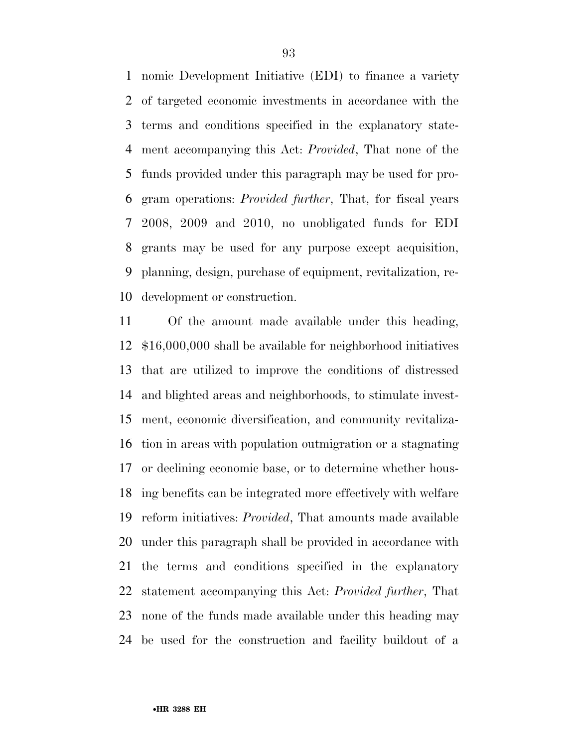nomic Development Initiative (EDI) to finance a variety of targeted economic investments in accordance with the terms and conditions specified in the explanatory state- ment accompanying this Act: *Provided*, That none of the funds provided under this paragraph may be used for pro- gram operations: *Provided further*, That, for fiscal years 2008, 2009 and 2010, no unobligated funds for EDI grants may be used for any purpose except acquisition, planning, design, purchase of equipment, revitalization, re-development or construction.

 Of the amount made available under this heading, \$16,000,000 shall be available for neighborhood initiatives that are utilized to improve the conditions of distressed and blighted areas and neighborhoods, to stimulate invest- ment, economic diversification, and community revitaliza- tion in areas with population outmigration or a stagnating or declining economic base, or to determine whether hous- ing benefits can be integrated more effectively with welfare reform initiatives: *Provided*, That amounts made available under this paragraph shall be provided in accordance with the terms and conditions specified in the explanatory statement accompanying this Act: *Provided further*, That none of the funds made available under this heading may be used for the construction and facility buildout of a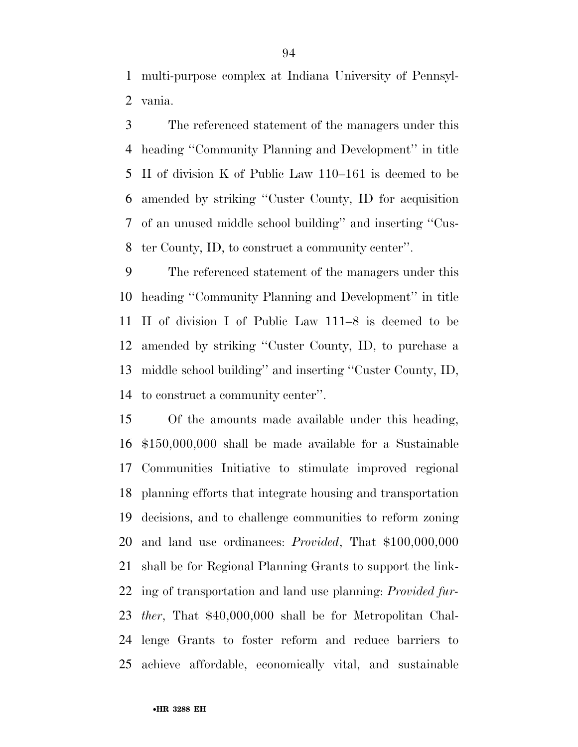multi-purpose complex at Indiana University of Pennsyl-vania.

 The referenced statement of the managers under this heading ''Community Planning and Development'' in title II of division K of Public Law 110–161 is deemed to be amended by striking ''Custer County, ID for acquisition of an unused middle school building'' and inserting ''Cus-ter County, ID, to construct a community center''.

 The referenced statement of the managers under this heading ''Community Planning and Development'' in title II of division I of Public Law 111–8 is deemed to be amended by striking ''Custer County, ID, to purchase a middle school building'' and inserting ''Custer County, ID, to construct a community center''.

 Of the amounts made available under this heading, \$150,000,000 shall be made available for a Sustainable Communities Initiative to stimulate improved regional planning efforts that integrate housing and transportation decisions, and to challenge communities to reform zoning and land use ordinances: *Provided*, That \$100,000,000 shall be for Regional Planning Grants to support the link- ing of transportation and land use planning: *Provided fur- ther*, That \$40,000,000 shall be for Metropolitan Chal- lenge Grants to foster reform and reduce barriers to achieve affordable, economically vital, and sustainable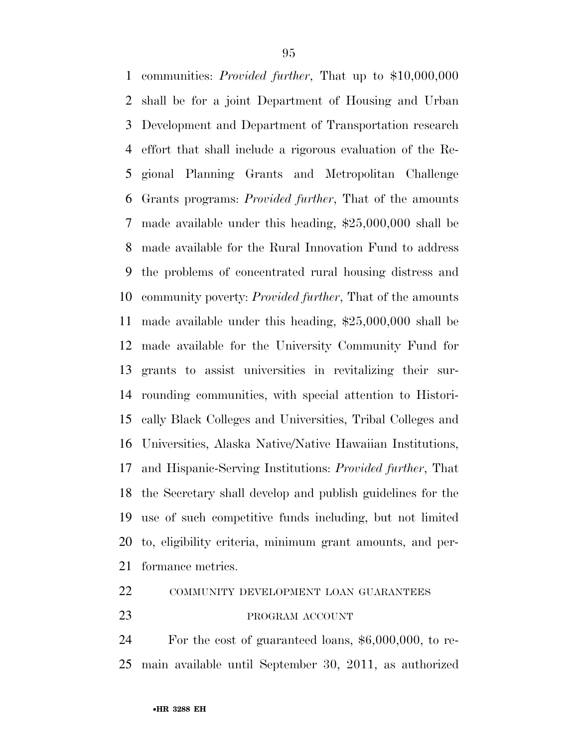communities: *Provided further*, That up to \$10,000,000 shall be for a joint Department of Housing and Urban Development and Department of Transportation research effort that shall include a rigorous evaluation of the Re- gional Planning Grants and Metropolitan Challenge Grants programs: *Provided further*, That of the amounts made available under this heading, \$25,000,000 shall be made available for the Rural Innovation Fund to address the problems of concentrated rural housing distress and community poverty: *Provided further*, That of the amounts made available under this heading, \$25,000,000 shall be made available for the University Community Fund for grants to assist universities in revitalizing their sur- rounding communities, with special attention to Histori- cally Black Colleges and Universities, Tribal Colleges and Universities, Alaska Native/Native Hawaiian Institutions, and Hispanic-Serving Institutions: *Provided further*, That the Secretary shall develop and publish guidelines for the use of such competitive funds including, but not limited to, eligibility criteria, minimum grant amounts, and per-formance metrics.

# COMMUNITY DEVELOPMENT LOAN GUARANTEES

### PROGRAM ACCOUNT

 For the cost of guaranteed loans, \$6,000,000, to re-main available until September 30, 2011, as authorized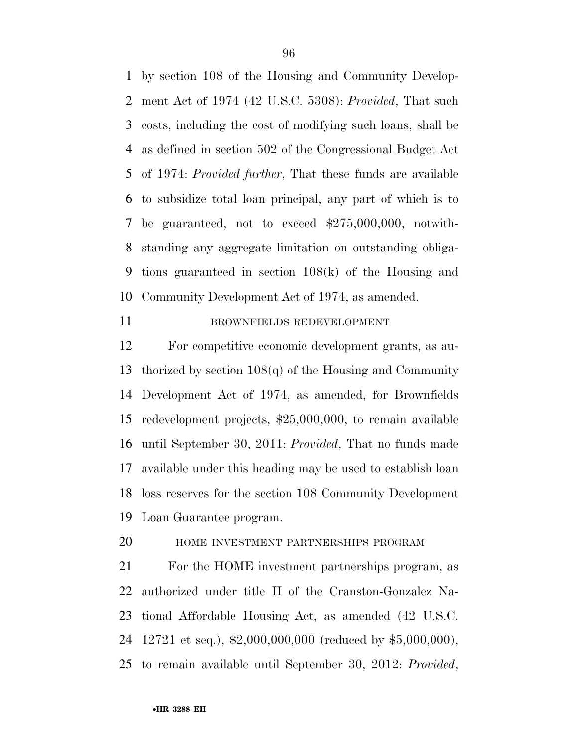by section 108 of the Housing and Community Develop- ment Act of 1974 (42 U.S.C. 5308): *Provided*, That such costs, including the cost of modifying such loans, shall be as defined in section 502 of the Congressional Budget Act of 1974: *Provided further*, That these funds are available to subsidize total loan principal, any part of which is to be guaranteed, not to exceed \$275,000,000, notwith- standing any aggregate limitation on outstanding obliga- tions guaranteed in section 108(k) of the Housing and Community Development Act of 1974, as amended.

BROWNFIELDS REDEVELOPMENT

 For competitive economic development grants, as au- thorized by section 108(q) of the Housing and Community Development Act of 1974, as amended, for Brownfields redevelopment projects, \$25,000,000, to remain available until September 30, 2011: *Provided*, That no funds made available under this heading may be used to establish loan loss reserves for the section 108 Community Development Loan Guarantee program.

HOME INVESTMENT PARTNERSHIPS PROGRAM

 For the HOME investment partnerships program, as authorized under title II of the Cranston-Gonzalez Na- tional Affordable Housing Act, as amended (42 U.S.C. 12721 et seq.), \$2,000,000,000 (reduced by \$5,000,000), to remain available until September 30, 2012: *Provided*,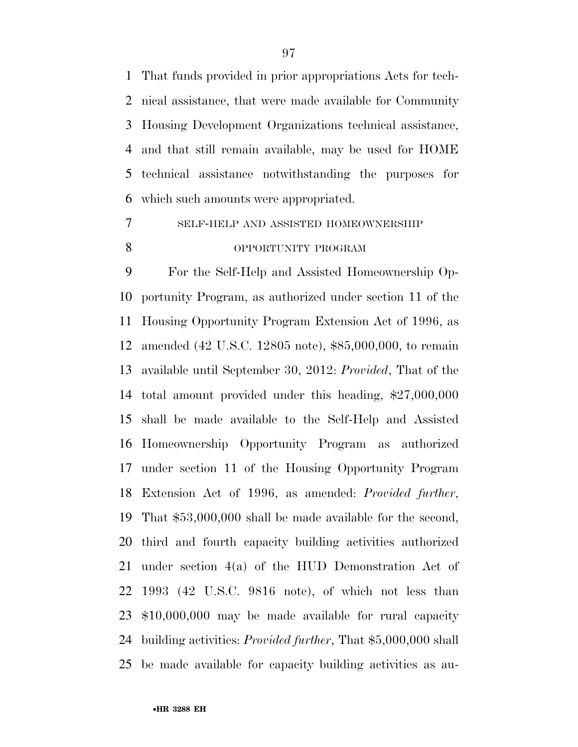That funds provided in prior appropriations Acts for tech- nical assistance, that were made available for Community Housing Development Organizations technical assistance, and that still remain available, may be used for HOME technical assistance notwithstanding the purposes for which such amounts were appropriated.

 SELF-HELP AND ASSISTED HOMEOWNERSHIP 8 OPPORTUNITY PROGRAM

 For the Self-Help and Assisted Homeownership Op- portunity Program, as authorized under section 11 of the Housing Opportunity Program Extension Act of 1996, as amended (42 U.S.C. 12805 note), \$85,000,000, to remain available until September 30, 2012: *Provided*, That of the total amount provided under this heading, \$27,000,000 shall be made available to the Self-Help and Assisted Homeownership Opportunity Program as authorized under section 11 of the Housing Opportunity Program Extension Act of 1996, as amended: *Provided further*, That \$53,000,000 shall be made available for the second, third and fourth capacity building activities authorized under section 4(a) of the HUD Demonstration Act of 1993 (42 U.S.C. 9816 note), of which not less than \$10,000,000 may be made available for rural capacity building activities: *Provided further*, That \$5,000,000 shall be made available for capacity building activities as au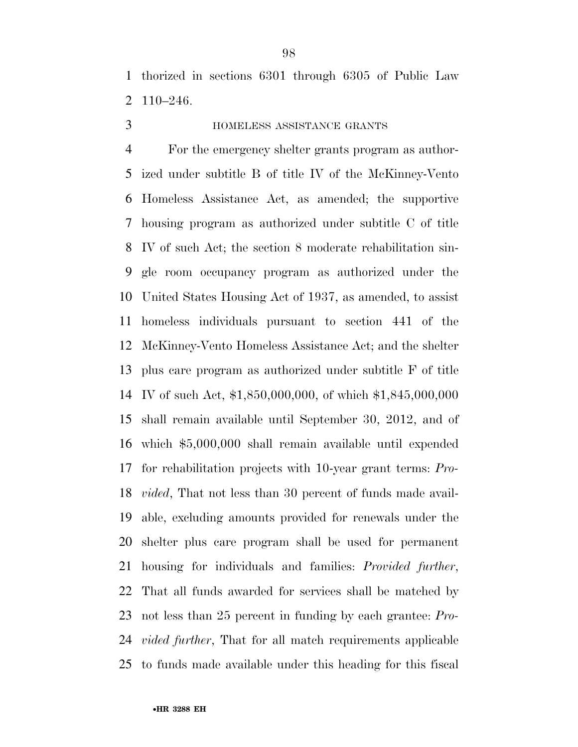thorized in sections 6301 through 6305 of Public Law 110–246.

# HOMELESS ASSISTANCE GRANTS

 For the emergency shelter grants program as author- ized under subtitle B of title IV of the McKinney-Vento Homeless Assistance Act, as amended; the supportive housing program as authorized under subtitle C of title IV of such Act; the section 8 moderate rehabilitation sin- gle room occupancy program as authorized under the United States Housing Act of 1937, as amended, to assist homeless individuals pursuant to section 441 of the McKinney-Vento Homeless Assistance Act; and the shelter plus care program as authorized under subtitle F of title IV of such Act, \$1,850,000,000, of which \$1,845,000,000 shall remain available until September 30, 2012, and of which \$5,000,000 shall remain available until expended for rehabilitation projects with 10-year grant terms: *Pro- vided*, That not less than 30 percent of funds made avail- able, excluding amounts provided for renewals under the shelter plus care program shall be used for permanent housing for individuals and families: *Provided further*, That all funds awarded for services shall be matched by not less than 25 percent in funding by each grantee: *Pro- vided further*, That for all match requirements applicable to funds made available under this heading for this fiscal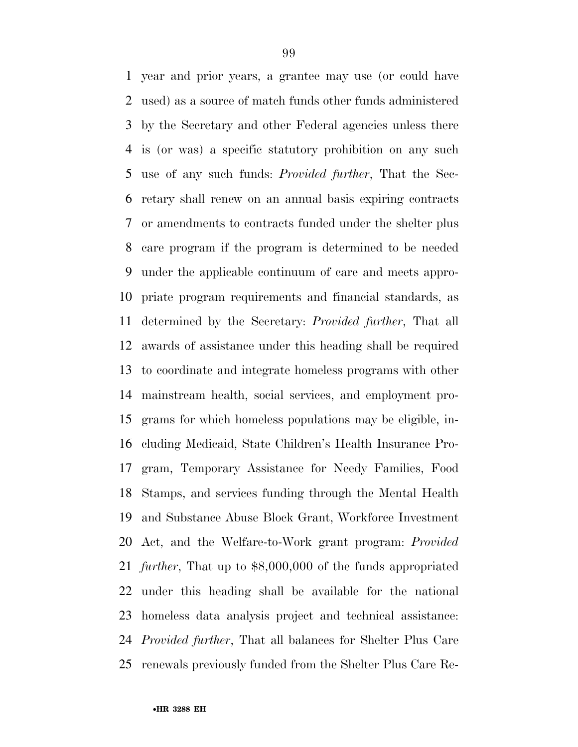year and prior years, a grantee may use (or could have used) as a source of match funds other funds administered by the Secretary and other Federal agencies unless there is (or was) a specific statutory prohibition on any such use of any such funds: *Provided further*, That the Sec- retary shall renew on an annual basis expiring contracts or amendments to contracts funded under the shelter plus care program if the program is determined to be needed under the applicable continuum of care and meets appro- priate program requirements and financial standards, as determined by the Secretary: *Provided further*, That all awards of assistance under this heading shall be required to coordinate and integrate homeless programs with other mainstream health, social services, and employment pro- grams for which homeless populations may be eligible, in- cluding Medicaid, State Children's Health Insurance Pro- gram, Temporary Assistance for Needy Families, Food Stamps, and services funding through the Mental Health and Substance Abuse Block Grant, Workforce Investment Act, and the Welfare-to-Work grant program: *Provided further*, That up to \$8,000,000 of the funds appropriated under this heading shall be available for the national homeless data analysis project and technical assistance: *Provided further*, That all balances for Shelter Plus Care renewals previously funded from the Shelter Plus Care Re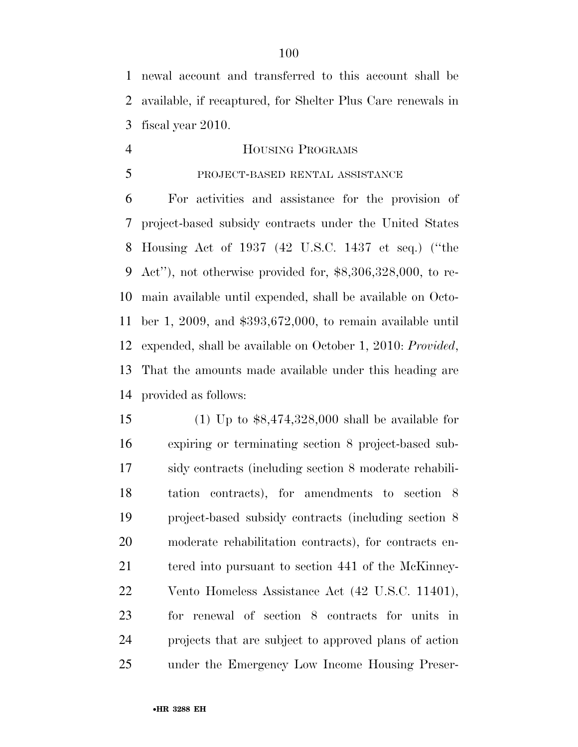newal account and transferred to this account shall be available, if recaptured, for Shelter Plus Care renewals in fiscal year 2010.

# 4 HOUSING PROGRAMS

## PROJECT-BASED RENTAL ASSISTANCE

 For activities and assistance for the provision of project-based subsidy contracts under the United States Housing Act of 1937 (42 U.S.C. 1437 et seq.) (''the Act''), not otherwise provided for, \$8,306,328,000, to re- main available until expended, shall be available on Octo- ber 1, 2009, and \$393,672,000, to remain available until expended, shall be available on October 1, 2010: *Provided*, That the amounts made available under this heading are provided as follows:

 (1) Up to \$8,474,328,000 shall be available for expiring or terminating section 8 project-based sub- sidy contracts (including section 8 moderate rehabili- tation contracts), for amendments to section 8 project-based subsidy contracts (including section 8 moderate rehabilitation contracts), for contracts en-21 tered into pursuant to section 441 of the McKinney- Vento Homeless Assistance Act (42 U.S.C. 11401), for renewal of section 8 contracts for units in projects that are subject to approved plans of action under the Emergency Low Income Housing Preser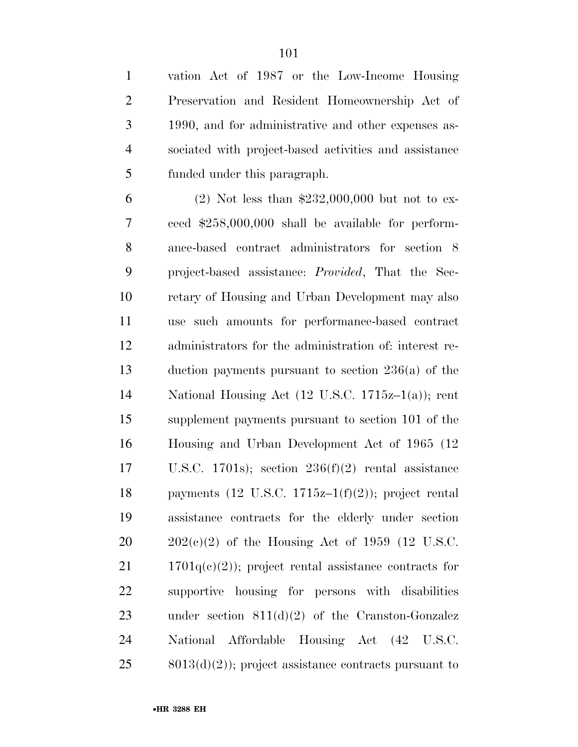vation Act of 1987 or the Low-Income Housing Preservation and Resident Homeownership Act of 1990, and for administrative and other expenses as- sociated with project-based activities and assistance funded under this paragraph.

 (2) Not less than \$232,000,000 but not to ex- ceed \$258,000,000 shall be available for perform- ance-based contract administrators for section 8 project-based assistance: *Provided*, That the Sec- retary of Housing and Urban Development may also use such amounts for performance-based contract administrators for the administration of: interest re- duction payments pursuant to section 236(a) of the National Housing Act (12 U.S.C. 1715z–1(a)); rent supplement payments pursuant to section 101 of the Housing and Urban Development Act of 1965 (12 U.S.C. 1701s); section 236(f)(2) rental assistance 18 payments  $(12 \text{ U.S.C. } 1715z-1(f)(2))$ ; project rental assistance contracts for the elderly under section  $20 \qquad 202(c)(2)$  of the Housing Act of 1959 (12 U.S.C.  $21 \t 1701q(e)(2)$ ; project rental assistance contracts for supportive housing for persons with disabilities under section 811(d)(2) of the Cranston-Gonzalez National Affordable Housing Act (42 U.S.C. 8013(d)(2)); project assistance contracts pursuant to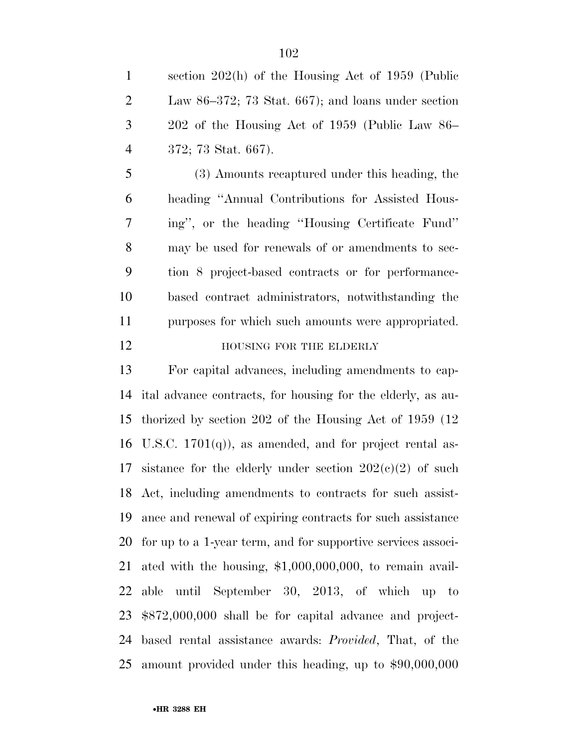section 202(h) of the Housing Act of 1959 (Public Law 86–372; 73 Stat. 667); and loans under section 202 of the Housing Act of 1959 (Public Law 86– 372; 73 Stat. 667).

 (3) Amounts recaptured under this heading, the heading ''Annual Contributions for Assisted Hous- ing'', or the heading ''Housing Certificate Fund'' may be used for renewals of or amendments to sec- tion 8 project-based contracts or for performance- based contract administrators, notwithstanding the purposes for which such amounts were appropriated. **HOUSING FOR THE ELDERLY** 

 For capital advances, including amendments to cap- ital advance contracts, for housing for the elderly, as au- thorized by section 202 of the Housing Act of 1959 (12 16 U.S.C.  $1701(q)$ , as amended, and for project rental as-17 sistance for the elderly under section  $202(c)(2)$  of such Act, including amendments to contracts for such assist- ance and renewal of expiring contracts for such assistance for up to a 1-year term, and for supportive services associ- ated with the housing, \$1,000,000,000, to remain avail- able until September 30, 2013, of which up to \$872,000,000 shall be for capital advance and project- based rental assistance awards: *Provided*, That, of the amount provided under this heading, up to \$90,000,000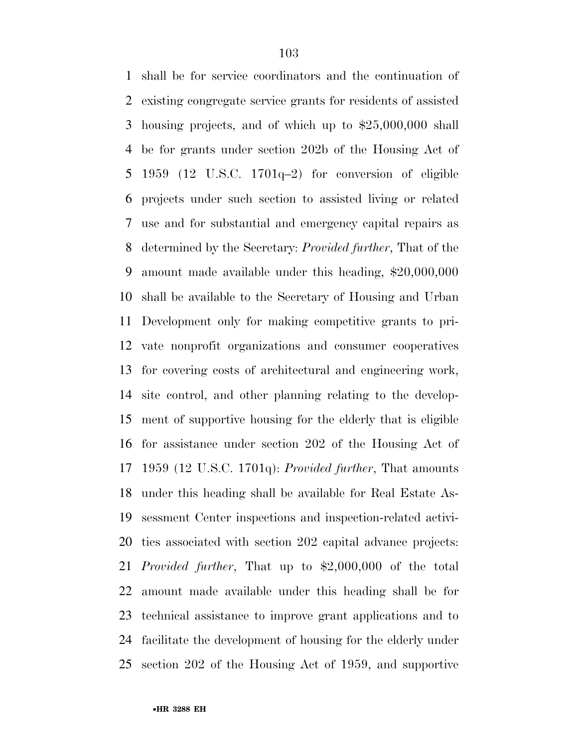shall be for service coordinators and the continuation of existing congregate service grants for residents of assisted housing projects, and of which up to \$25,000,000 shall be for grants under section 202b of the Housing Act of 1959 (12 U.S.C. 1701q–2) for conversion of eligible projects under such section to assisted living or related use and for substantial and emergency capital repairs as determined by the Secretary: *Provided further*, That of the amount made available under this heading, \$20,000,000 shall be available to the Secretary of Housing and Urban Development only for making competitive grants to pri- vate nonprofit organizations and consumer cooperatives for covering costs of architectural and engineering work, site control, and other planning relating to the develop- ment of supportive housing for the elderly that is eligible for assistance under section 202 of the Housing Act of 1959 (12 U.S.C. 1701q): *Provided further*, That amounts under this heading shall be available for Real Estate As- sessment Center inspections and inspection-related activi- ties associated with section 202 capital advance projects: *Provided further*, That up to \$2,000,000 of the total amount made available under this heading shall be for technical assistance to improve grant applications and to facilitate the development of housing for the elderly under section 202 of the Housing Act of 1959, and supportive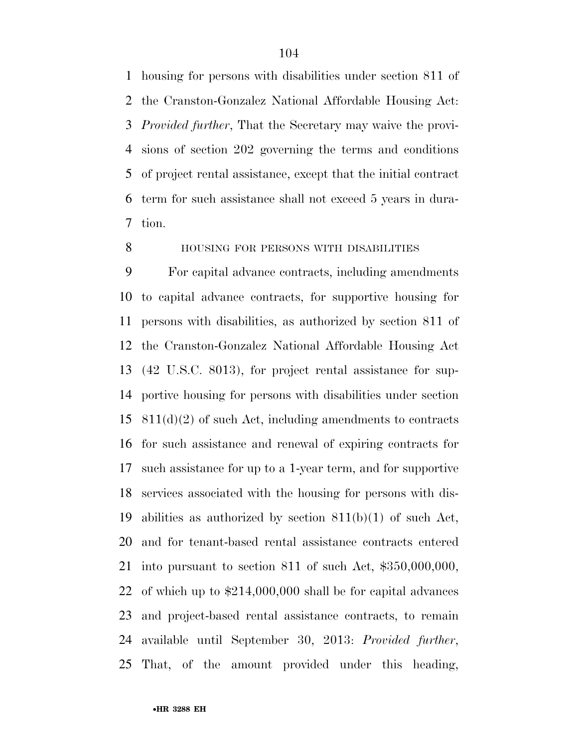housing for persons with disabilities under section 811 of the Cranston-Gonzalez National Affordable Housing Act: *Provided further*, That the Secretary may waive the provi- sions of section 202 governing the terms and conditions of project rental assistance, except that the initial contract term for such assistance shall not exceed 5 years in dura-tion.

## **HOUSING FOR PERSONS WITH DISABILITIES**

 For capital advance contracts, including amendments to capital advance contracts, for supportive housing for persons with disabilities, as authorized by section 811 of the Cranston-Gonzalez National Affordable Housing Act (42 U.S.C. 8013), for project rental assistance for sup- portive housing for persons with disabilities under section 811(d)(2) of such Act, including amendments to contracts for such assistance and renewal of expiring contracts for such assistance for up to a 1-year term, and for supportive services associated with the housing for persons with dis- abilities as authorized by section 811(b)(1) of such Act, and for tenant-based rental assistance contracts entered into pursuant to section 811 of such Act, \$350,000,000, of which up to \$214,000,000 shall be for capital advances and project-based rental assistance contracts, to remain available until September 30, 2013: *Provided further*, That, of the amount provided under this heading,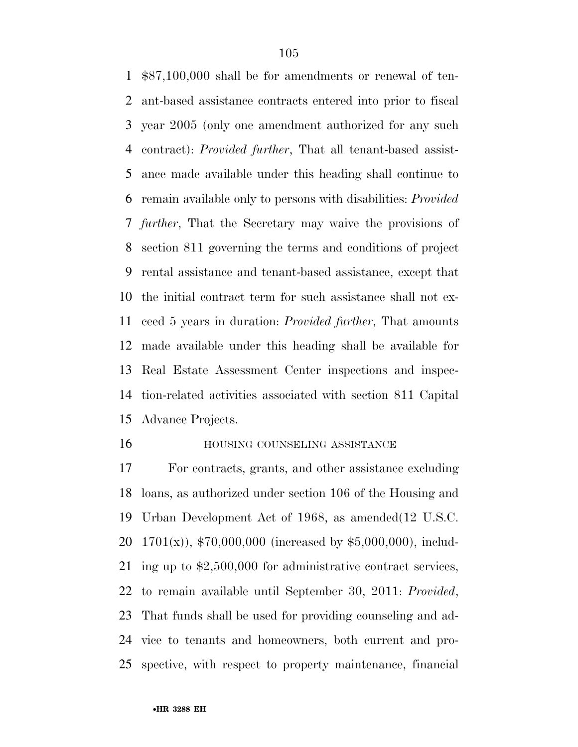\$87,100,000 shall be for amendments or renewal of ten- ant-based assistance contracts entered into prior to fiscal year 2005 (only one amendment authorized for any such contract): *Provided further*, That all tenant-based assist- ance made available under this heading shall continue to remain available only to persons with disabilities: *Provided further*, That the Secretary may waive the provisions of section 811 governing the terms and conditions of project rental assistance and tenant-based assistance, except that the initial contract term for such assistance shall not ex- ceed 5 years in duration: *Provided further*, That amounts made available under this heading shall be available for Real Estate Assessment Center inspections and inspec- tion-related activities associated with section 811 Capital Advance Projects.

#### **HOUSING COUNSELING ASSISTANCE**

 For contracts, grants, and other assistance excluding loans, as authorized under section 106 of the Housing and Urban Development Act of 1968, as amended(12 U.S.C. 1701(x)), \$70,000,000 (increased by \$5,000,000), includ- ing up to \$2,500,000 for administrative contract services, to remain available until September 30, 2011: *Provided*, That funds shall be used for providing counseling and ad- vice to tenants and homeowners, both current and pro-spective, with respect to property maintenance, financial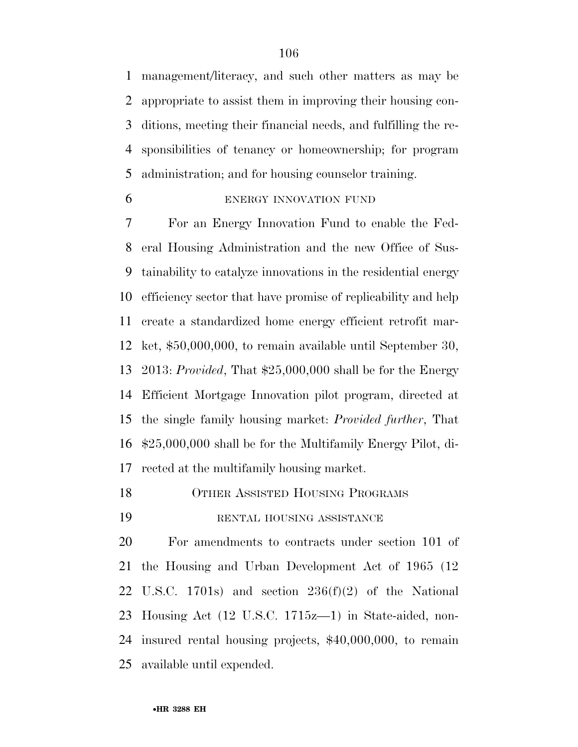management/literacy, and such other matters as may be appropriate to assist them in improving their housing con- ditions, meeting their financial needs, and fulfilling the re- sponsibilities of tenancy or homeownership; for program administration; and for housing counselor training.

## ENERGY INNOVATION FUND

 For an Energy Innovation Fund to enable the Fed- eral Housing Administration and the new Office of Sus- tainability to catalyze innovations in the residential energy efficiency sector that have promise of replicability and help create a standardized home energy efficient retrofit mar- ket, \$50,000,000, to remain available until September 30, 2013: *Provided*, That \$25,000,000 shall be for the Energy Efficient Mortgage Innovation pilot program, directed at the single family housing market: *Provided further*, That \$25,000,000 shall be for the Multifamily Energy Pilot, di-rected at the multifamily housing market.

- OTHER ASSISTED HOUSING PROGRAMS
- RENTAL HOUSING ASSISTANCE

 For amendments to contracts under section 101 of the Housing and Urban Development Act of 1965 (12 U.S.C. 1701s) and section 236(f)(2) of the National Housing Act (12 U.S.C. 1715z—1) in State-aided, non- insured rental housing projects, \$40,000,000, to remain available until expended.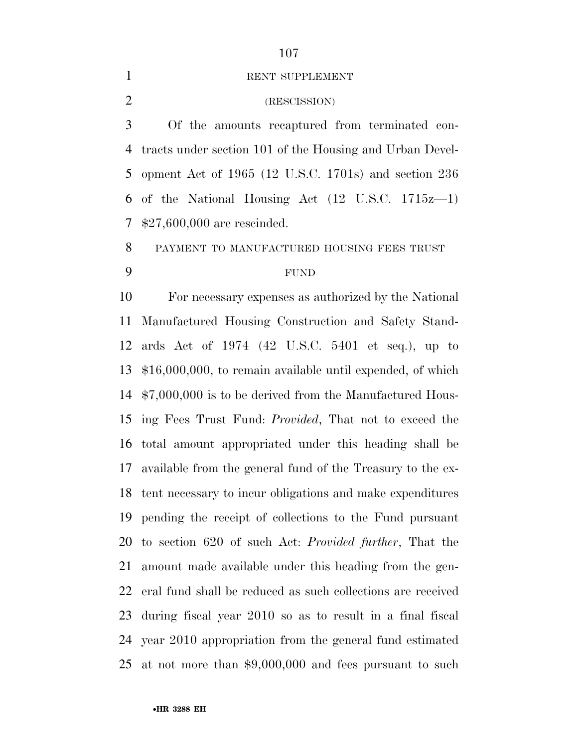#### 1 RENT SUPPLEMENT

## (RESCISSION)

 Of the amounts recaptured from terminated con- tracts under section 101 of the Housing and Urban Devel- opment Act of 1965 (12 U.S.C. 1701s) and section 236 of the National Housing Act (12 U.S.C. 1715z—1) \$27,600,000 are rescinded.

PAYMENT TO MANUFACTURED HOUSING FEES TRUST

## FUND

 For necessary expenses as authorized by the National Manufactured Housing Construction and Safety Stand- ards Act of 1974 (42 U.S.C. 5401 et seq.), up to \$16,000,000, to remain available until expended, of which \$7,000,000 is to be derived from the Manufactured Hous- ing Fees Trust Fund: *Provided*, That not to exceed the total amount appropriated under this heading shall be available from the general fund of the Treasury to the ex- tent necessary to incur obligations and make expenditures pending the receipt of collections to the Fund pursuant to section 620 of such Act: *Provided further*, That the amount made available under this heading from the gen- eral fund shall be reduced as such collections are received during fiscal year 2010 so as to result in a final fiscal year 2010 appropriation from the general fund estimated at not more than \$9,000,000 and fees pursuant to such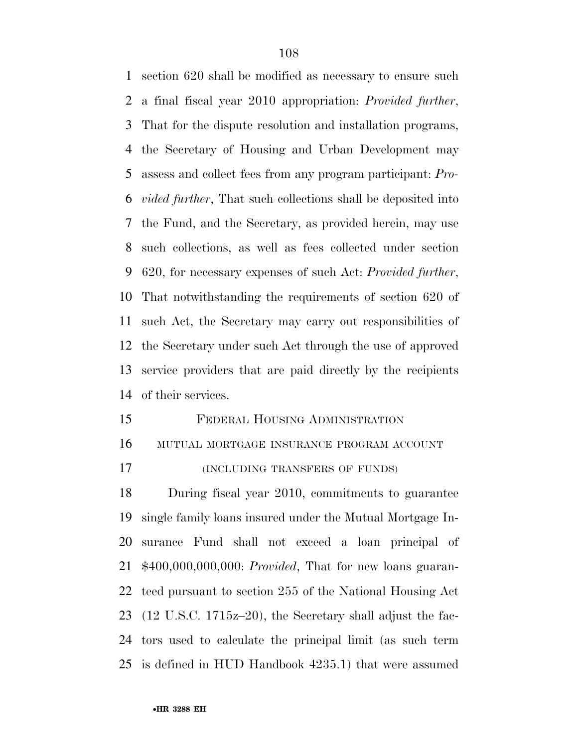section 620 shall be modified as necessary to ensure such a final fiscal year 2010 appropriation: *Provided further*, That for the dispute resolution and installation programs, the Secretary of Housing and Urban Development may assess and collect fees from any program participant: *Pro- vided further*, That such collections shall be deposited into the Fund, and the Secretary, as provided herein, may use such collections, as well as fees collected under section 620, for necessary expenses of such Act: *Provided further*, That notwithstanding the requirements of section 620 of such Act, the Secretary may carry out responsibilities of the Secretary under such Act through the use of approved service providers that are paid directly by the recipients of their services.

- FEDERAL HOUSING ADMINISTRATION MUTUAL MORTGAGE INSURANCE PROGRAM ACCOUNT
- (INCLUDING TRANSFERS OF FUNDS)

 During fiscal year 2010, commitments to guarantee single family loans insured under the Mutual Mortgage In- surance Fund shall not exceed a loan principal of \$400,000,000,000: *Provided*, That for new loans guaran- teed pursuant to section 255 of the National Housing Act (12 U.S.C. 1715z–20), the Secretary shall adjust the fac- tors used to calculate the principal limit (as such term is defined in HUD Handbook 4235.1) that were assumed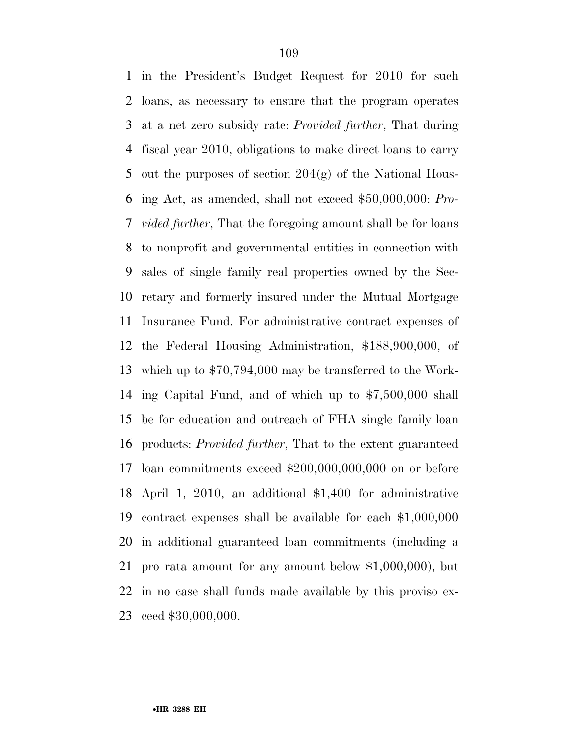in the President's Budget Request for 2010 for such loans, as necessary to ensure that the program operates at a net zero subsidy rate: *Provided further*, That during fiscal year 2010, obligations to make direct loans to carry out the purposes of section 204(g) of the National Hous- ing Act, as amended, shall not exceed \$50,000,000: *Pro- vided further*, That the foregoing amount shall be for loans to nonprofit and governmental entities in connection with sales of single family real properties owned by the Sec- retary and formerly insured under the Mutual Mortgage Insurance Fund. For administrative contract expenses of the Federal Housing Administration, \$188,900,000, of which up to \$70,794,000 may be transferred to the Work- ing Capital Fund, and of which up to \$7,500,000 shall be for education and outreach of FHA single family loan products: *Provided further*, That to the extent guaranteed loan commitments exceed \$200,000,000,000 on or before April 1, 2010, an additional \$1,400 for administrative contract expenses shall be available for each \$1,000,000 in additional guaranteed loan commitments (including a pro rata amount for any amount below \$1,000,000), but in no case shall funds made available by this proviso ex-ceed \$30,000,000.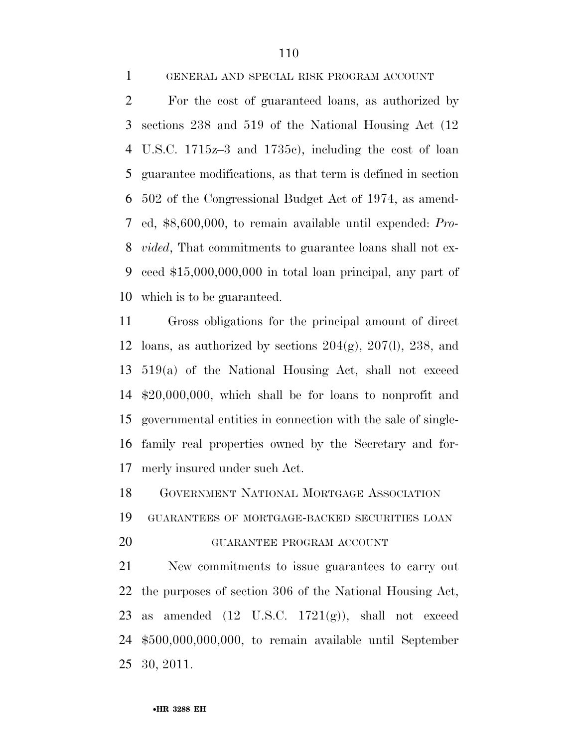GENERAL AND SPECIAL RISK PROGRAM ACCOUNT

 For the cost of guaranteed loans, as authorized by sections 238 and 519 of the National Housing Act (12 U.S.C. 1715z–3 and 1735c), including the cost of loan guarantee modifications, as that term is defined in section 502 of the Congressional Budget Act of 1974, as amend- ed, \$8,600,000, to remain available until expended: *Pro- vided*, That commitments to guarantee loans shall not ex- ceed \$15,000,000,000 in total loan principal, any part of which is to be guaranteed.

 Gross obligations for the principal amount of direct 12 loans, as authorized by sections  $204(g)$ ,  $207(l)$ ,  $238$ , and 519(a) of the National Housing Act, shall not exceed \$20,000,000, which shall be for loans to nonprofit and governmental entities in connection with the sale of single- family real properties owned by the Secretary and for-merly insured under such Act.

GOVERNMENT NATIONAL MORTGAGE ASSOCIATION

GUARANTEES OF MORTGAGE-BACKED SECURITIES LOAN

## GUARANTEE PROGRAM ACCOUNT

 New commitments to issue guarantees to carry out the purposes of section 306 of the National Housing Act, 23 as amended  $(12 \text{ U.S.C. } 1721(g))$ , shall not exceed \$500,000,000,000, to remain available until September 30, 2011.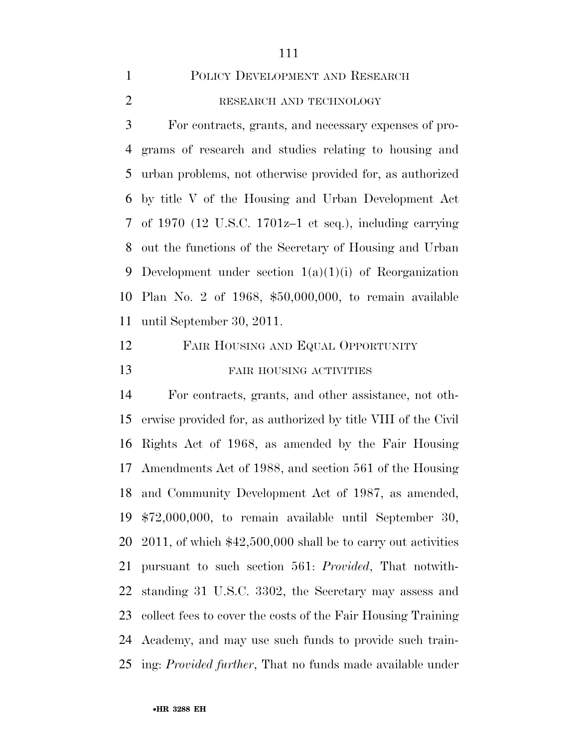# POLICY DEVELOPMENT AND RESEARCH

# 2 RESEARCH AND TECHNOLOGY

 For contracts, grants, and necessary expenses of pro- grams of research and studies relating to housing and urban problems, not otherwise provided for, as authorized by title V of the Housing and Urban Development Act of 1970 (12 U.S.C. 1701z–1 et seq.), including carrying out the functions of the Secretary of Housing and Urban 9 Development under section  $1(a)(1)(i)$  of Reorganization Plan No. 2 of 1968, \$50,000,000, to remain available until September 30, 2011.

# FAIR HOUSING AND EQUAL OPPORTUNITY 13 FAIR HOUSING ACTIVITIES

 For contracts, grants, and other assistance, not oth- erwise provided for, as authorized by title VIII of the Civil Rights Act of 1968, as amended by the Fair Housing Amendments Act of 1988, and section 561 of the Housing and Community Development Act of 1987, as amended, \$72,000,000, to remain available until September 30, 2011, of which \$42,500,000 shall be to carry out activities pursuant to such section 561: *Provided*, That notwith- standing 31 U.S.C. 3302, the Secretary may assess and collect fees to cover the costs of the Fair Housing Training Academy, and may use such funds to provide such train-ing: *Provided further*, That no funds made available under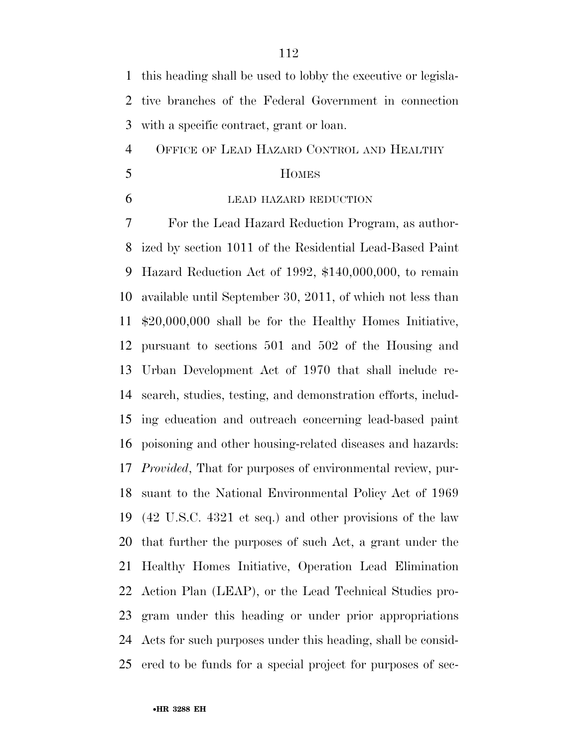this heading shall be used to lobby the executive or legisla- tive branches of the Federal Government in connection with a specific contract, grant or loan.

OFFICE OF LEAD HAZARD CONTROL AND HEALTHY

- HOMES
- 

#### LEAD HAZARD REDUCTION

 For the Lead Hazard Reduction Program, as author- ized by section 1011 of the Residential Lead-Based Paint Hazard Reduction Act of 1992, \$140,000,000, to remain available until September 30, 2011, of which not less than \$20,000,000 shall be for the Healthy Homes Initiative, pursuant to sections 501 and 502 of the Housing and Urban Development Act of 1970 that shall include re- search, studies, testing, and demonstration efforts, includ- ing education and outreach concerning lead-based paint poisoning and other housing-related diseases and hazards: *Provided*, That for purposes of environmental review, pur- suant to the National Environmental Policy Act of 1969 (42 U.S.C. 4321 et seq.) and other provisions of the law that further the purposes of such Act, a grant under the Healthy Homes Initiative, Operation Lead Elimination Action Plan (LEAP), or the Lead Technical Studies pro- gram under this heading or under prior appropriations Acts for such purposes under this heading, shall be consid-ered to be funds for a special project for purposes of sec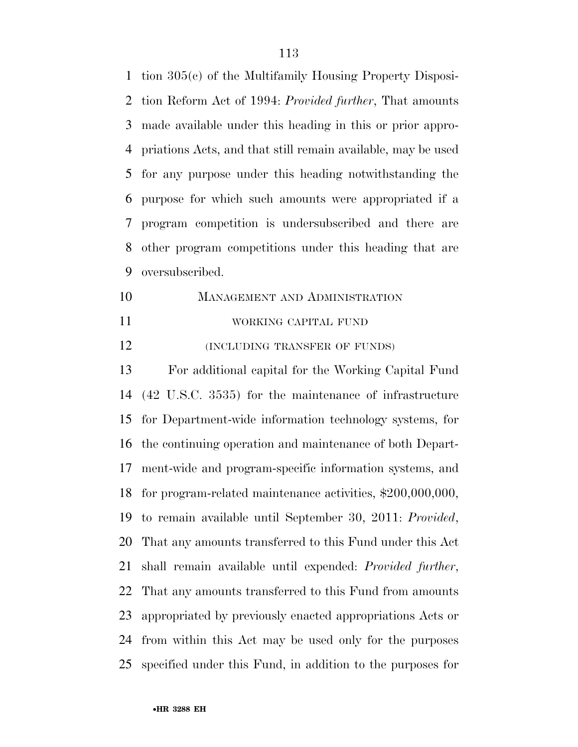tion 305(c) of the Multifamily Housing Property Disposi- tion Reform Act of 1994: *Provided further*, That amounts made available under this heading in this or prior appro- priations Acts, and that still remain available, may be used for any purpose under this heading notwithstanding the purpose for which such amounts were appropriated if a program competition is undersubscribed and there are other program competitions under this heading that are oversubscribed.

 MANAGEMENT AND ADMINISTRATION WORKING CAPITAL FUND

**(INCLUDING TRANSFER OF FUNDS)** 

 For additional capital for the Working Capital Fund (42 U.S.C. 3535) for the maintenance of infrastructure for Department-wide information technology systems, for the continuing operation and maintenance of both Depart- ment-wide and program-specific information systems, and for program-related maintenance activities, \$200,000,000, to remain available until September 30, 2011: *Provided*, That any amounts transferred to this Fund under this Act shall remain available until expended: *Provided further*, That any amounts transferred to this Fund from amounts appropriated by previously enacted appropriations Acts or from within this Act may be used only for the purposes specified under this Fund, in addition to the purposes for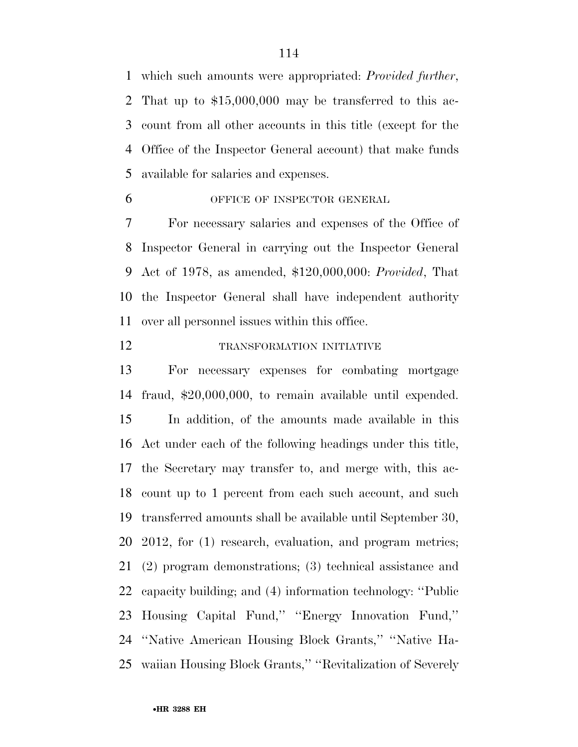which such amounts were appropriated: *Provided further*, That up to \$15,000,000 may be transferred to this ac- count from all other accounts in this title (except for the Office of the Inspector General account) that make funds available for salaries and expenses.

# OFFICE OF INSPECTOR GENERAL

 For necessary salaries and expenses of the Office of Inspector General in carrying out the Inspector General Act of 1978, as amended, \$120,000,000: *Provided*, That the Inspector General shall have independent authority over all personnel issues within this office.

#### TRANSFORMATION INITIATIVE

 For necessary expenses for combating mortgage fraud, \$20,000,000, to remain available until expended. In addition, of the amounts made available in this Act under each of the following headings under this title, the Secretary may transfer to, and merge with, this ac- count up to 1 percent from each such account, and such transferred amounts shall be available until September 30, 2012, for (1) research, evaluation, and program metrics; (2) program demonstrations; (3) technical assistance and capacity building; and (4) information technology: ''Public Housing Capital Fund,'' ''Energy Innovation Fund,'' ''Native American Housing Block Grants,'' ''Native Ha-waiian Housing Block Grants,'' ''Revitalization of Severely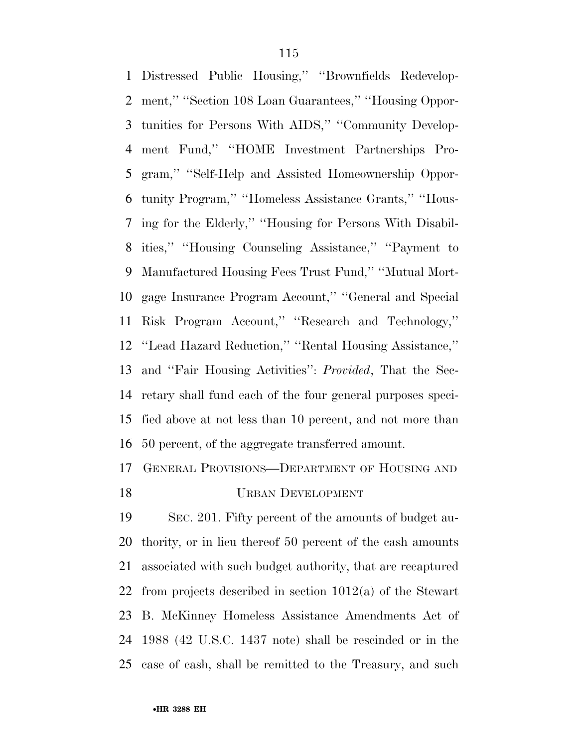Distressed Public Housing,'' ''Brownfields Redevelop- ment,'' ''Section 108 Loan Guarantees,'' ''Housing Oppor- tunities for Persons With AIDS,'' ''Community Develop- ment Fund,'' ''HOME Investment Partnerships Pro- gram,'' ''Self-Help and Assisted Homeownership Oppor- tunity Program,'' ''Homeless Assistance Grants,'' ''Hous- ing for the Elderly,'' ''Housing for Persons With Disabil- ities,'' ''Housing Counseling Assistance,'' ''Payment to Manufactured Housing Fees Trust Fund,'' ''Mutual Mort- gage Insurance Program Account,'' ''General and Special Risk Program Account,'' ''Research and Technology,'' ''Lead Hazard Reduction,'' ''Rental Housing Assistance,'' and ''Fair Housing Activities'': *Provided*, That the Sec- retary shall fund each of the four general purposes speci- fied above at not less than 10 percent, and not more than 50 percent, of the aggregate transferred amount.

## GENERAL PROVISIONS—DEPARTMENT OF HOUSING AND

URBAN DEVELOPMENT

 SEC. 201. Fifty percent of the amounts of budget au- thority, or in lieu thereof 50 percent of the cash amounts associated with such budget authority, that are recaptured from projects described in section 1012(a) of the Stewart B. McKinney Homeless Assistance Amendments Act of 1988 (42 U.S.C. 1437 note) shall be rescinded or in the case of cash, shall be remitted to the Treasury, and such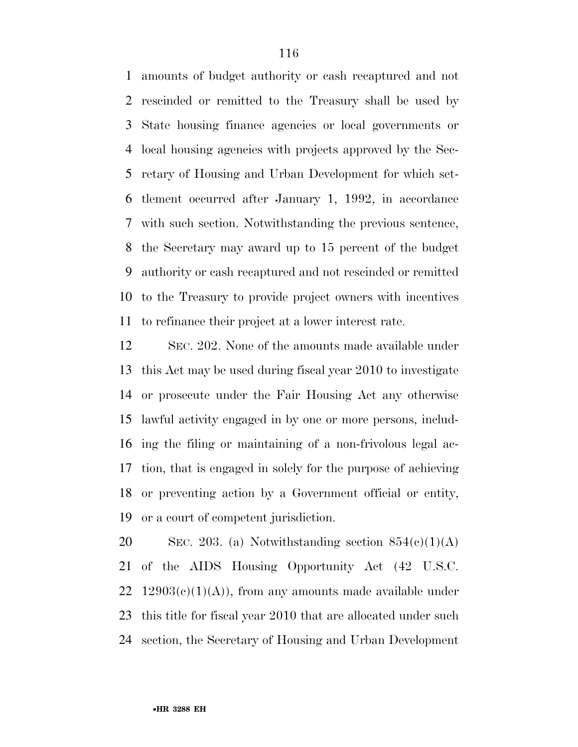amounts of budget authority or cash recaptured and not rescinded or remitted to the Treasury shall be used by State housing finance agencies or local governments or local housing agencies with projects approved by the Sec- retary of Housing and Urban Development for which set- tlement occurred after January 1, 1992, in accordance with such section. Notwithstanding the previous sentence, the Secretary may award up to 15 percent of the budget authority or cash recaptured and not rescinded or remitted to the Treasury to provide project owners with incentives to refinance their project at a lower interest rate.

 SEC. 202. None of the amounts made available under this Act may be used during fiscal year 2010 to investigate or prosecute under the Fair Housing Act any otherwise lawful activity engaged in by one or more persons, includ- ing the filing or maintaining of a non-frivolous legal ac- tion, that is engaged in solely for the purpose of achieving or preventing action by a Government official or entity, or a court of competent jurisdiction.

20 SEC. 203. (a) Notwithstanding section  $854(e)(1)(A)$  of the AIDS Housing Opportunity Act (42 U.S.C. 22 12903(c)(1)(A)), from any amounts made available under this title for fiscal year 2010 that are allocated under such section, the Secretary of Housing and Urban Development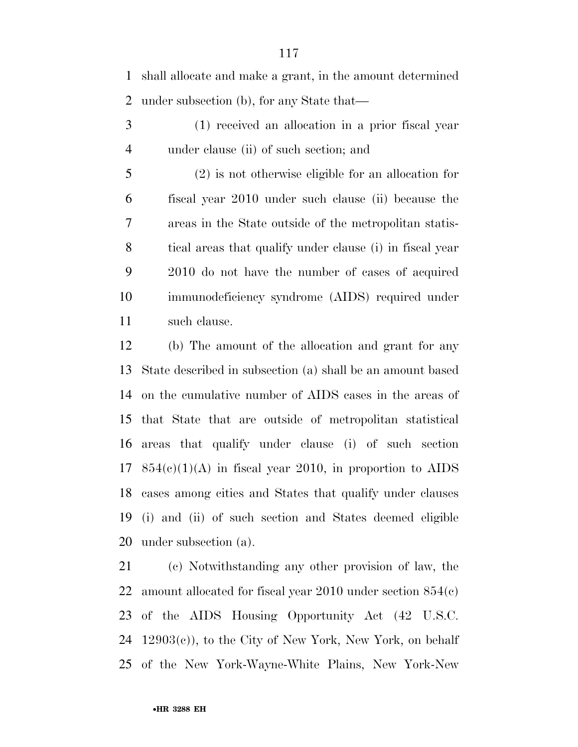shall allocate and make a grant, in the amount determined under subsection (b), for any State that—

 (1) received an allocation in a prior fiscal year under clause (ii) of such section; and

 (2) is not otherwise eligible for an allocation for fiscal year 2010 under such clause (ii) because the areas in the State outside of the metropolitan statis- tical areas that qualify under clause (i) in fiscal year 2010 do not have the number of cases of acquired immunodeficiency syndrome (AIDS) required under such clause.

 (b) The amount of the allocation and grant for any State described in subsection (a) shall be an amount based on the cumulative number of AIDS cases in the areas of that State that are outside of metropolitan statistical areas that qualify under clause (i) of such section  $854(e)(1)(A)$  in fiscal year 2010, in proportion to AIDS cases among cities and States that qualify under clauses (i) and (ii) of such section and States deemed eligible under subsection (a).

 (c) Notwithstanding any other provision of law, the amount allocated for fiscal year 2010 under section 854(c) of the AIDS Housing Opportunity Act (42 U.S.C. 12903(c)), to the City of New York, New York, on behalf of the New York-Wayne-White Plains, New York-New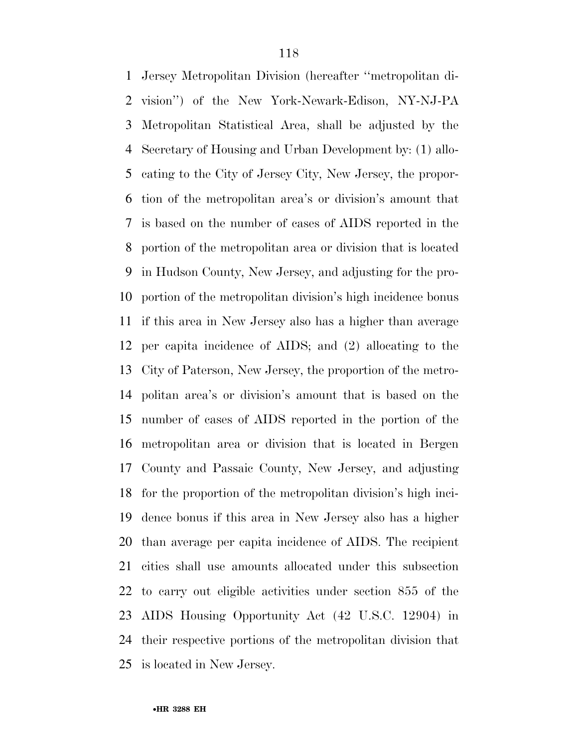Jersey Metropolitan Division (hereafter ''metropolitan di- vision'') of the New York-Newark-Edison, NY-NJ-PA Metropolitan Statistical Area, shall be adjusted by the Secretary of Housing and Urban Development by: (1) allo- cating to the City of Jersey City, New Jersey, the propor- tion of the metropolitan area's or division's amount that is based on the number of cases of AIDS reported in the portion of the metropolitan area or division that is located in Hudson County, New Jersey, and adjusting for the pro- portion of the metropolitan division's high incidence bonus if this area in New Jersey also has a higher than average per capita incidence of AIDS; and (2) allocating to the City of Paterson, New Jersey, the proportion of the metro- politan area's or division's amount that is based on the number of cases of AIDS reported in the portion of the metropolitan area or division that is located in Bergen County and Passaic County, New Jersey, and adjusting for the proportion of the metropolitan division's high inci- dence bonus if this area in New Jersey also has a higher than average per capita incidence of AIDS. The recipient cities shall use amounts allocated under this subsection to carry out eligible activities under section 855 of the AIDS Housing Opportunity Act (42 U.S.C. 12904) in their respective portions of the metropolitan division that is located in New Jersey.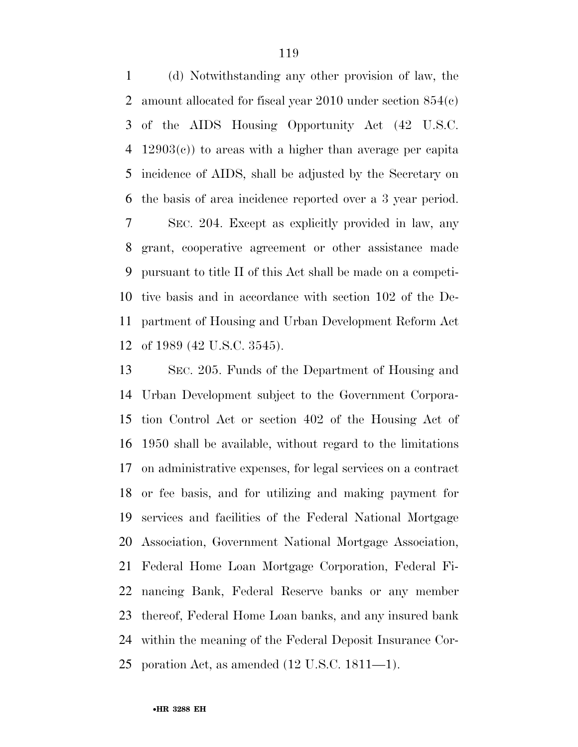(d) Notwithstanding any other provision of law, the amount allocated for fiscal year 2010 under section 854(c) of the AIDS Housing Opportunity Act (42 U.S.C. 12903(c)) to areas with a higher than average per capita incidence of AIDS, shall be adjusted by the Secretary on the basis of area incidence reported over a 3 year period. SEC. 204. Except as explicitly provided in law, any grant, cooperative agreement or other assistance made pursuant to title II of this Act shall be made on a competi- tive basis and in accordance with section 102 of the De- partment of Housing and Urban Development Reform Act of 1989 (42 U.S.C. 3545).

 SEC. 205. Funds of the Department of Housing and Urban Development subject to the Government Corpora- tion Control Act or section 402 of the Housing Act of 1950 shall be available, without regard to the limitations on administrative expenses, for legal services on a contract or fee basis, and for utilizing and making payment for services and facilities of the Federal National Mortgage Association, Government National Mortgage Association, Federal Home Loan Mortgage Corporation, Federal Fi- nancing Bank, Federal Reserve banks or any member thereof, Federal Home Loan banks, and any insured bank within the meaning of the Federal Deposit Insurance Cor-poration Act, as amended (12 U.S.C. 1811—1).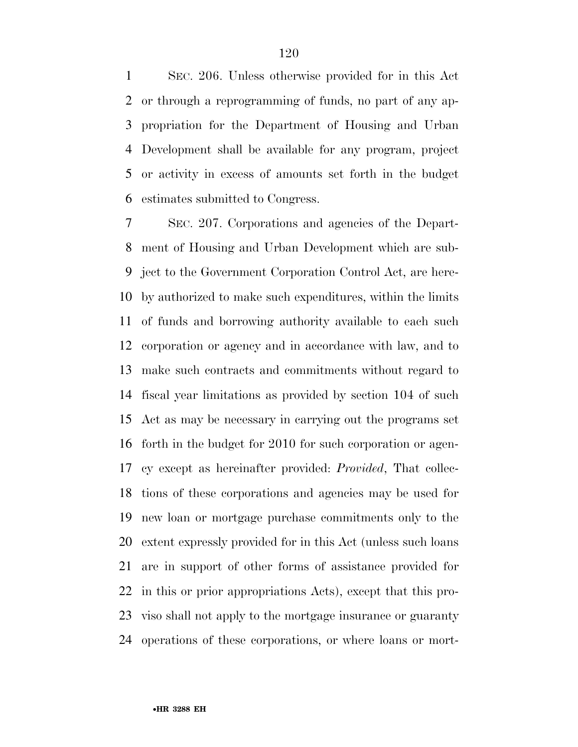SEC. 206. Unless otherwise provided for in this Act or through a reprogramming of funds, no part of any ap- propriation for the Department of Housing and Urban Development shall be available for any program, project or activity in excess of amounts set forth in the budget estimates submitted to Congress.

 SEC. 207. Corporations and agencies of the Depart- ment of Housing and Urban Development which are sub- ject to the Government Corporation Control Act, are here- by authorized to make such expenditures, within the limits of funds and borrowing authority available to each such corporation or agency and in accordance with law, and to make such contracts and commitments without regard to fiscal year limitations as provided by section 104 of such Act as may be necessary in carrying out the programs set forth in the budget for 2010 for such corporation or agen- cy except as hereinafter provided: *Provided*, That collec- tions of these corporations and agencies may be used for new loan or mortgage purchase commitments only to the extent expressly provided for in this Act (unless such loans are in support of other forms of assistance provided for in this or prior appropriations Acts), except that this pro- viso shall not apply to the mortgage insurance or guaranty operations of these corporations, or where loans or mort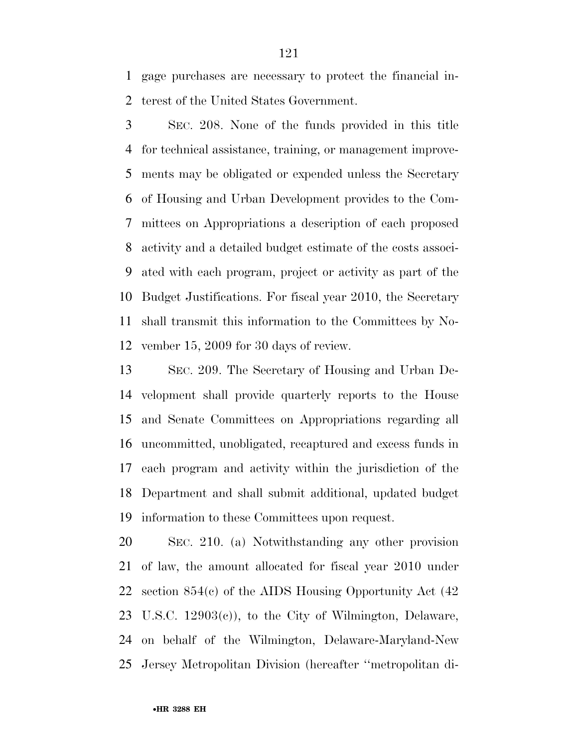gage purchases are necessary to protect the financial in-terest of the United States Government.

 SEC. 208. None of the funds provided in this title for technical assistance, training, or management improve- ments may be obligated or expended unless the Secretary of Housing and Urban Development provides to the Com- mittees on Appropriations a description of each proposed activity and a detailed budget estimate of the costs associ- ated with each program, project or activity as part of the Budget Justifications. For fiscal year 2010, the Secretary shall transmit this information to the Committees by No-vember 15, 2009 for 30 days of review.

 SEC. 209. The Secretary of Housing and Urban De- velopment shall provide quarterly reports to the House and Senate Committees on Appropriations regarding all uncommitted, unobligated, recaptured and excess funds in each program and activity within the jurisdiction of the Department and shall submit additional, updated budget information to these Committees upon request.

 SEC. 210. (a) Notwithstanding any other provision of law, the amount allocated for fiscal year 2010 under section 854(c) of the AIDS Housing Opportunity Act (42 U.S.C. 12903(c)), to the City of Wilmington, Delaware, on behalf of the Wilmington, Delaware-Maryland-New Jersey Metropolitan Division (hereafter ''metropolitan di-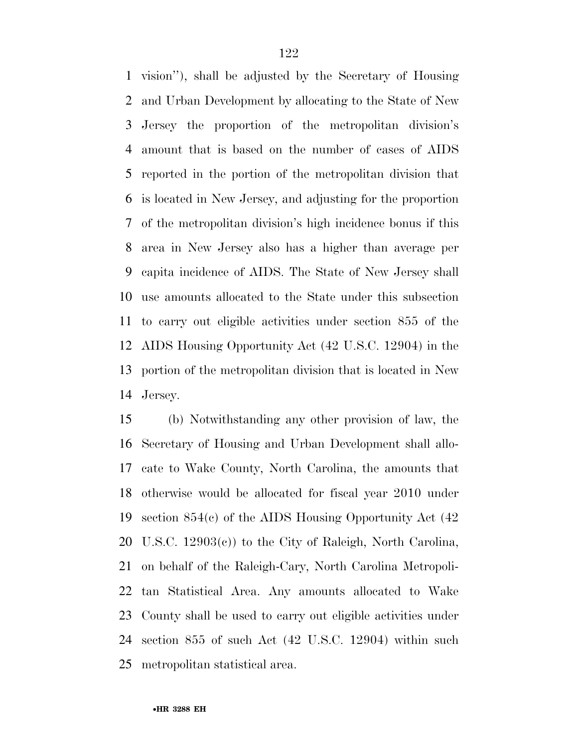vision''), shall be adjusted by the Secretary of Housing and Urban Development by allocating to the State of New Jersey the proportion of the metropolitan division's amount that is based on the number of cases of AIDS reported in the portion of the metropolitan division that is located in New Jersey, and adjusting for the proportion of the metropolitan division's high incidence bonus if this area in New Jersey also has a higher than average per capita incidence of AIDS. The State of New Jersey shall use amounts allocated to the State under this subsection to carry out eligible activities under section 855 of the AIDS Housing Opportunity Act (42 U.S.C. 12904) in the portion of the metropolitan division that is located in New Jersey.

 (b) Notwithstanding any other provision of law, the Secretary of Housing and Urban Development shall allo- cate to Wake County, North Carolina, the amounts that otherwise would be allocated for fiscal year 2010 under section 854(c) of the AIDS Housing Opportunity Act (42 U.S.C. 12903(c)) to the City of Raleigh, North Carolina, on behalf of the Raleigh-Cary, North Carolina Metropoli- tan Statistical Area. Any amounts allocated to Wake County shall be used to carry out eligible activities under section 855 of such Act (42 U.S.C. 12904) within such metropolitan statistical area.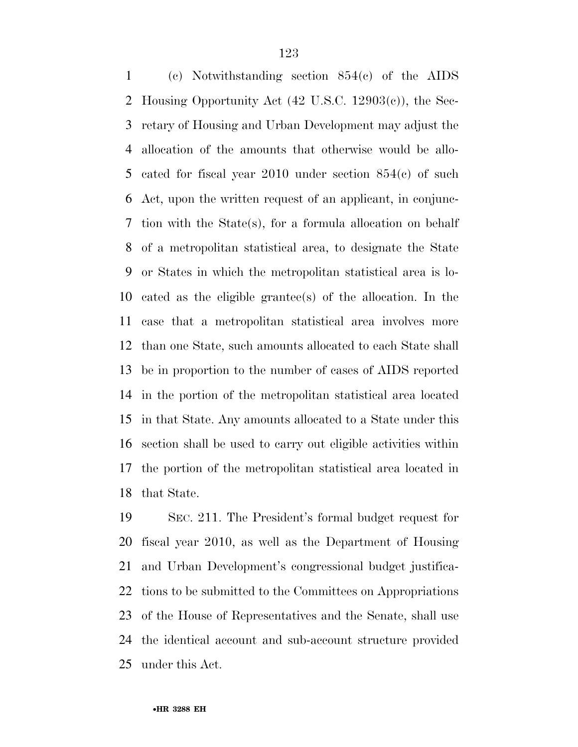(c) Notwithstanding section 854(c) of the AIDS Housing Opportunity Act (42 U.S.C. 12903(c)), the Sec- retary of Housing and Urban Development may adjust the allocation of the amounts that otherwise would be allo- cated for fiscal year 2010 under section 854(c) of such Act, upon the written request of an applicant, in conjunc- tion with the State(s), for a formula allocation on behalf of a metropolitan statistical area, to designate the State or States in which the metropolitan statistical area is lo- cated as the eligible grantee(s) of the allocation. In the case that a metropolitan statistical area involves more than one State, such amounts allocated to each State shall be in proportion to the number of cases of AIDS reported in the portion of the metropolitan statistical area located in that State. Any amounts allocated to a State under this section shall be used to carry out eligible activities within the portion of the metropolitan statistical area located in that State.

 SEC. 211. The President's formal budget request for fiscal year 2010, as well as the Department of Housing and Urban Development's congressional budget justifica- tions to be submitted to the Committees on Appropriations of the House of Representatives and the Senate, shall use the identical account and sub-account structure provided under this Act.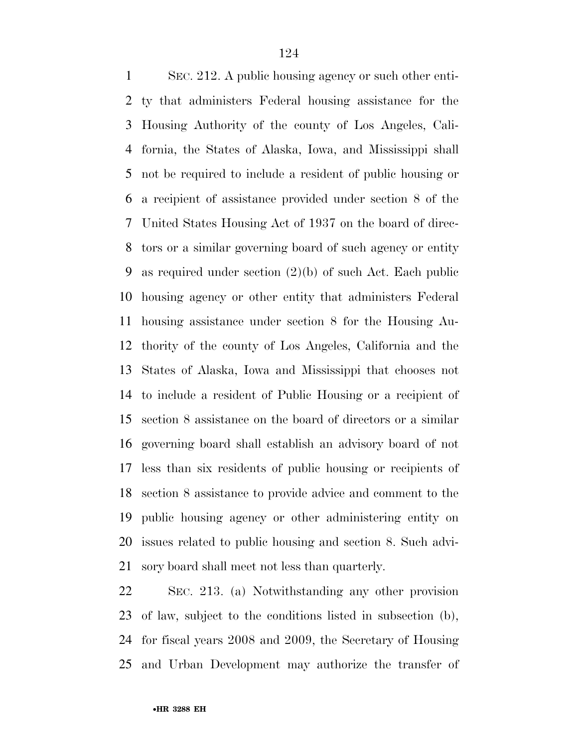SEC. 212. A public housing agency or such other enti- ty that administers Federal housing assistance for the Housing Authority of the county of Los Angeles, Cali- fornia, the States of Alaska, Iowa, and Mississippi shall not be required to include a resident of public housing or a recipient of assistance provided under section 8 of the United States Housing Act of 1937 on the board of direc- tors or a similar governing board of such agency or entity as required under section (2)(b) of such Act. Each public housing agency or other entity that administers Federal housing assistance under section 8 for the Housing Au- thority of the county of Los Angeles, California and the States of Alaska, Iowa and Mississippi that chooses not to include a resident of Public Housing or a recipient of section 8 assistance on the board of directors or a similar governing board shall establish an advisory board of not less than six residents of public housing or recipients of section 8 assistance to provide advice and comment to the public housing agency or other administering entity on issues related to public housing and section 8. Such advi-sory board shall meet not less than quarterly.

 SEC. 213. (a) Notwithstanding any other provision of law, subject to the conditions listed in subsection (b), for fiscal years 2008 and 2009, the Secretary of Housing and Urban Development may authorize the transfer of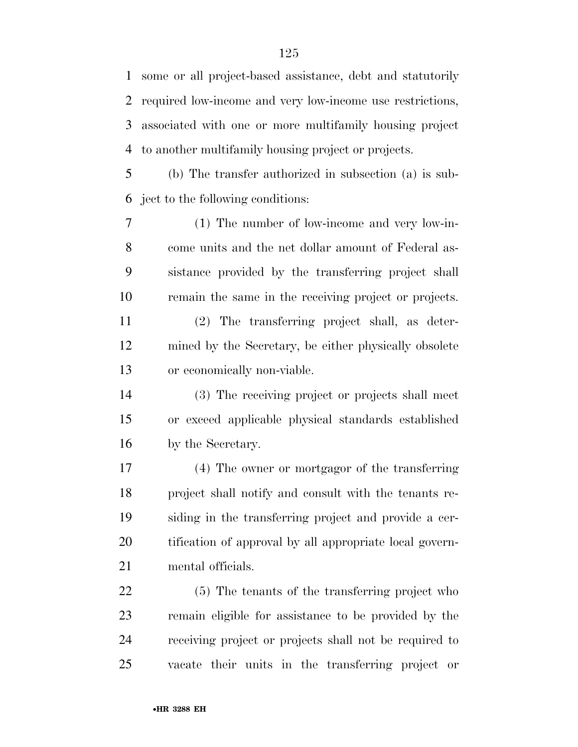some or all project-based assistance, debt and statutorily required low-income and very low-income use restrictions, associated with one or more multifamily housing project to another multifamily housing project or projects.

 (b) The transfer authorized in subsection (a) is sub-ject to the following conditions:

 (1) The number of low-income and very low-in- come units and the net dollar amount of Federal as- sistance provided by the transferring project shall remain the same in the receiving project or projects.

 (2) The transferring project shall, as deter- mined by the Secretary, be either physically obsolete or economically non-viable.

 (3) The receiving project or projects shall meet or exceed applicable physical standards established by the Secretary.

 (4) The owner or mortgagor of the transferring project shall notify and consult with the tenants re- siding in the transferring project and provide a cer- tification of approval by all appropriate local govern-mental officials.

 (5) The tenants of the transferring project who remain eligible for assistance to be provided by the receiving project or projects shall not be required to vacate their units in the transferring project or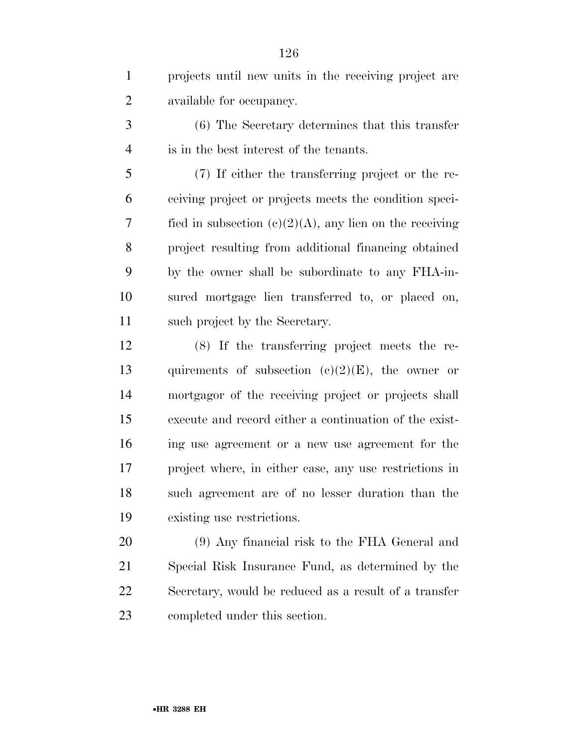projects until new units in the receiving project are available for occupancy.

 (6) The Secretary determines that this transfer is in the best interest of the tenants.

 (7) If either the transferring project or the re- ceiving project or projects meets the condition speci-7 fied in subsection  $(c)(2)(A)$ , any lien on the receiving project resulting from additional financing obtained by the owner shall be subordinate to any FHA-in- sured mortgage lien transferred to, or placed on, such project by the Secretary.

 (8) If the transferring project meets the re-13 quirements of subsection  $(e)(2)(E)$ , the owner or mortgagor of the receiving project or projects shall execute and record either a continuation of the exist- ing use agreement or a new use agreement for the project where, in either case, any use restrictions in such agreement are of no lesser duration than the existing use restrictions.

 (9) Any financial risk to the FHA General and Special Risk Insurance Fund, as determined by the Secretary, would be reduced as a result of a transfer completed under this section.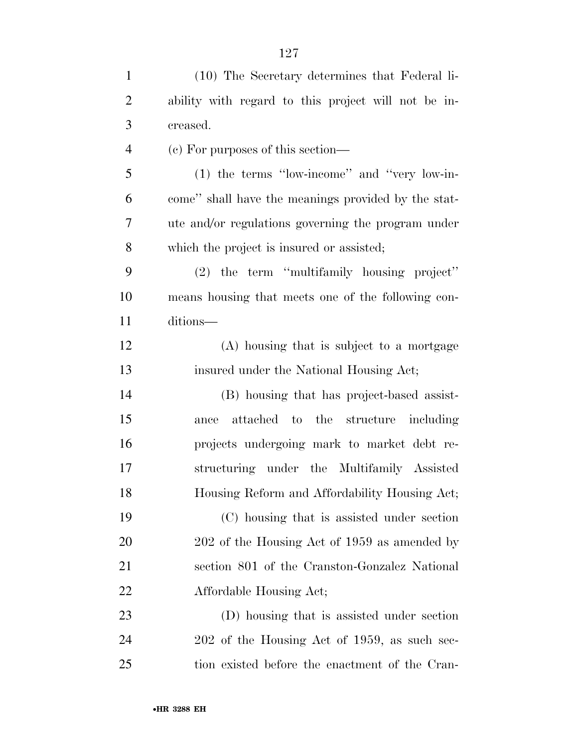| $\mathbf{1}$   | (10) The Secretary determines that Federal li-      |
|----------------|-----------------------------------------------------|
| $\overline{2}$ | ability with regard to this project will not be in- |
| 3              | creased.                                            |
| $\overline{4}$ | (c) For purposes of this section—                   |
| 5              | $(1)$ the terms "low-income" and "very low-in-      |
| 6              | come" shall have the meanings provided by the stat- |
| 7              | ute and/or regulations governing the program under  |
| 8              | which the project is insured or assisted;           |
| 9              | (2) the term "multifamily housing project"          |
| 10             | means housing that meets one of the following con-  |
| 11             | ditions-                                            |
| 12             | (A) housing that is subject to a mortgage           |
| 13             | insured under the National Housing Act;             |
| 14             | (B) housing that has project-based assist-          |
| 15             | attached to the structure including<br>ance         |
| 16             | projects undergoing mark to market debt re-         |
| 17             | structuring under the Multifamily Assisted          |
| 18             | Housing Reform and Affordability Housing Act;       |
| 19             | (C) housing that is assisted under section          |
| 20             | 202 of the Housing Act of 1959 as amended by        |
| 21             | section 801 of the Cranston-Gonzalez National       |
| <u>22</u>      | Affordable Housing Act;                             |
| 23             | (D) housing that is assisted under section          |
| 24             | 202 of the Housing Act of 1959, as such sec-        |
| 25             | tion existed before the enactment of the Cran-      |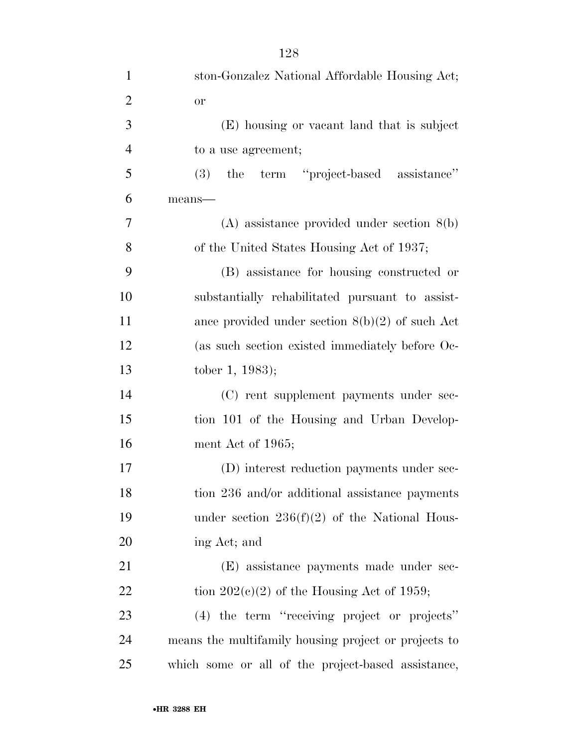| $\overline{2}$ | <b>or</b>                                            |
|----------------|------------------------------------------------------|
| 3              | (E) housing or vacant land that is subject           |
| $\overline{4}$ | to a use agreement;                                  |
| 5              | the term "project-based assistance"<br>(3)           |
| 6              | $means$ —                                            |
| 7              | $(A)$ assistance provided under section $8(b)$       |
| 8              | of the United States Housing Act of 1937;            |
| 9              | (B) assistance for housing constructed or            |
| 10             | substantially rehabilitated pursuant to assist-      |
| 11             | ance provided under section $8(b)(2)$ of such Act    |
| 12             | (as such section existed immediately before Oc-      |
| 13             | tober 1, 1983);                                      |
| 14             | (C) rent supplement payments under sec-              |
| 15             | tion 101 of the Housing and Urban Develop-           |
| 16             | ment Act of 1965;                                    |
| 17             | (D) interest reduction payments under sec-           |
| 18             | tion 236 and/or additional assistance payments       |
| 19             | under section $236(f)(2)$ of the National Hous-      |
| 20             | ing Act; and                                         |
| 21             | (E) assistance payments made under sec-              |
| 22             | tion $202(e)(2)$ of the Housing Act of 1959;         |
| 23             | (4) the term "receiving project or projects"         |
| 24             | means the multifamily housing project or projects to |
| 25             | which some or all of the project-based assistance,   |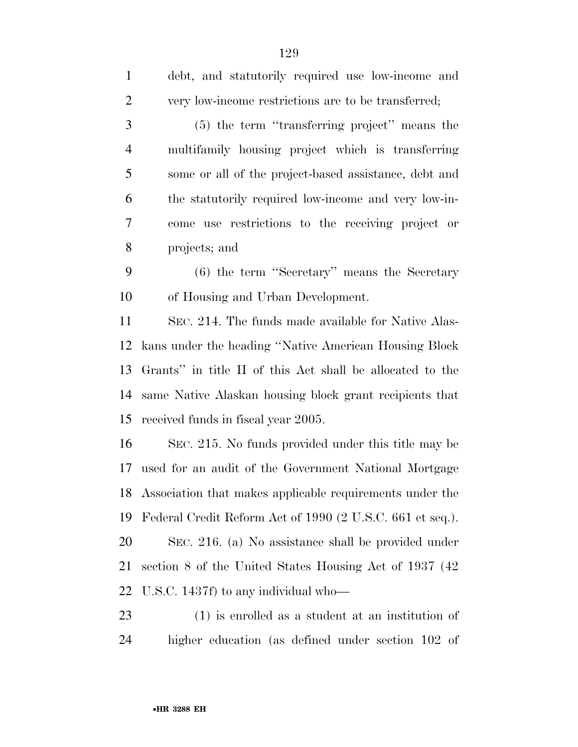| $\mathbf{1}$   | debt, and statutorily required use low-income and         |
|----------------|-----------------------------------------------------------|
| $\overline{2}$ | very low-income restrictions are to be transferred;       |
| 3              | (5) the term "transferring project" means the             |
| $\overline{4}$ | multifamily housing project which is transferring         |
| 5              | some or all of the project-based assistance, debt and     |
| 6              | the statutorily required low-income and very low-in-      |
| 7              | come use restrictions to the receiving project or         |
| 8              | projects; and                                             |
| 9              | $(6)$ the term "Secretary" means the Secretary            |
| 10             | of Housing and Urban Development.                         |
| 11             | SEC. 214. The funds made available for Native Alas-       |
| 12             | kans under the heading "Native American Housing Block     |
| 13             | Grants" in title II of this Act shall be allocated to the |
| 14             | same Native Alaskan housing block grant recipients that   |
| 15             | received funds in fiscal year 2005.                       |
| 16             | SEC. 215. No funds provided under this title may be       |
| 17             | used for an audit of the Government National Mortgage     |
| 18             | Association that makes applicable requirements under the  |
| 19             | Federal Credit Reform Act of 1990 (2 U.S.C. 661 et seq.). |
| 20             | SEC. 216. (a) No assistance shall be provided under       |
| 21             | section 8 of the United States Housing Act of 1937 (42)   |
| 22             | U.S.C. 1437f) to any individual who—                      |
|                |                                                           |

 (1) is enrolled as a student at an institution of higher education (as defined under section 102 of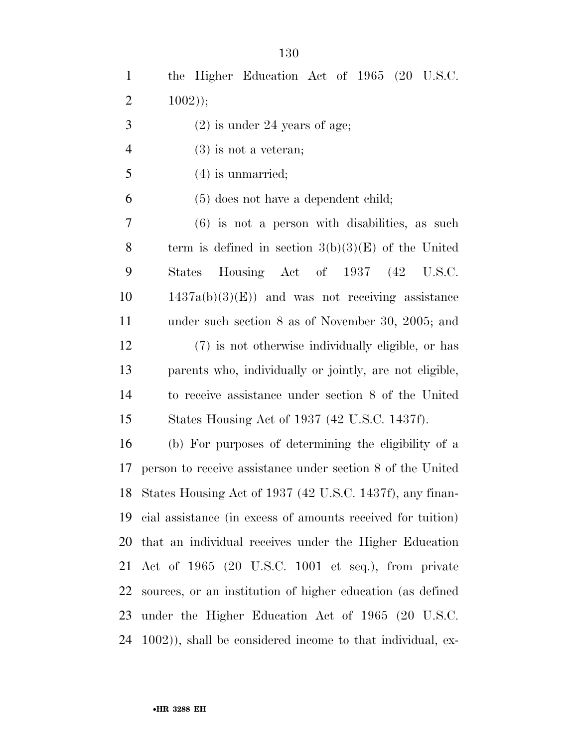the Higher Education Act of 1965 (20 U.S.C. 2 );  $3 \t(2)$  is under 24 years of age; (3) is not a veteran; (4) is unmarried;

(5) does not have a dependent child;

 (6) is not a person with disabilities, as such 8 term is defined in section  $3(b)(3)(E)$  of the United States Housing Act of 1937 (42 U.S.C.  $10 \qquad 1437a(b)(3)(E)$  and was not receiving assistance under such section 8 as of November 30, 2005; and (7) is not otherwise individually eligible, or has parents who, individually or jointly, are not eligible, to receive assistance under section 8 of the United States Housing Act of 1937 (42 U.S.C. 1437f).

 (b) For purposes of determining the eligibility of a person to receive assistance under section 8 of the United States Housing Act of 1937 (42 U.S.C. 1437f), any finan- cial assistance (in excess of amounts received for tuition) that an individual receives under the Higher Education Act of 1965 (20 U.S.C. 1001 et seq.), from private sources, or an institution of higher education (as defined under the Higher Education Act of 1965 (20 U.S.C. 1002)), shall be considered income to that individual, ex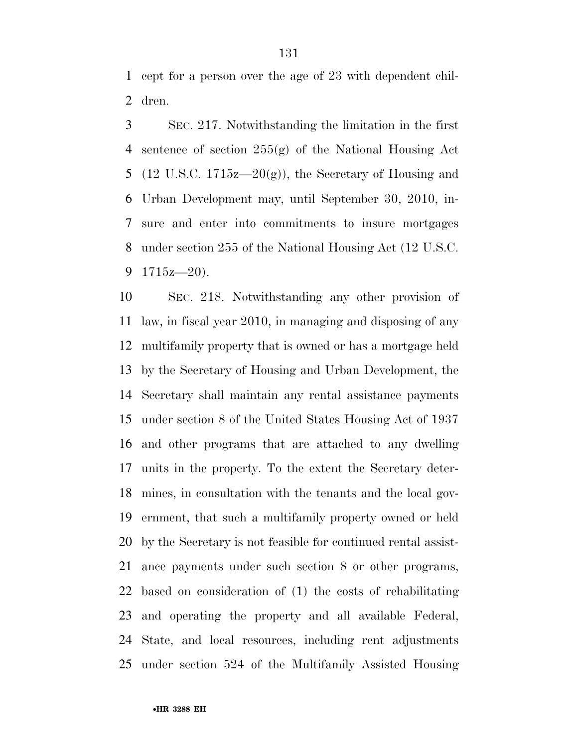cept for a person over the age of 23 with dependent chil-dren.

 SEC. 217. Notwithstanding the limitation in the first sentence of section 255(g) of the National Housing Act 5 (12 U.S.C. 1715 $z=20(g)$ ), the Secretary of Housing and Urban Development may, until September 30, 2010, in- sure and enter into commitments to insure mortgages under section 255 of the National Housing Act (12 U.S.C.  $1715z - 20$ ).

 SEC. 218. Notwithstanding any other provision of law, in fiscal year 2010, in managing and disposing of any multifamily property that is owned or has a mortgage held by the Secretary of Housing and Urban Development, the Secretary shall maintain any rental assistance payments under section 8 of the United States Housing Act of 1937 and other programs that are attached to any dwelling units in the property. To the extent the Secretary deter- mines, in consultation with the tenants and the local gov- ernment, that such a multifamily property owned or held by the Secretary is not feasible for continued rental assist- ance payments under such section 8 or other programs, based on consideration of (1) the costs of rehabilitating and operating the property and all available Federal, State, and local resources, including rent adjustments under section 524 of the Multifamily Assisted Housing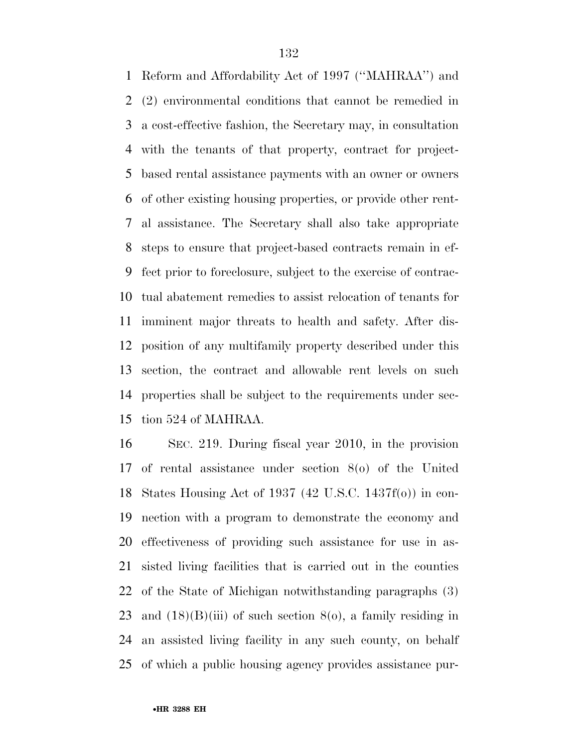Reform and Affordability Act of 1997 (''MAHRAA'') and (2) environmental conditions that cannot be remedied in a cost-effective fashion, the Secretary may, in consultation with the tenants of that property, contract for project- based rental assistance payments with an owner or owners of other existing housing properties, or provide other rent- al assistance. The Secretary shall also take appropriate steps to ensure that project-based contracts remain in ef- fect prior to foreclosure, subject to the exercise of contrac- tual abatement remedies to assist relocation of tenants for imminent major threats to health and safety. After dis- position of any multifamily property described under this section, the contract and allowable rent levels on such properties shall be subject to the requirements under sec-tion 524 of MAHRAA.

 SEC. 219. During fiscal year 2010, in the provision of rental assistance under section 8(o) of the United States Housing Act of 1937 (42 U.S.C. 1437f(o)) in con- nection with a program to demonstrate the economy and effectiveness of providing such assistance for use in as- sisted living facilities that is carried out in the counties of the State of Michigan notwithstanding paragraphs (3) 23 and  $(18)(B)(iii)$  of such section  $8(0)$ , a family residing in an assisted living facility in any such county, on behalf of which a public housing agency provides assistance pur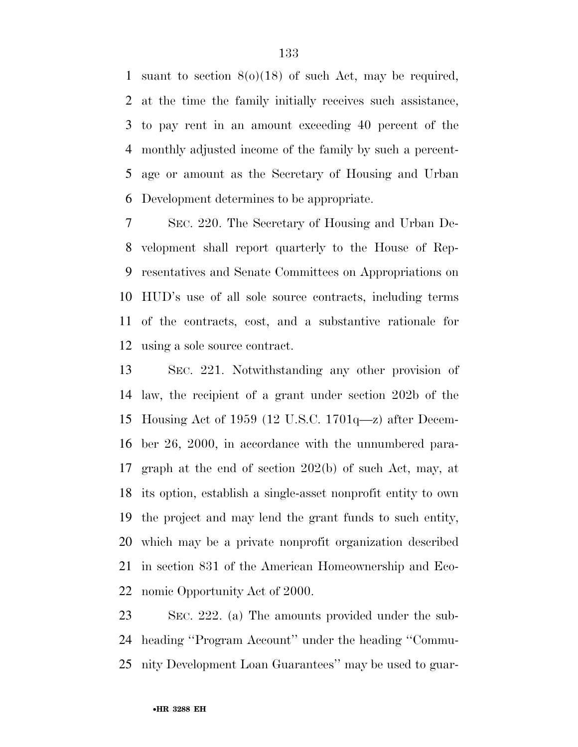suant to section 8(o)(18) of such Act, may be required, at the time the family initially receives such assistance, to pay rent in an amount exceeding 40 percent of the monthly adjusted income of the family by such a percent- age or amount as the Secretary of Housing and Urban Development determines to be appropriate.

 SEC. 220. The Secretary of Housing and Urban De- velopment shall report quarterly to the House of Rep- resentatives and Senate Committees on Appropriations on HUD's use of all sole source contracts, including terms of the contracts, cost, and a substantive rationale for using a sole source contract.

 SEC. 221. Notwithstanding any other provision of law, the recipient of a grant under section 202b of the Housing Act of 1959 (12 U.S.C. 1701q—z) after Decem- ber 26, 2000, in accordance with the unnumbered para- graph at the end of section 202(b) of such Act, may, at its option, establish a single-asset nonprofit entity to own the project and may lend the grant funds to such entity, which may be a private nonprofit organization described in section 831 of the American Homeownership and Eco-nomic Opportunity Act of 2000.

 SEC. 222. (a) The amounts provided under the sub- heading ''Program Account'' under the heading ''Commu-nity Development Loan Guarantees'' may be used to guar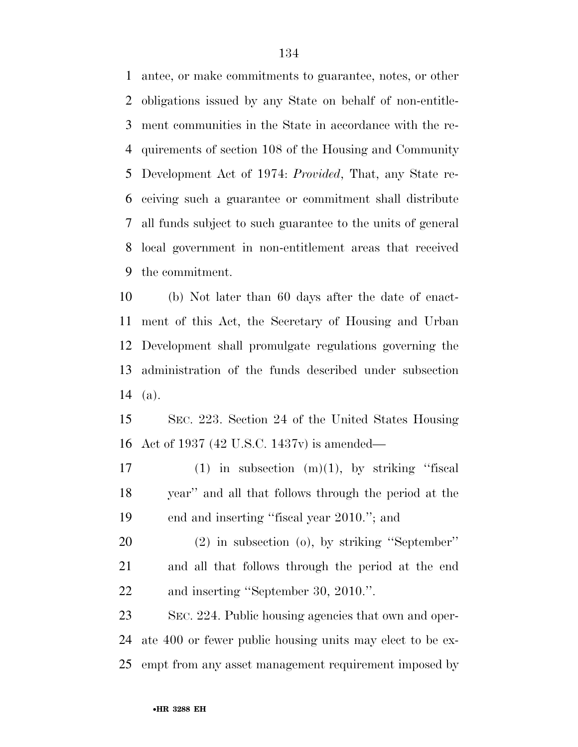antee, or make commitments to guarantee, notes, or other obligations issued by any State on behalf of non-entitle- ment communities in the State in accordance with the re- quirements of section 108 of the Housing and Community Development Act of 1974: *Provided*, That, any State re- ceiving such a guarantee or commitment shall distribute all funds subject to such guarantee to the units of general local government in non-entitlement areas that received the commitment.

 (b) Not later than 60 days after the date of enact- ment of this Act, the Secretary of Housing and Urban Development shall promulgate regulations governing the administration of the funds described under subsection (a).

 SEC. 223. Section 24 of the United States Housing Act of 1937 (42 U.S.C. 1437v) is amended—

17 (1) in subsection  $(m)(1)$ , by striking "fiscal year'' and all that follows through the period at the end and inserting ''fiscal year 2010.''; and

 (2) in subsection (o), by striking ''September'' and all that follows through the period at the end and inserting ''September 30, 2010.''.

 SEC. 224. Public housing agencies that own and oper- ate 400 or fewer public housing units may elect to be ex-empt from any asset management requirement imposed by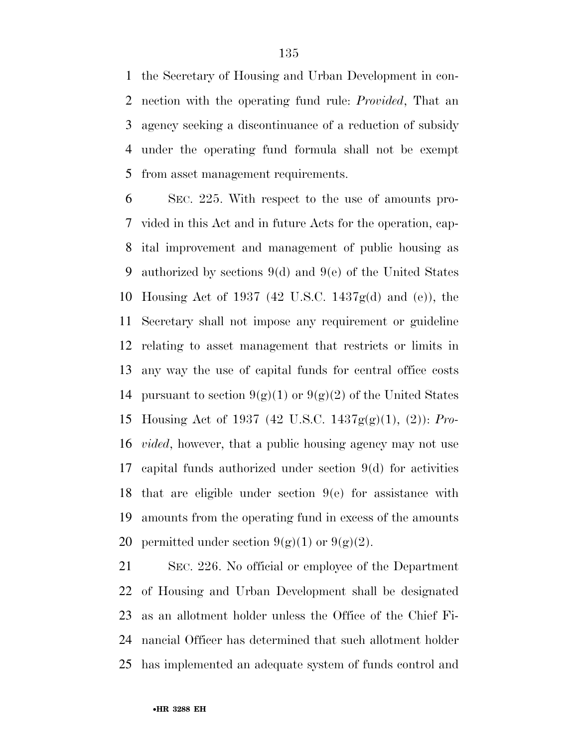the Secretary of Housing and Urban Development in con- nection with the operating fund rule: *Provided*, That an agency seeking a discontinuance of a reduction of subsidy under the operating fund formula shall not be exempt from asset management requirements.

 SEC. 225. With respect to the use of amounts pro- vided in this Act and in future Acts for the operation, cap- ital improvement and management of public housing as authorized by sections 9(d) and 9(e) of the United States Housing Act of 1937 (42 U.S.C. 1437g(d) and (e)), the Secretary shall not impose any requirement or guideline relating to asset management that restricts or limits in any way the use of capital funds for central office costs 14 pursuant to section  $9(g)(1)$  or  $9(g)(2)$  of the United States Housing Act of 1937 (42 U.S.C. 1437g(g)(1), (2)): *Pro- vided*, however, that a public housing agency may not use capital funds authorized under section 9(d) for activities that are eligible under section 9(e) for assistance with amounts from the operating fund in excess of the amounts 20 permitted under section  $9(g)(1)$  or  $9(g)(2)$ .

 SEC. 226. No official or employee of the Department of Housing and Urban Development shall be designated as an allotment holder unless the Office of the Chief Fi- nancial Officer has determined that such allotment holder has implemented an adequate system of funds control and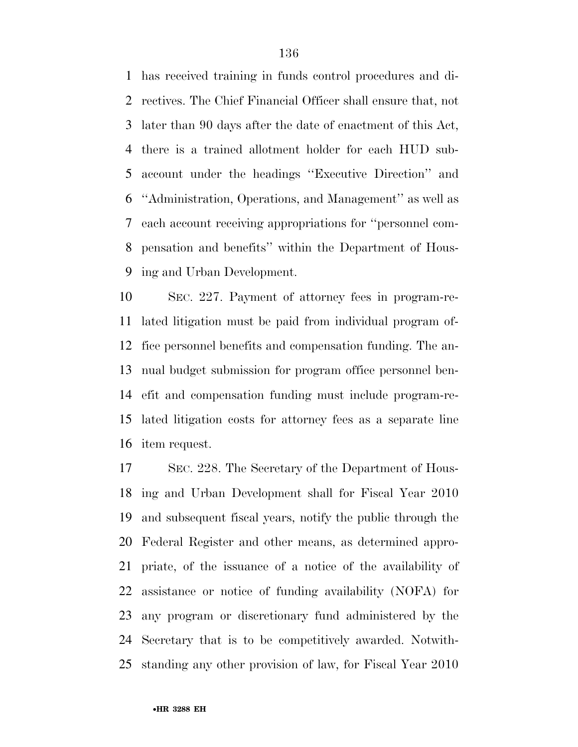has received training in funds control procedures and di- rectives. The Chief Financial Officer shall ensure that, not later than 90 days after the date of enactment of this Act, there is a trained allotment holder for each HUD sub- account under the headings ''Executive Direction'' and ''Administration, Operations, and Management'' as well as each account receiving appropriations for ''personnel com- pensation and benefits'' within the Department of Hous-ing and Urban Development.

 SEC. 227. Payment of attorney fees in program-re- lated litigation must be paid from individual program of- fice personnel benefits and compensation funding. The an- nual budget submission for program office personnel ben- efit and compensation funding must include program-re- lated litigation costs for attorney fees as a separate line item request.

 SEC. 228. The Secretary of the Department of Hous- ing and Urban Development shall for Fiscal Year 2010 and subsequent fiscal years, notify the public through the Federal Register and other means, as determined appro- priate, of the issuance of a notice of the availability of assistance or notice of funding availability (NOFA) for any program or discretionary fund administered by the Secretary that is to be competitively awarded. Notwith-standing any other provision of law, for Fiscal Year 2010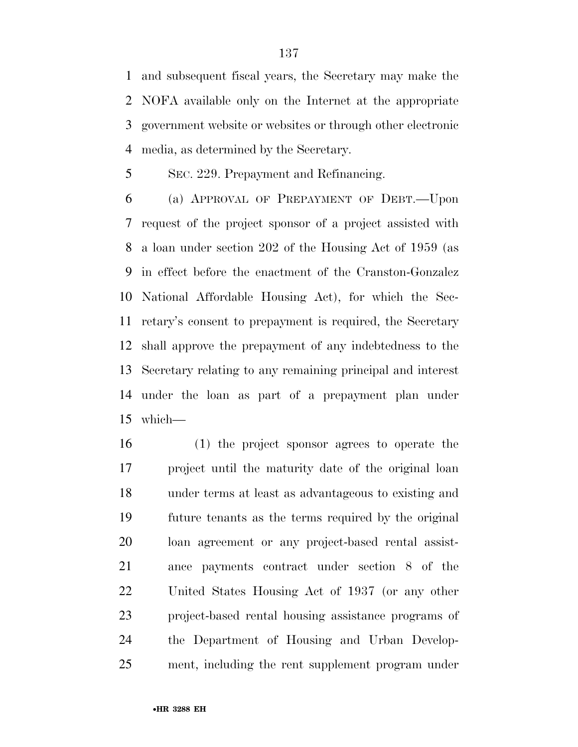and subsequent fiscal years, the Secretary may make the NOFA available only on the Internet at the appropriate government website or websites or through other electronic media, as determined by the Secretary.

SEC. 229. Prepayment and Refinancing.

 (a) APPROVAL OF PREPAYMENT OF DEBT.—Upon request of the project sponsor of a project assisted with a loan under section 202 of the Housing Act of 1959 (as in effect before the enactment of the Cranston-Gonzalez National Affordable Housing Act), for which the Sec- retary's consent to prepayment is required, the Secretary shall approve the prepayment of any indebtedness to the Secretary relating to any remaining principal and interest under the loan as part of a prepayment plan under which—

 (1) the project sponsor agrees to operate the project until the maturity date of the original loan under terms at least as advantageous to existing and future tenants as the terms required by the original loan agreement or any project-based rental assist- ance payments contract under section 8 of the United States Housing Act of 1937 (or any other project-based rental housing assistance programs of the Department of Housing and Urban Develop-ment, including the rent supplement program under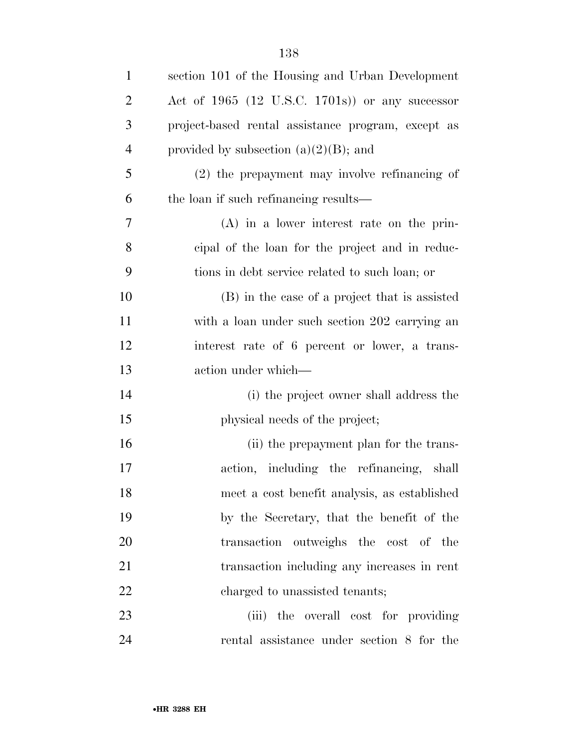| $\mathbf{1}$   | section 101 of the Housing and Urban Development   |
|----------------|----------------------------------------------------|
| $\overline{2}$ | Act of 1965 (12 U.S.C. 1701s)) or any successor    |
| 3              | project-based rental assistance program, except as |
| $\overline{4}$ | provided by subsection $(a)(2)(B)$ ; and           |
| 5              | $(2)$ the prepayment may involve refinancing of    |
| 6              | the loan if such refinancing results—              |
| 7              | $(A)$ in a lower interest rate on the prin-        |
| 8              | eipal of the loan for the project and in reduc-    |
| 9              | tions in debt service related to such loan; or     |
| 10             | (B) in the case of a project that is assisted      |
| 11             | with a loan under such section 202 carrying an     |
| 12             | interest rate of 6 percent or lower, a trans-      |
| 13             | action under which—                                |
| 14             | (i) the project owner shall address the            |
| 15             | physical needs of the project;                     |
| 16             | (ii) the prepayment plan for the trans-            |
| 17             | action, including the refinancing, shall           |
| 18             | meet a cost benefit analysis, as established       |
| 19             | by the Secretary, that the benefit of the          |
| 20             | transaction outweighs the cost of the              |
| 21             | transaction including any increases in rent        |
| 22             | charged to unassisted tenants;                     |
| 23             | (iii) the overall cost for providing               |
| 24             | rental assistance under section 8 for the          |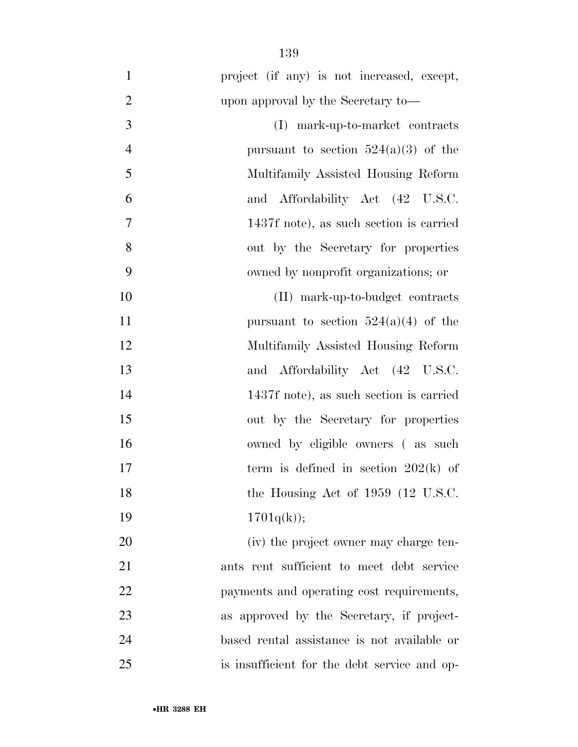| $\mathbf{1}$   | project (if any) is not increased, except,   |
|----------------|----------------------------------------------|
| $\overline{2}$ | upon approval by the Secretary to-           |
| 3              | (I) mark-up-to-market contracts              |
| $\overline{4}$ | pursuant to section $524(a)(3)$ of the       |
| 5              | Multifamily Assisted Housing Reform          |
| 6              | and Affordability Act (42 U.S.C.             |
| 7              | 1437f note), as such section is carried      |
| 8              | out by the Secretary for properties          |
| 9              | owned by nonprofit organizations; or         |
| 10             | (II) mark-up-to-budget contracts             |
| 11             | pursuant to section $524(a)(4)$ of the       |
| 12             | Multifamily Assisted Housing Reform          |
| 13             | and Affordability Act (42 U.S.C.             |
| 14             | 1437f note), as such section is carried      |
| 15             | out by the Secretary for properties          |
| 16             | owned by eligible owners (as such            |
| 17             | term is defined in section $202(k)$ of       |
| 18             | the Housing Act of $1959$ (12 U.S.C.         |
| 19             | 1701q(k));                                   |
| 20             | (iv) the project owner may charge ten-       |
| 21             | ants rent sufficient to meet debt service    |
| 22             | payments and operating cost requirements,    |
| 23             | as approved by the Secretary, if project-    |
| 24             | based rental assistance is not available or  |
| 25             | is insufficient for the debt service and op- |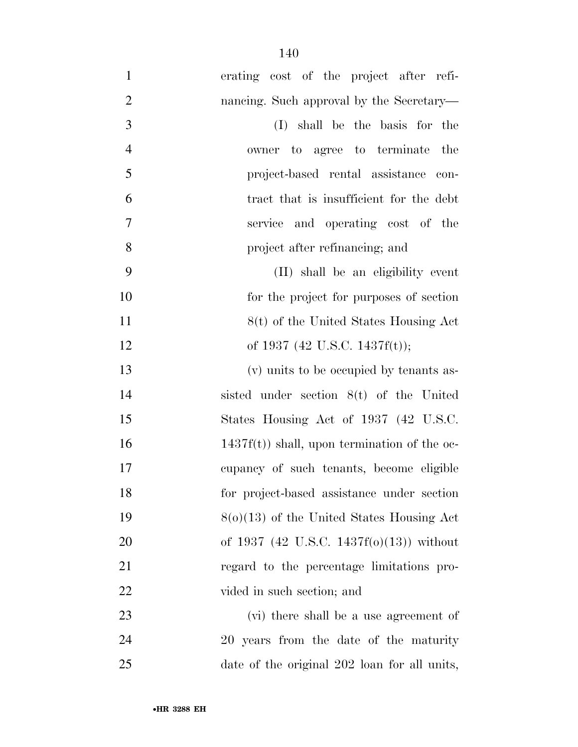| $\mathbf{1}$   | erating cost of the project after refi-         |
|----------------|-------------------------------------------------|
| $\overline{2}$ | nancing. Such approval by the Secretary—        |
| 3              | (I) shall be the basis for the                  |
| $\overline{4}$ | owner to agree to terminate<br>the              |
| 5              | project-based rental assistance con-            |
|                |                                                 |
| 6              | tract that is insufficient for the debt         |
| 7              | service and operating cost of the               |
| 8              | project after refinancing; and                  |
| 9              | (II) shall be an eligibility event              |
| 10             | for the project for purposes of section         |
| 11             | 8(t) of the United States Housing Act           |
| 12             | of 1937 (42 U.S.C. 1437f(t));                   |
| 13             | (v) units to be occupied by tenants as-         |
| 14             | sisted under section $8(t)$ of the United       |
| 15             | States Housing Act of 1937 (42 U.S.C.           |
| 16             | $1437f(t)$ ) shall, upon termination of the oc- |
| 17             | cupancy of such tenants, become eligible        |
| 18             | for project-based assistance under section      |
| 19             | $8(0)(13)$ of the United States Housing Act     |
| 20             | of 1937 (42 U.S.C. 1437f(o)(13)) without        |
| 21             | regard to the percentage limitations pro-       |
| 22             | vided in such section; and                      |
| 23             | (vi) there shall be a use agreement of          |
| 24             | 20 years from the date of the maturity          |
| 25             | date of the original 202 loan for all units,    |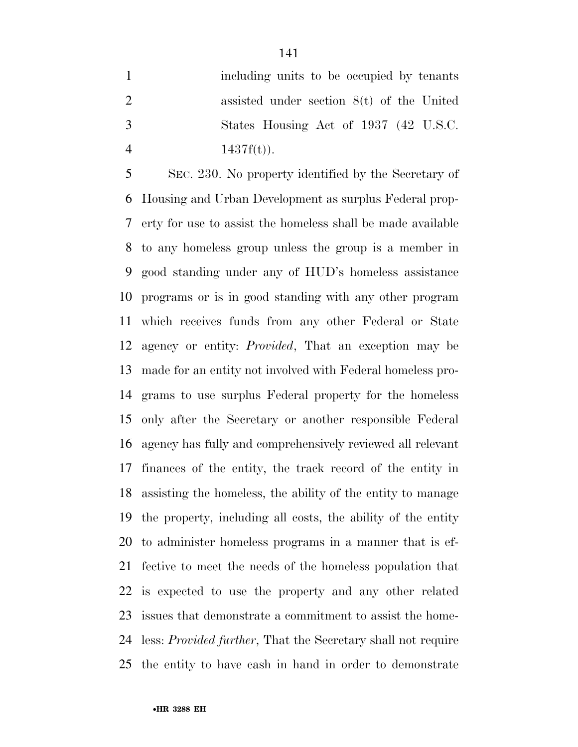including units to be occupied by tenants assisted under section 8(t) of the United States Housing Act of 1937 (42 U.S.C.  $1437f(t)$ .

 SEC. 230. No property identified by the Secretary of Housing and Urban Development as surplus Federal prop- erty for use to assist the homeless shall be made available to any homeless group unless the group is a member in good standing under any of HUD's homeless assistance programs or is in good standing with any other program which receives funds from any other Federal or State agency or entity: *Provided*, That an exception may be made for an entity not involved with Federal homeless pro- grams to use surplus Federal property for the homeless only after the Secretary or another responsible Federal agency has fully and comprehensively reviewed all relevant finances of the entity, the track record of the entity in assisting the homeless, the ability of the entity to manage the property, including all costs, the ability of the entity to administer homeless programs in a manner that is ef- fective to meet the needs of the homeless population that is expected to use the property and any other related issues that demonstrate a commitment to assist the home- less: *Provided further*, That the Secretary shall not require the entity to have cash in hand in order to demonstrate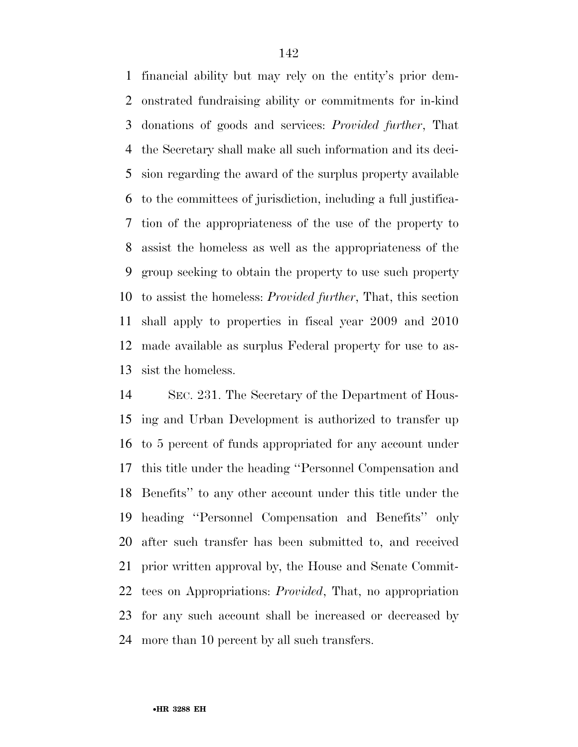financial ability but may rely on the entity's prior dem- onstrated fundraising ability or commitments for in-kind donations of goods and services: *Provided further*, That the Secretary shall make all such information and its deci- sion regarding the award of the surplus property available to the committees of jurisdiction, including a full justifica- tion of the appropriateness of the use of the property to assist the homeless as well as the appropriateness of the group seeking to obtain the property to use such property to assist the homeless: *Provided further*, That, this section shall apply to properties in fiscal year 2009 and 2010 made available as surplus Federal property for use to as-sist the homeless.

 SEC. 231. The Secretary of the Department of Hous- ing and Urban Development is authorized to transfer up to 5 percent of funds appropriated for any account under this title under the heading ''Personnel Compensation and Benefits'' to any other account under this title under the heading ''Personnel Compensation and Benefits'' only after such transfer has been submitted to, and received prior written approval by, the House and Senate Commit- tees on Appropriations: *Provided*, That, no appropriation for any such account shall be increased or decreased by more than 10 percent by all such transfers.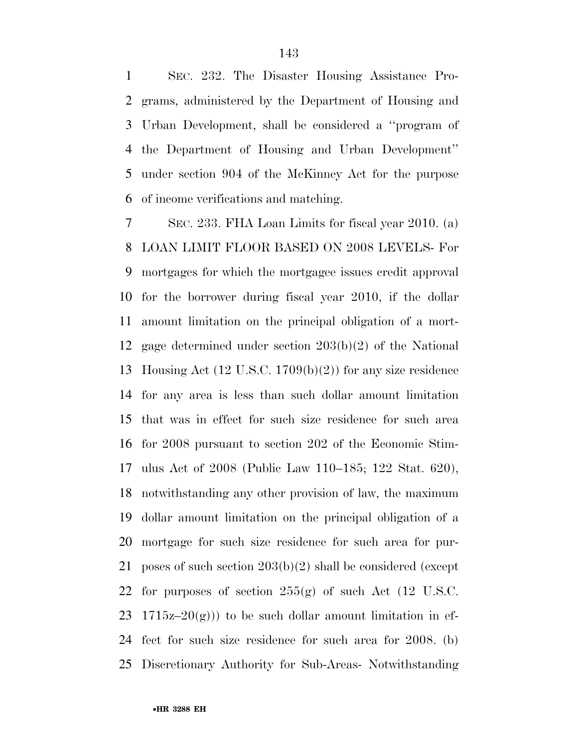SEC. 232. The Disaster Housing Assistance Pro- grams, administered by the Department of Housing and Urban Development, shall be considered a ''program of the Department of Housing and Urban Development'' under section 904 of the McKinney Act for the purpose of income verifications and matching.

 SEC. 233. FHA Loan Limits for fiscal year 2010. (a) LOAN LIMIT FLOOR BASED ON 2008 LEVELS- For mortgages for which the mortgagee issues credit approval for the borrower during fiscal year 2010, if the dollar amount limitation on the principal obligation of a mort- gage determined under section 203(b)(2) of the National Housing Act (12 U.S.C. 1709(b)(2)) for any size residence for any area is less than such dollar amount limitation that was in effect for such size residence for such area for 2008 pursuant to section 202 of the Economic Stim- ulus Act of 2008 (Public Law 110–185; 122 Stat. 620), notwithstanding any other provision of law, the maximum dollar amount limitation on the principal obligation of a mortgage for such size residence for such area for pur- poses of such section 203(b)(2) shall be considered (except for purposes of section 255(g) of such Act (12 U.S.C. 23 1715z–20 $(g)$ ) to be such dollar amount limitation in ef- fect for such size residence for such area for 2008. (b) Discretionary Authority for Sub-Areas- Notwithstanding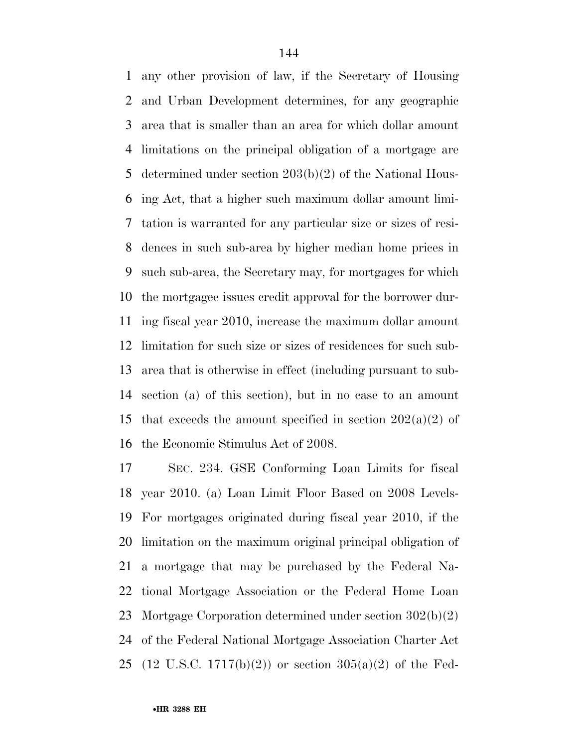any other provision of law, if the Secretary of Housing and Urban Development determines, for any geographic area that is smaller than an area for which dollar amount limitations on the principal obligation of a mortgage are determined under section 203(b)(2) of the National Hous- ing Act, that a higher such maximum dollar amount limi- tation is warranted for any particular size or sizes of resi- dences in such sub-area by higher median home prices in such sub-area, the Secretary may, for mortgages for which the mortgagee issues credit approval for the borrower dur- ing fiscal year 2010, increase the maximum dollar amount limitation for such size or sizes of residences for such sub- area that is otherwise in effect (including pursuant to sub- section (a) of this section), but in no case to an amount 15 that exceeds the amount specified in section  $202(a)(2)$  of the Economic Stimulus Act of 2008.

 SEC. 234. GSE Conforming Loan Limits for fiscal year 2010. (a) Loan Limit Floor Based on 2008 Levels- For mortgages originated during fiscal year 2010, if the limitation on the maximum original principal obligation of a mortgage that may be purchased by the Federal Na- tional Mortgage Association or the Federal Home Loan Mortgage Corporation determined under section 302(b)(2) of the Federal National Mortgage Association Charter Act (12 U.S.C. 1717(b)(2)) or section 305(a)(2) of the Fed-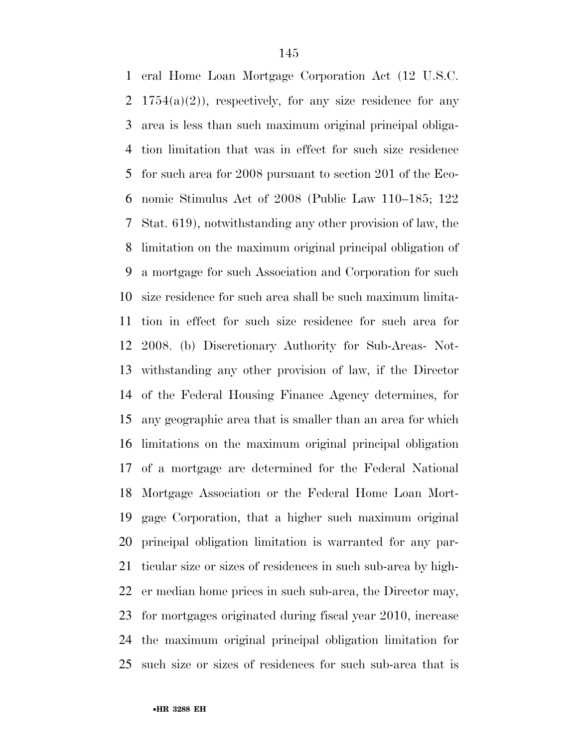eral Home Loan Mortgage Corporation Act (12 U.S.C. 2 1754(a)(2)), respectively, for any size residence for any area is less than such maximum original principal obliga- tion limitation that was in effect for such size residence for such area for 2008 pursuant to section 201 of the Eco- nomic Stimulus Act of 2008 (Public Law 110–185; 122 Stat. 619), notwithstanding any other provision of law, the limitation on the maximum original principal obligation of a mortgage for such Association and Corporation for such size residence for such area shall be such maximum limita- tion in effect for such size residence for such area for 2008. (b) Discretionary Authority for Sub-Areas- Not- withstanding any other provision of law, if the Director of the Federal Housing Finance Agency determines, for any geographic area that is smaller than an area for which limitations on the maximum original principal obligation of a mortgage are determined for the Federal National Mortgage Association or the Federal Home Loan Mort- gage Corporation, that a higher such maximum original principal obligation limitation is warranted for any par- ticular size or sizes of residences in such sub-area by high- er median home prices in such sub-area, the Director may, for mortgages originated during fiscal year 2010, increase the maximum original principal obligation limitation for such size or sizes of residences for such sub-area that is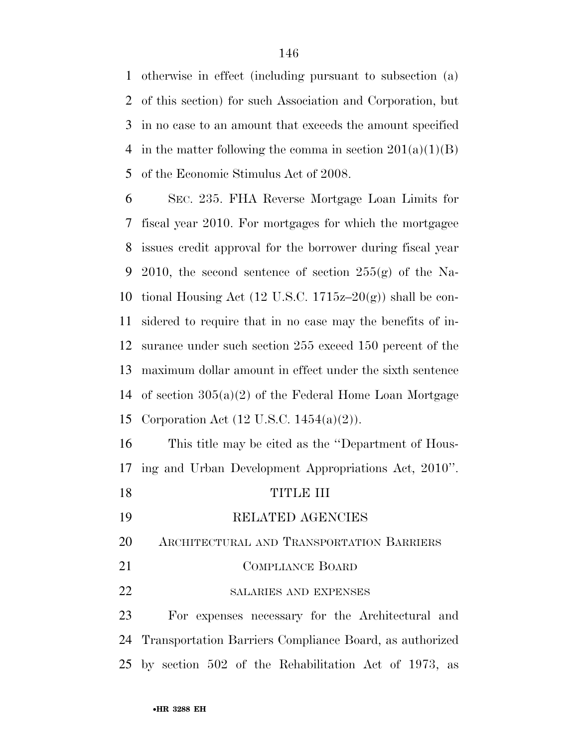otherwise in effect (including pursuant to subsection (a) of this section) for such Association and Corporation, but in no case to an amount that exceeds the amount specified 4 in the matter following the comma in section  $201(a)(1)(B)$ of the Economic Stimulus Act of 2008.

 SEC. 235. FHA Reverse Mortgage Loan Limits for fiscal year 2010. For mortgages for which the mortgagee issues credit approval for the borrower during fiscal year 9 2010, the second sentence of section  $255(g)$  of the Na-10 tional Housing Act (12 U.S.C. 1715 $z$ –20(g)) shall be con- sidered to require that in no case may the benefits of in- surance under such section 255 exceed 150 percent of the maximum dollar amount in effect under the sixth sentence of section 305(a)(2) of the Federal Home Loan Mortgage Corporation Act (12 U.S.C. 1454(a)(2)).

 This title may be cited as the ''Department of Hous-ing and Urban Development Appropriations Act, 2010''.

- TITLE III
- RELATED AGENCIES
- ARCHITECTURAL AND TRANSPORTATION BARRIERS
- 21 COMPLIANCE BOARD
- 22 SALARIES AND EXPENSES

 For expenses necessary for the Architectural and Transportation Barriers Compliance Board, as authorized by section 502 of the Rehabilitation Act of 1973, as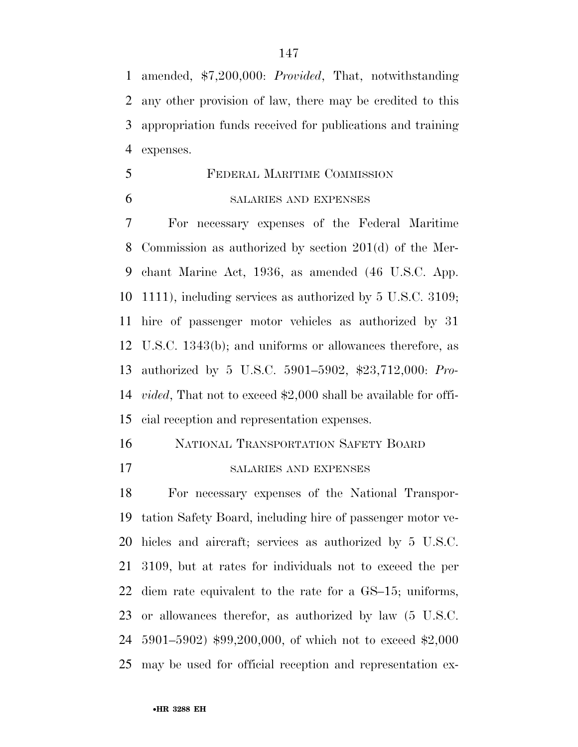amended, \$7,200,000: *Provided*, That, notwithstanding any other provision of law, there may be credited to this appropriation funds received for publications and training expenses.

 FEDERAL MARITIME COMMISSION SALARIES AND EXPENSES

 For necessary expenses of the Federal Maritime Commission as authorized by section 201(d) of the Mer- chant Marine Act, 1936, as amended (46 U.S.C. App. 1111), including services as authorized by 5 U.S.C. 3109; hire of passenger motor vehicles as authorized by 31 U.S.C. 1343(b); and uniforms or allowances therefore, as authorized by 5 U.S.C. 5901–5902, \$23,712,000: *Pro- vided*, That not to exceed \$2,000 shall be available for offi-cial reception and representation expenses.

NATIONAL TRANSPORTATION SAFETY BOARD

SALARIES AND EXPENSES

 For necessary expenses of the National Transpor- tation Safety Board, including hire of passenger motor ve- hicles and aircraft; services as authorized by 5 U.S.C. 3109, but at rates for individuals not to exceed the per diem rate equivalent to the rate for a GS–15; uniforms, or allowances therefor, as authorized by law (5 U.S.C. 5901–5902) \$99,200,000, of which not to exceed \$2,000 may be used for official reception and representation ex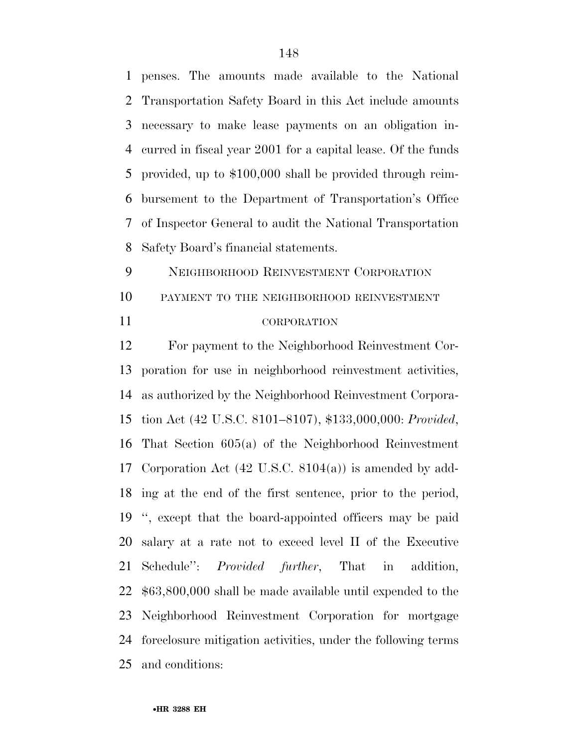penses. The amounts made available to the National Transportation Safety Board in this Act include amounts necessary to make lease payments on an obligation in- curred in fiscal year 2001 for a capital lease. Of the funds provided, up to \$100,000 shall be provided through reim- bursement to the Department of Transportation's Office of Inspector General to audit the National Transportation Safety Board's financial statements.

 NEIGHBORHOOD REINVESTMENT CORPORATION PAYMENT TO THE NEIGHBORHOOD REINVESTMENT CORPORATION

 For payment to the Neighborhood Reinvestment Cor- poration for use in neighborhood reinvestment activities, as authorized by the Neighborhood Reinvestment Corpora- tion Act (42 U.S.C. 8101–8107), \$133,000,000: *Provided*, That Section 605(a) of the Neighborhood Reinvestment Corporation Act (42 U.S.C. 8104(a)) is amended by add- ing at the end of the first sentence, prior to the period, '', except that the board-appointed officers may be paid salary at a rate not to exceed level II of the Executive Schedule'': *Provided further*, That in addition, \$63,800,000 shall be made available until expended to the Neighborhood Reinvestment Corporation for mortgage foreclosure mitigation activities, under the following terms and conditions: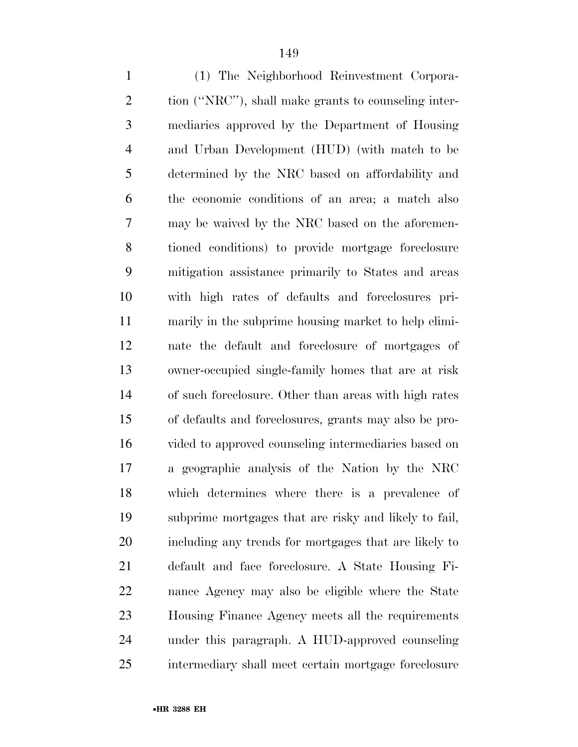| $\mathbf{1}$   | (1) The Neighborhood Reinvestment Corpora-            |
|----------------|-------------------------------------------------------|
| $\overline{2}$ | tion ("NRC"), shall make grants to counseling inter-  |
| 3              | mediaries approved by the Department of Housing       |
| $\overline{4}$ | and Urban Development (HUD) (with match to be         |
| 5              | determined by the NRC based on affordability and      |
| 6              | the economic conditions of an area; a match also      |
| 7              | may be waived by the NRC based on the aforemen-       |
| 8              | tioned conditions) to provide mortgage foreclosure    |
| 9              | mitigation assistance primarily to States and areas   |
| 10             | with high rates of defaults and foreclosures pri-     |
| 11             | marily in the subprime housing market to help elimi-  |
| 12             | nate the default and foreclosure of mortgages of      |
| 13             | owner-occupied single-family homes that are at risk   |
| 14             | of such foreclosure. Other than areas with high rates |
| 15             | of defaults and foreclosures, grants may also be pro- |
| 16             | vided to approved counseling intermediaries based on  |
| 17             | a geographic analysis of the Nation by the NRC        |
| 18             | which determines where there is a prevalence of       |
| 19             | subprime mortgages that are risky and likely to fail, |
| 20             | including any trends for mortgages that are likely to |
| 21             | default and face foreclosure. A State Housing Fi-     |
| 22             | nance Agency may also be eligible where the State     |
| 23             | Housing Finance Agency meets all the requirements     |
| 24             | under this paragraph. A HUD-approved counseling       |
| 25             | intermediary shall meet certain mortgage foreclosure  |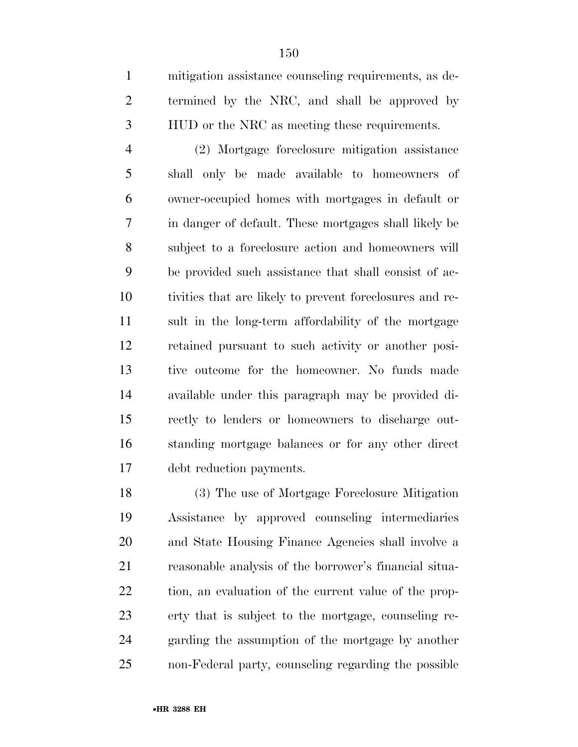mitigation assistance counseling requirements, as de- termined by the NRC, and shall be approved by HUD or the NRC as meeting these requirements.

 (2) Mortgage foreclosure mitigation assistance shall only be made available to homeowners of owner-occupied homes with mortgages in default or in danger of default. These mortgages shall likely be subject to a foreclosure action and homeowners will be provided such assistance that shall consist of ac- tivities that are likely to prevent foreclosures and re- sult in the long-term affordability of the mortgage retained pursuant to such activity or another posi- tive outcome for the homeowner. No funds made available under this paragraph may be provided di- rectly to lenders or homeowners to discharge out- standing mortgage balances or for any other direct debt reduction payments.

 (3) The use of Mortgage Foreclosure Mitigation Assistance by approved counseling intermediaries and State Housing Finance Agencies shall involve a reasonable analysis of the borrower's financial situa- tion, an evaluation of the current value of the prop- erty that is subject to the mortgage, counseling re- garding the assumption of the mortgage by another non-Federal party, counseling regarding the possible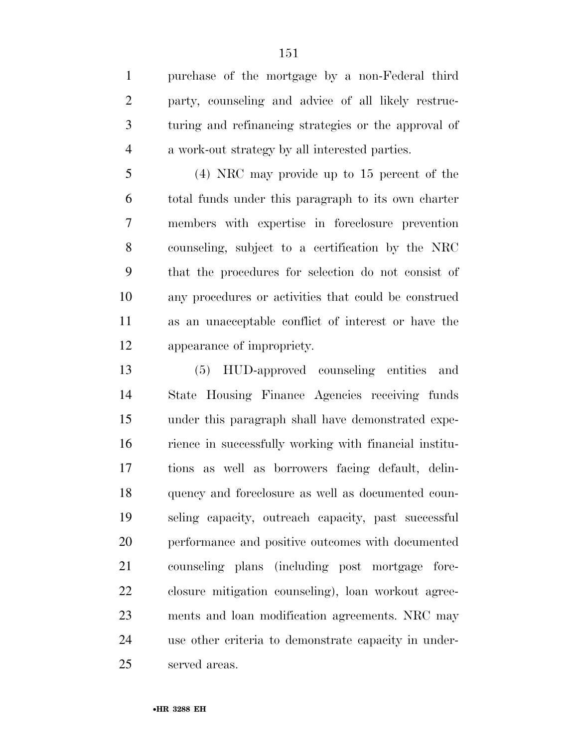purchase of the mortgage by a non-Federal third party, counseling and advice of all likely restruc- turing and refinancing strategies or the approval of a work-out strategy by all interested parties.

 (4) NRC may provide up to 15 percent of the total funds under this paragraph to its own charter members with expertise in foreclosure prevention counseling, subject to a certification by the NRC that the procedures for selection do not consist of any procedures or activities that could be construed as an unacceptable conflict of interest or have the appearance of impropriety.

 (5) HUD-approved counseling entities and State Housing Finance Agencies receiving funds under this paragraph shall have demonstrated expe- rience in successfully working with financial institu- tions as well as borrowers facing default, delin- quency and foreclosure as well as documented coun- seling capacity, outreach capacity, past successful performance and positive outcomes with documented counseling plans (including post mortgage fore- closure mitigation counseling), loan workout agree- ments and loan modification agreements. NRC may use other criteria to demonstrate capacity in under-served areas.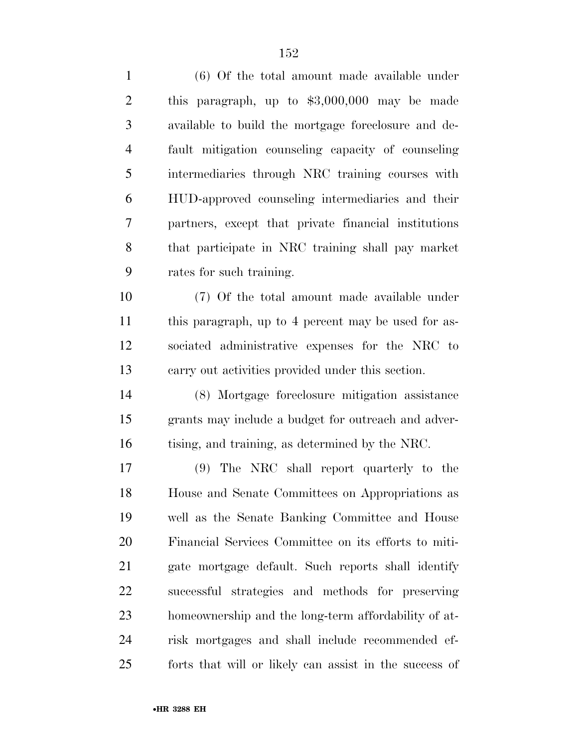| $\mathbf{1}$   | (6) Of the total amount made available under           |
|----------------|--------------------------------------------------------|
| $\overline{2}$ | this paragraph, up to $$3,000,000$ may be made         |
| 3              | available to build the mortgage foreclosure and de-    |
| $\overline{4}$ | fault mitigation counseling capacity of counseling     |
| 5              | intermediaries through NRC training courses with       |
| 6              | HUD-approved counseling intermediaries and their       |
| 7              | partners, except that private financial institutions   |
| 8              | that participate in NRC training shall pay market      |
| 9              | rates for such training.                               |
| 10             | (7) Of the total amount made available under           |
| 11             | this paragraph, up to 4 percent may be used for as-    |
| 12             | sociated administrative expenses for the NRC to        |
| 13             | carry out activities provided under this section.      |
| 14             | (8) Mortgage foreclosure mitigation assistance         |
| 15             | grants may include a budget for outreach and adver-    |
| 16             | tising, and training, as determined by the NRC.        |
| 17             | (9) The NRC shall report quarterly to the              |
| 18             | House and Senate Committees on Appropriations as       |
| 19             | well as the Senate Banking Committee and House         |
| 20             | Financial Services Committee on its efforts to miti-   |
| 21             | gate mortgage default. Such reports shall identify     |
| 22             | successful strategies and methods for preserving       |
| 23             | homeownership and the long-term affordability of at-   |
| 24             | risk mortgages and shall include recommended ef-       |
| 25             | forts that will or likely can assist in the success of |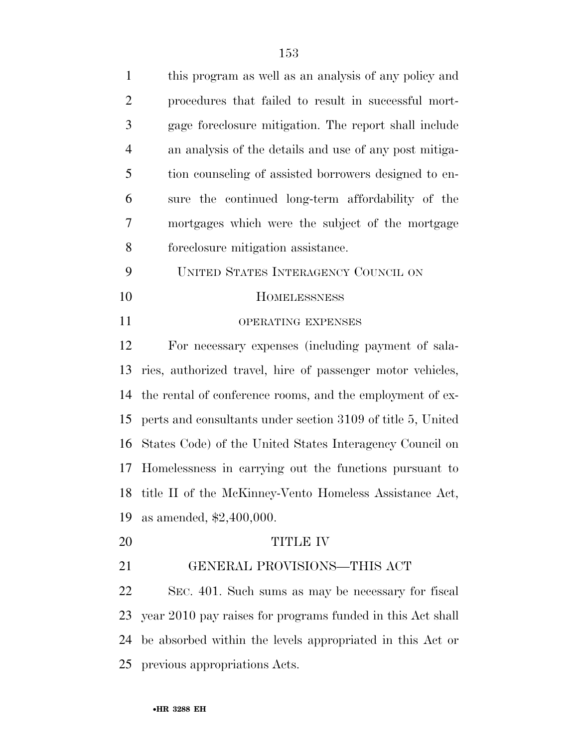| $\mathbf{1}$   | this program as well as an analysis of any policy and       |
|----------------|-------------------------------------------------------------|
| $\overline{2}$ | procedures that failed to result in successful mort-        |
| 3              | gage foreclosure mitigation. The report shall include       |
| $\overline{4}$ | an analysis of the details and use of any post mitiga-      |
| 5              | tion counseling of assisted borrowers designed to en-       |
| 6              | sure the continued long-term affordability of the           |
| 7              | mortgages which were the subject of the mortgage            |
| 8              | foreclosure mitigation assistance.                          |
| 9              | UNITED STATES INTERAGENCY COUNCIL ON                        |
| 10             | <b>HOMELESSNESS</b>                                         |
| 11             | OPERATING EXPENSES                                          |
| 12             | For necessary expenses (including payment of sala-          |
| 13             | ries, authorized travel, hire of passenger motor vehicles,  |
| 14             | the rental of conference rooms, and the employment of ex-   |
| 15             | perts and consultants under section 3109 of title 5, United |
| 16             | States Code) of the United States Interagency Council on    |
| 17             | Homelessness in carrying out the functions pursuant to      |
|                | 18 title II of the McKinney-Vento Homeless Assistance Act,  |
| 19             | as amended, \$2,400,000.                                    |
| 20             | <b>TITLE IV</b>                                             |
| 21             | GENERAL PROVISIONS-THIS ACT                                 |
|                |                                                             |

 SEC. 401. Such sums as may be necessary for fiscal year 2010 pay raises for programs funded in this Act shall be absorbed within the levels appropriated in this Act or previous appropriations Acts.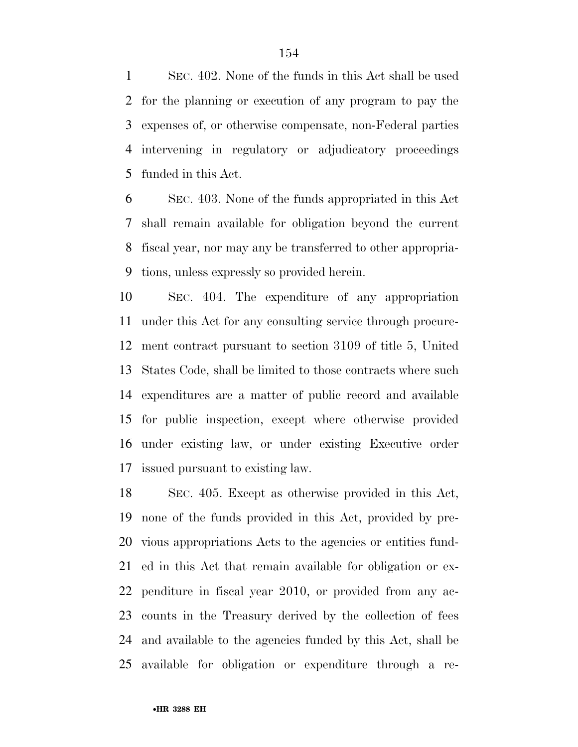SEC. 402. None of the funds in this Act shall be used for the planning or execution of any program to pay the expenses of, or otherwise compensate, non-Federal parties intervening in regulatory or adjudicatory proceedings funded in this Act.

 SEC. 403. None of the funds appropriated in this Act shall remain available for obligation beyond the current fiscal year, nor may any be transferred to other appropria-tions, unless expressly so provided herein.

 SEC. 404. The expenditure of any appropriation under this Act for any consulting service through procure- ment contract pursuant to section 3109 of title 5, United States Code, shall be limited to those contracts where such expenditures are a matter of public record and available for public inspection, except where otherwise provided under existing law, or under existing Executive order issued pursuant to existing law.

 SEC. 405. Except as otherwise provided in this Act, none of the funds provided in this Act, provided by pre- vious appropriations Acts to the agencies or entities fund- ed in this Act that remain available for obligation or ex- penditure in fiscal year 2010, or provided from any ac- counts in the Treasury derived by the collection of fees and available to the agencies funded by this Act, shall be available for obligation or expenditure through a re-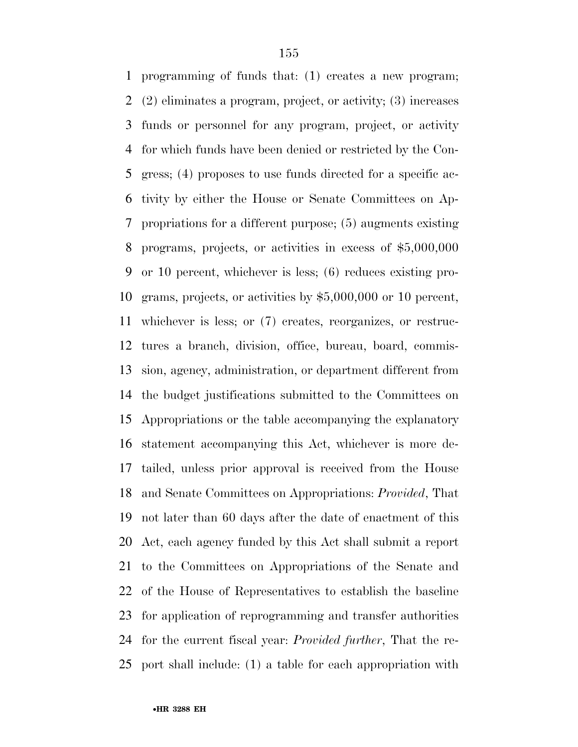programming of funds that: (1) creates a new program; (2) eliminates a program, project, or activity; (3) increases funds or personnel for any program, project, or activity for which funds have been denied or restricted by the Con- gress; (4) proposes to use funds directed for a specific ac- tivity by either the House or Senate Committees on Ap- propriations for a different purpose; (5) augments existing programs, projects, or activities in excess of \$5,000,000 or 10 percent, whichever is less; (6) reduces existing pro- grams, projects, or activities by \$5,000,000 or 10 percent, whichever is less; or (7) creates, reorganizes, or restruc- tures a branch, division, office, bureau, board, commis- sion, agency, administration, or department different from the budget justifications submitted to the Committees on Appropriations or the table accompanying the explanatory statement accompanying this Act, whichever is more de- tailed, unless prior approval is received from the House and Senate Committees on Appropriations: *Provided*, That not later than 60 days after the date of enactment of this Act, each agency funded by this Act shall submit a report to the Committees on Appropriations of the Senate and of the House of Representatives to establish the baseline for application of reprogramming and transfer authorities for the current fiscal year: *Provided further*, That the re-port shall include: (1) a table for each appropriation with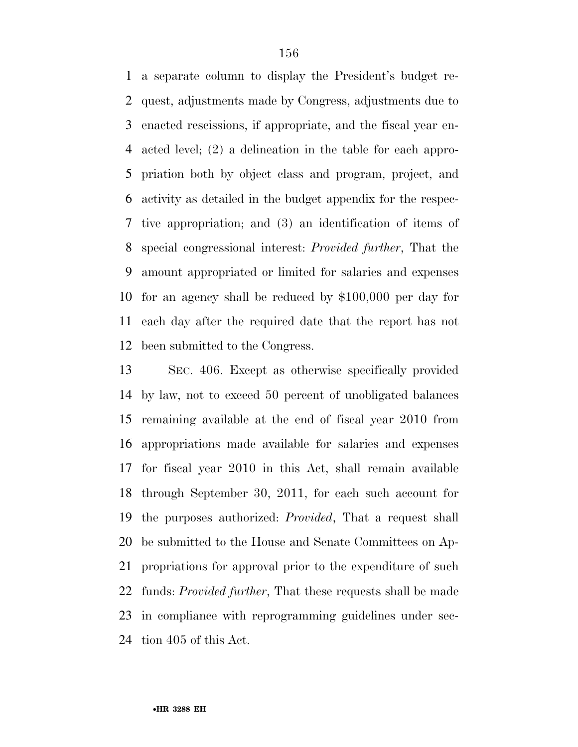a separate column to display the President's budget re- quest, adjustments made by Congress, adjustments due to enacted rescissions, if appropriate, and the fiscal year en- acted level; (2) a delineation in the table for each appro- priation both by object class and program, project, and activity as detailed in the budget appendix for the respec- tive appropriation; and (3) an identification of items of special congressional interest: *Provided further*, That the amount appropriated or limited for salaries and expenses for an agency shall be reduced by \$100,000 per day for each day after the required date that the report has not been submitted to the Congress.

 SEC. 406. Except as otherwise specifically provided by law, not to exceed 50 percent of unobligated balances remaining available at the end of fiscal year 2010 from appropriations made available for salaries and expenses for fiscal year 2010 in this Act, shall remain available through September 30, 2011, for each such account for the purposes authorized: *Provided*, That a request shall be submitted to the House and Senate Committees on Ap- propriations for approval prior to the expenditure of such funds: *Provided further*, That these requests shall be made in compliance with reprogramming guidelines under sec-tion 405 of this Act.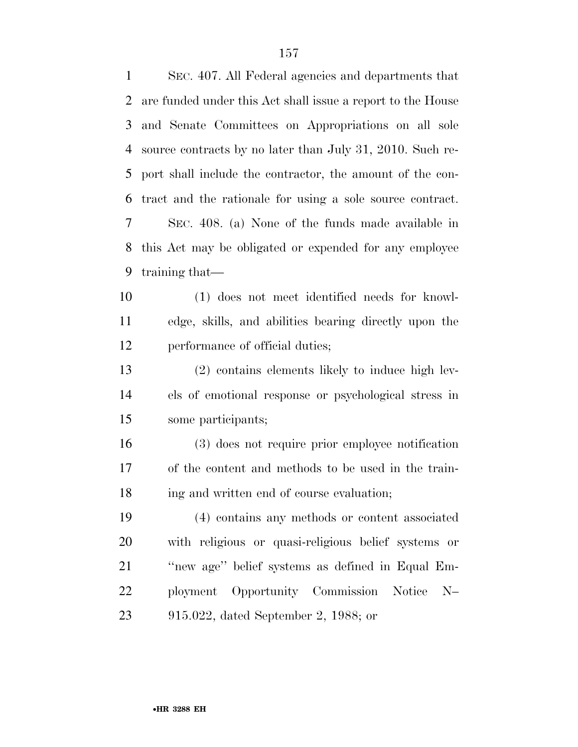SEC. 407. All Federal agencies and departments that are funded under this Act shall issue a report to the House and Senate Committees on Appropriations on all sole source contracts by no later than July 31, 2010. Such re- port shall include the contractor, the amount of the con- tract and the rationale for using a sole source contract. SEC. 408. (a) None of the funds made available in this Act may be obligated or expended for any employee training that— (1) does not meet identified needs for knowl- edge, skills, and abilities bearing directly upon the performance of official duties; (2) contains elements likely to induce high lev- els of emotional response or psychological stress in some participants; (3) does not require prior employee notification of the content and methods to be used in the train- ing and written end of course evaluation; (4) contains any methods or content associated with religious or quasi-religious belief systems or ''new age'' belief systems as defined in Equal Em-ployment Opportunity Commission Notice N–

915.022, dated September 2, 1988; or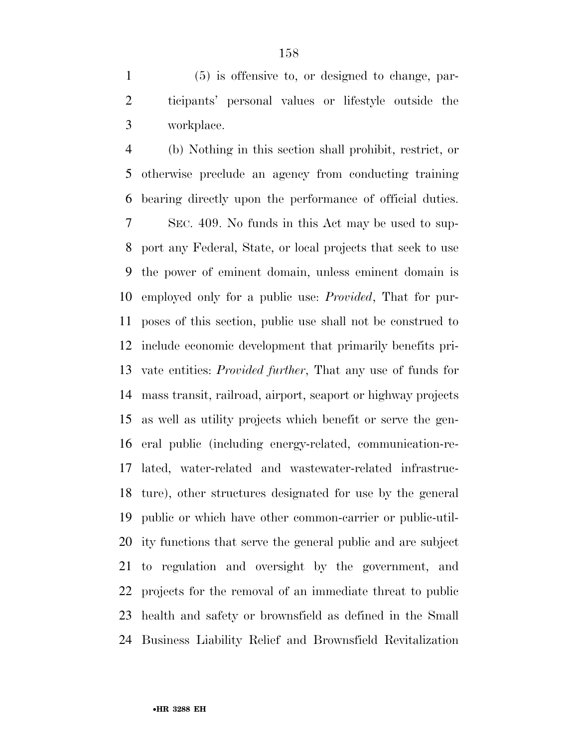(5) is offensive to, or designed to change, par- ticipants' personal values or lifestyle outside the workplace.

 (b) Nothing in this section shall prohibit, restrict, or otherwise preclude an agency from conducting training bearing directly upon the performance of official duties.

 SEC. 409. No funds in this Act may be used to sup- port any Federal, State, or local projects that seek to use the power of eminent domain, unless eminent domain is employed only for a public use: *Provided*, That for pur- poses of this section, public use shall not be construed to include economic development that primarily benefits pri- vate entities: *Provided further*, That any use of funds for mass transit, railroad, airport, seaport or highway projects as well as utility projects which benefit or serve the gen- eral public (including energy-related, communication-re- lated, water-related and wastewater-related infrastruc- ture), other structures designated for use by the general public or which have other common-carrier or public-util- ity functions that serve the general public and are subject to regulation and oversight by the government, and projects for the removal of an immediate threat to public health and safety or brownsfield as defined in the Small Business Liability Relief and Brownsfield Revitalization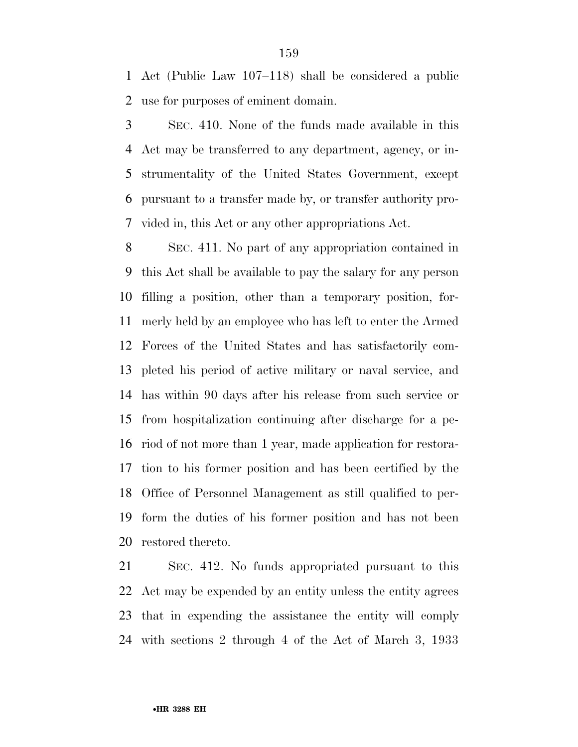Act (Public Law 107–118) shall be considered a public use for purposes of eminent domain.

 SEC. 410. None of the funds made available in this Act may be transferred to any department, agency, or in- strumentality of the United States Government, except pursuant to a transfer made by, or transfer authority pro-vided in, this Act or any other appropriations Act.

 SEC. 411. No part of any appropriation contained in this Act shall be available to pay the salary for any person filling a position, other than a temporary position, for- merly held by an employee who has left to enter the Armed Forces of the United States and has satisfactorily com- pleted his period of active military or naval service, and has within 90 days after his release from such service or from hospitalization continuing after discharge for a pe- riod of not more than 1 year, made application for restora- tion to his former position and has been certified by the Office of Personnel Management as still qualified to per- form the duties of his former position and has not been restored thereto.

 SEC. 412. No funds appropriated pursuant to this Act may be expended by an entity unless the entity agrees that in expending the assistance the entity will comply with sections 2 through 4 of the Act of March 3, 1933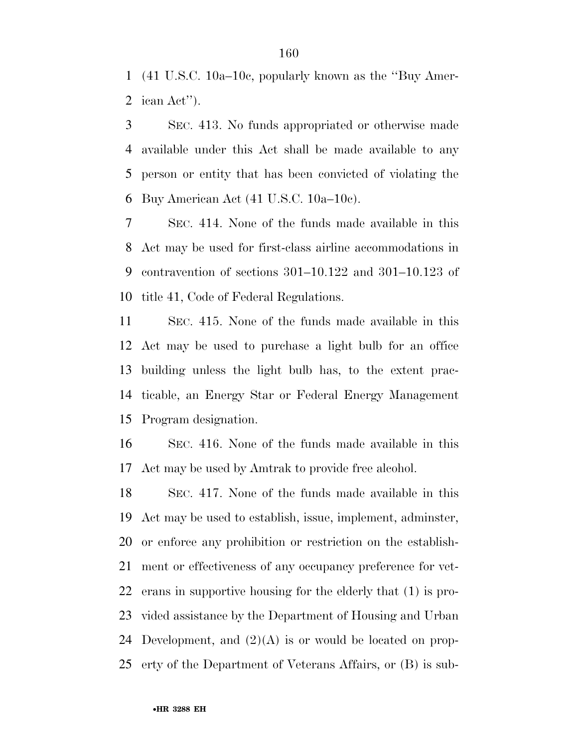(41 U.S.C. 10a–10c, popularly known as the ''Buy Amer-ican Act'').

 SEC. 413. No funds appropriated or otherwise made available under this Act shall be made available to any person or entity that has been convicted of violating the Buy American Act (41 U.S.C. 10a–10c).

 SEC. 414. None of the funds made available in this Act may be used for first-class airline accommodations in contravention of sections 301–10.122 and 301–10.123 of title 41, Code of Federal Regulations.

 SEC. 415. None of the funds made available in this Act may be used to purchase a light bulb for an office building unless the light bulb has, to the extent prac- ticable, an Energy Star or Federal Energy Management Program designation.

 SEC. 416. None of the funds made available in this Act may be used by Amtrak to provide free alcohol.

 SEC. 417. None of the funds made available in this Act may be used to establish, issue, implement, adminster, or enforce any prohibition or restriction on the establish- ment or effectiveness of any occupancy preference for vet- erans in supportive housing for the elderly that (1) is pro- vided assistance by the Department of Housing and Urban 24 Development, and  $(2)(A)$  is or would be located on prop-erty of the Department of Veterans Affairs, or (B) is sub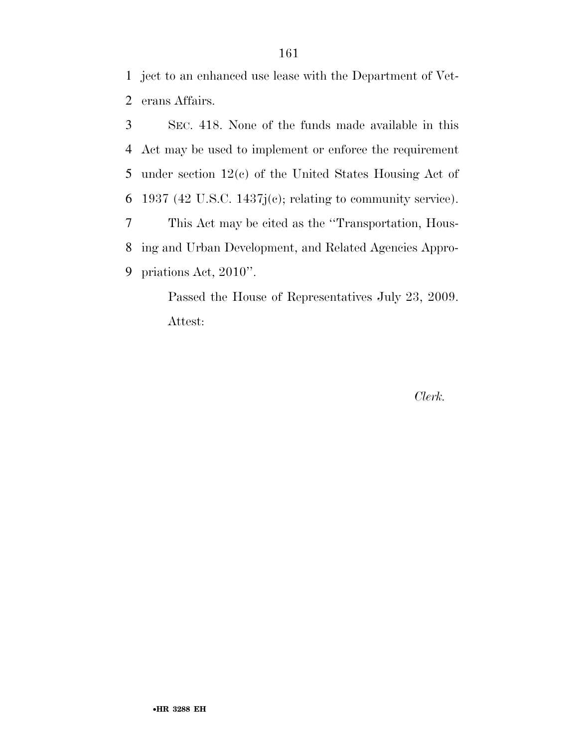ject to an enhanced use lease with the Department of Vet-erans Affairs.

 SEC. 418. None of the funds made available in this Act may be used to implement or enforce the requirement under section 12(c) of the United States Housing Act of 6 1937 (42 U.S.C. 1437 $j(c)$ ; relating to community service). This Act may be cited as the ''Transportation, Hous- ing and Urban Development, and Related Agencies Appro-priations Act, 2010''.

> Passed the House of Representatives July 23, 2009. Attest:

> > *Clerk.*